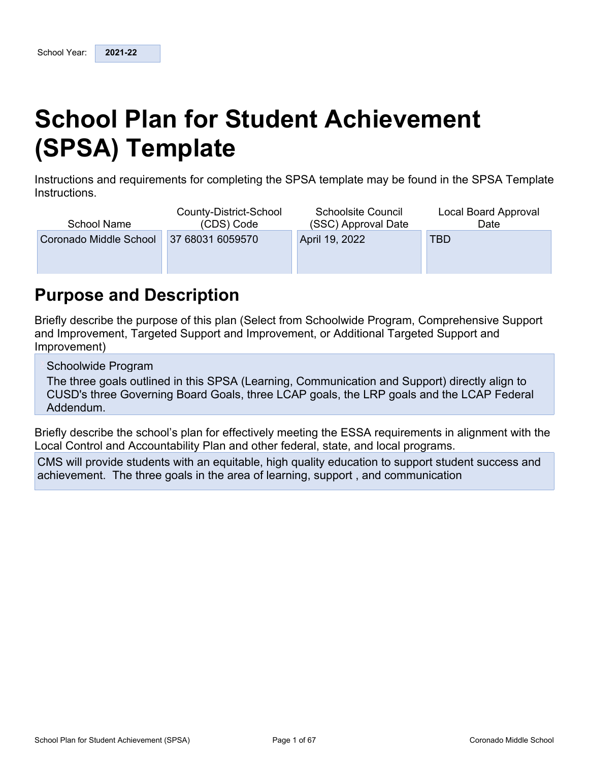# <span id="page-0-0"></span>**School Plan for Student Achievement (SPSA) Template**

Instructions and requirements for completing the SPSA template may be found in the SPSA Template Instructions.

| <b>School Name</b>     | County-District-School<br>(CDS) Code | <b>Schoolsite Council</b><br>(SSC) Approval Date | Local Board Approval<br>Date |
|------------------------|--------------------------------------|--------------------------------------------------|------------------------------|
| Coronado Middle School | 37 68031 6059570                     | April 19, 2022                                   | TBD                          |
|                        |                                      |                                                  |                              |
|                        |                                      |                                                  |                              |

## <span id="page-0-1"></span>**Purpose and Description**

Briefly describe the purpose of this plan (Select from Schoolwide Program, Comprehensive Support and Improvement, Targeted Support and Improvement, or Additional Targeted Support and Improvement)

Schoolwide Program

The three goals outlined in this SPSA (Learning, Communication and Support) directly align to CUSD's three Governing Board Goals, three LCAP goals, the LRP goals and the LCAP Federal Addendum.

Briefly describe the school's plan for effectively meeting the ESSA requirements in alignment with the Local Control and Accountability Plan and other federal, state, and local programs.

CMS will provide students with an equitable, high quality education to support student success and achievement. The three goals in the area of learning, support , and communication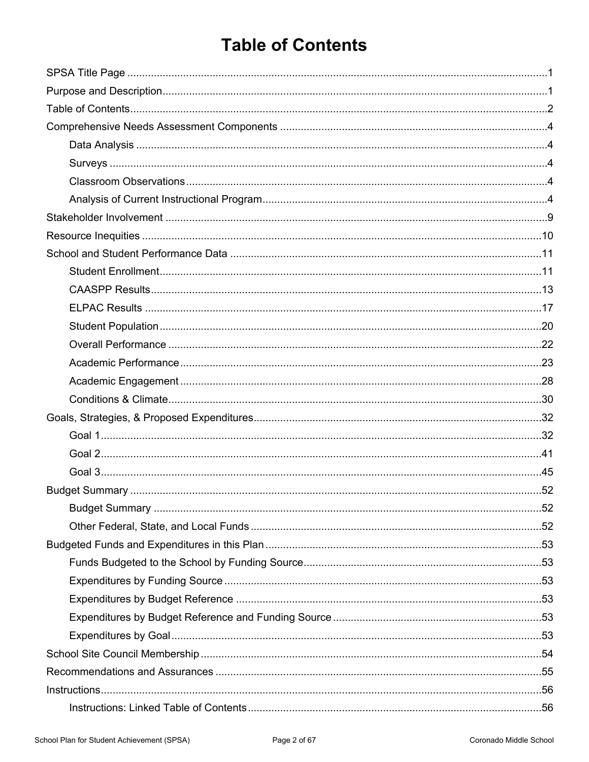# <span id="page-1-0"></span>**Table of Contents**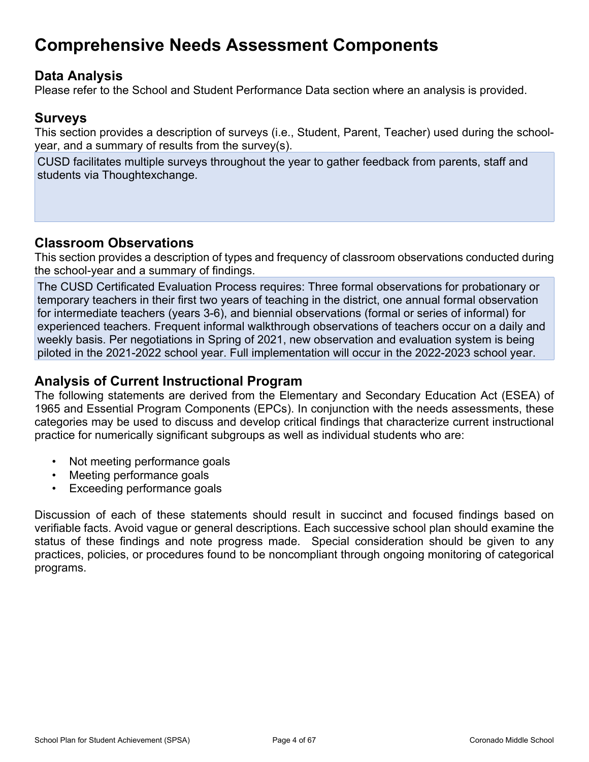# <span id="page-3-0"></span>**Comprehensive Needs Assessment Components**

## <span id="page-3-1"></span>**Data Analysis**

Please refer to the School and Student Performance Data section where an analysis is provided.

### <span id="page-3-2"></span>**Surveys**

This section provides a description of surveys (i.e., Student, Parent, Teacher) used during the schoolyear, and a summary of results from the survey(s).

CUSD facilitates multiple surveys throughout the year to gather feedback from parents, staff and students via Thoughtexchange.

## <span id="page-3-3"></span>**Classroom Observations**

This section provides a description of types and frequency of classroom observations conducted during the school-year and a summary of findings.

The CUSD Certificated Evaluation Process requires: Three formal observations for probationary or temporary teachers in their first two years of teaching in the district, one annual formal observation for intermediate teachers (years 3-6), and biennial observations (formal or series of informal) for experienced teachers. Frequent informal walkthrough observations of teachers occur on a daily and weekly basis. Per negotiations in Spring of 2021, new observation and evaluation system is being piloted in the 2021-2022 school year. Full implementation will occur in the 2022-2023 school year.

### <span id="page-3-4"></span>**Analysis of Current Instructional Program**

The following statements are derived from the Elementary and Secondary Education Act (ESEA) of 1965 and Essential Program Components (EPCs). In conjunction with the needs assessments, these categories may be used to discuss and develop critical findings that characterize current instructional practice for numerically significant subgroups as well as individual students who are:

- Not meeting performance goals
- Meeting performance goals
- Exceeding performance goals

Discussion of each of these statements should result in succinct and focused findings based on verifiable facts. Avoid vague or general descriptions. Each successive school plan should examine the status of these findings and note progress made. Special consideration should be given to any practices, policies, or procedures found to be noncompliant through ongoing monitoring of categorical programs.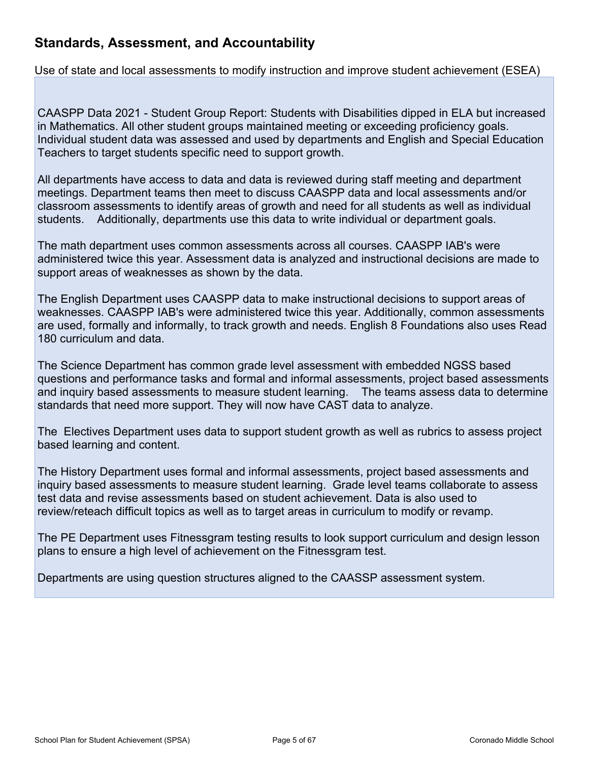## **Standards, Assessment, and Accountability**

Use of state and local assessments to modify instruction and improve student achievement (ESEA)

CAASPP Data 2021 - Student Group Report: Students with Disabilities dipped in ELA but increased in Mathematics. All other student groups maintained meeting or exceeding proficiency goals. Individual student data was assessed and used by departments and English and Special Education Teachers to target students specific need to support growth.

All departments have access to data and data is reviewed during staff meeting and department meetings. Department teams then meet to discuss CAASPP data and local assessments and/or classroom assessments to identify areas of growth and need for all students as well as individual students. Additionally, departments use this data to write individual or department goals.

The math department uses common assessments across all courses. CAASPP IAB's were administered twice this year. Assessment data is analyzed and instructional decisions are made to support areas of weaknesses as shown by the data.

The English Department uses CAASPP data to make instructional decisions to support areas of weaknesses. CAASPP IAB's were administered twice this year. Additionally, common assessments are used, formally and informally, to track growth and needs. English 8 Foundations also uses Read 180 curriculum and data.

The Science Department has common grade level assessment with embedded NGSS based questions and performance tasks and formal and informal assessments, project based assessments and inquiry based assessments to measure student learning. The teams assess data to determine standards that need more support. They will now have CAST data to analyze.

The Electives Department uses data to support student growth as well as rubrics to assess project based learning and content.

The History Department uses formal and informal assessments, project based assessments and inquiry based assessments to measure student learning. Grade level teams collaborate to assess test data and revise assessments based on student achievement. Data is also used to review/reteach difficult topics as well as to target areas in curriculum to modify or revamp.

The PE Department uses Fitnessgram testing results to look support curriculum and design lesson plans to ensure a high level of achievement on the Fitnessgram test.

Departments are using question structures aligned to the CAASSP assessment system.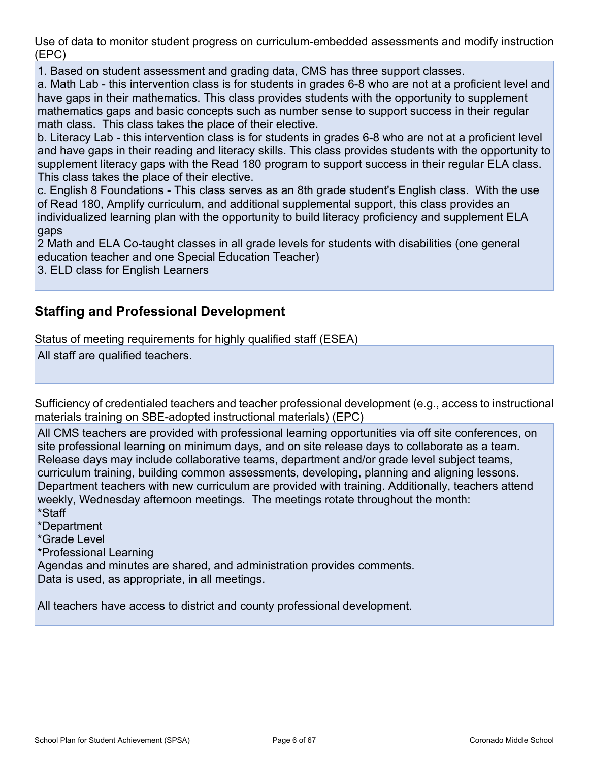Use of data to monitor student progress on curriculum-embedded assessments and modify instruction (EPC)

1. Based on student assessment and grading data, CMS has three support classes.

a. Math Lab - this intervention class is for students in grades 6-8 who are not at a proficient level and have gaps in their mathematics. This class provides students with the opportunity to supplement mathematics gaps and basic concepts such as number sense to support success in their regular math class. This class takes the place of their elective.

b. Literacy Lab - this intervention class is for students in grades 6-8 who are not at a proficient level and have gaps in their reading and literacy skills. This class provides students with the opportunity to supplement literacy gaps with the Read 180 program to support success in their regular ELA class. This class takes the place of their elective.

c. English 8 Foundations - This class serves as an 8th grade student's English class. With the use of Read 180, Amplify curriculum, and additional supplemental support, this class provides an individualized learning plan with the opportunity to build literacy proficiency and supplement ELA gaps

2 Math and ELA Co-taught classes in all grade levels for students with disabilities (one general education teacher and one Special Education Teacher)

3. ELD class for English Learners

## **Staffing and Professional Development**

Status of meeting requirements for highly qualified staff (ESEA)

All staff are qualified teachers.

Sufficiency of credentialed teachers and teacher professional development (e.g., access to instructional materials training on SBE-adopted instructional materials) (EPC)

All CMS teachers are provided with professional learning opportunities via off site conferences, on site professional learning on minimum days, and on site release days to collaborate as a team. Release days may include collaborative teams, department and/or grade level subject teams, curriculum training, building common assessments, developing, planning and aligning lessons. Department teachers with new curriculum are provided with training. Additionally, teachers attend weekly, Wednesday afternoon meetings. The meetings rotate throughout the month: \*Staff

\*Department \*Grade Level \*Professional Learning Agendas and minutes are shared, and administration provides comments. Data is used, as appropriate, in all meetings.

All teachers have access to district and county professional development.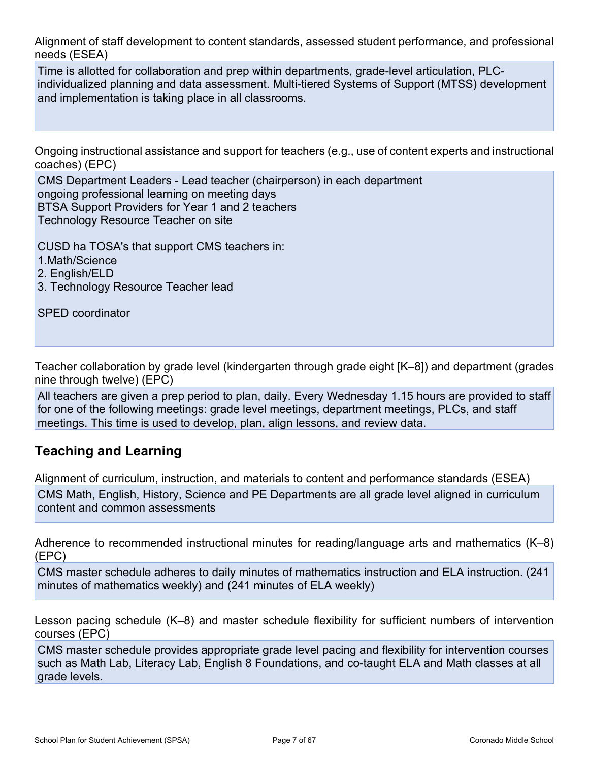Alignment of staff development to content standards, assessed student performance, and professional needs (ESEA)

Time is allotted for collaboration and prep within departments, grade-level articulation, PLCindividualized planning and data assessment. Multi-tiered Systems of Support (MTSS) development and implementation is taking place in all classrooms.

Ongoing instructional assistance and support for teachers (e.g., use of content experts and instructional coaches) (EPC)

CMS Department Leaders - Lead teacher (chairperson) in each department ongoing professional learning on meeting days BTSA Support Providers for Year 1 and 2 teachers Technology Resource Teacher on site

CUSD ha TOSA's that support CMS teachers in:

1.Math/Science

2. English/ELD

3. Technology Resource Teacher lead

SPED coordinator

Teacher collaboration by grade level (kindergarten through grade eight [K–8]) and department (grades nine through twelve) (EPC)

All teachers are given a prep period to plan, daily. Every Wednesday 1.15 hours are provided to staff for one of the following meetings: grade level meetings, department meetings, PLCs, and staff meetings. This time is used to develop, plan, align lessons, and review data.

## **Teaching and Learning**

Alignment of curriculum, instruction, and materials to content and performance standards (ESEA)

CMS Math, English, History, Science and PE Departments are all grade level aligned in curriculum content and common assessments

Adherence to recommended instructional minutes for reading/language arts and mathematics (K–8) (EPC)

CMS master schedule adheres to daily minutes of mathematics instruction and ELA instruction. (241 minutes of mathematics weekly) and (241 minutes of ELA weekly)

Lesson pacing schedule (K–8) and master schedule flexibility for sufficient numbers of intervention courses (EPC)

CMS master schedule provides appropriate grade level pacing and flexibility for intervention courses such as Math Lab, Literacy Lab, English 8 Foundations, and co-taught ELA and Math classes at all grade levels.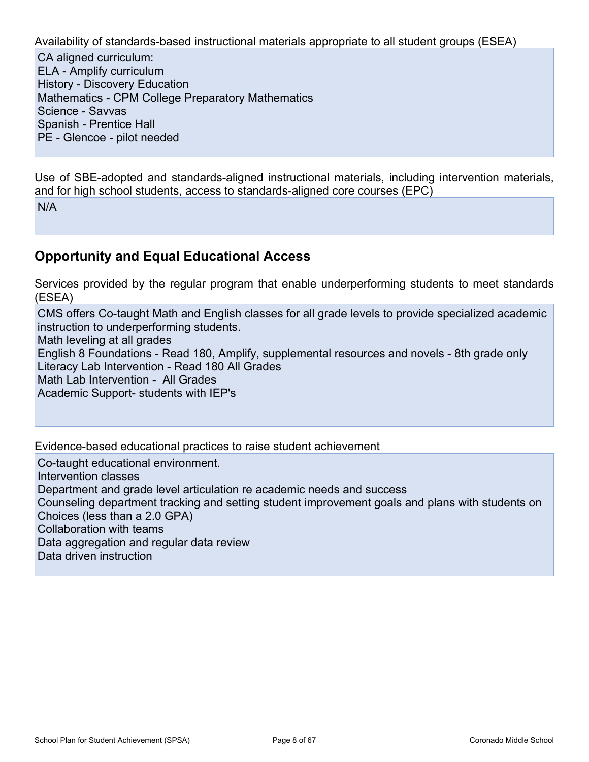Availability of standards-based instructional materials appropriate to all student groups (ESEA)

CA aligned curriculum: ELA - Amplify curriculum History - Discovery Education Mathematics - CPM College Preparatory Mathematics Science - Savvas Spanish - Prentice Hall PE - Glencoe - pilot needed

Use of SBE-adopted and standards-aligned instructional materials, including intervention materials, and for high school students, access to standards-aligned core courses (EPC) N/A

## **Opportunity and Equal Educational Access**

Services provided by the regular program that enable underperforming students to meet standards (ESEA)

CMS offers Co-taught Math and English classes for all grade levels to provide specialized academic instruction to underperforming students.

Math leveling at all grades

English 8 Foundations - Read 180, Amplify, supplemental resources and novels - 8th grade only Literacy Lab Intervention - Read 180 All Grades

Math Lab Intervention - All Grades

Academic Support- students with IEP's

Evidence-based educational practices to raise student achievement

Co-taught educational environment.

Intervention classes Department and grade level articulation re academic needs and success Counseling department tracking and setting student improvement goals and plans with students on

Choices (less than a 2.0 GPA)

Collaboration with teams

Data aggregation and regular data review

Data driven instruction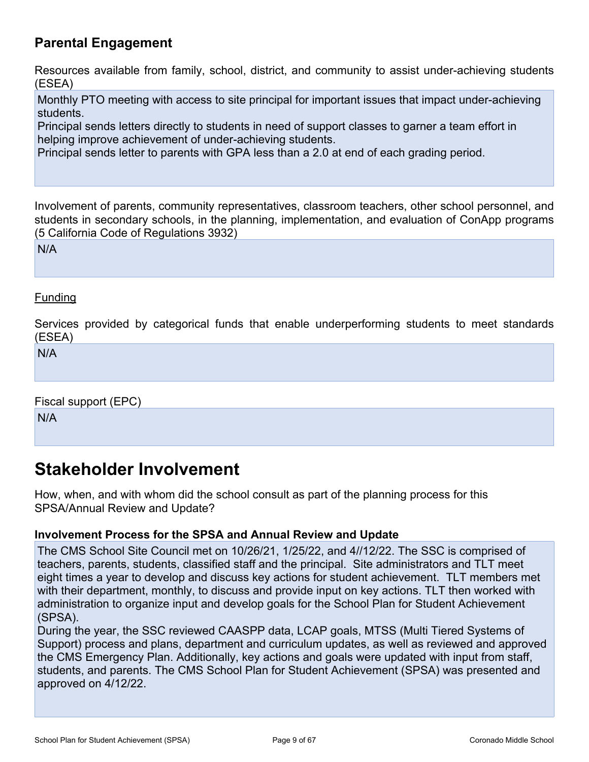## **Parental Engagement**

Resources available from family, school, district, and community to assist under-achieving students (ESEA)

Monthly PTO meeting with access to site principal for important issues that impact under-achieving students.

Principal sends letters directly to students in need of support classes to garner a team effort in helping improve achievement of under-achieving students.

Principal sends letter to parents with GPA less than a 2.0 at end of each grading period.

Involvement of parents, community representatives, classroom teachers, other school personnel, and students in secondary schools, in the planning, implementation, and evaluation of ConApp programs (5 California Code of Regulations 3932)

N/A

### Funding

Services provided by categorical funds that enable underperforming students to meet standards (ESEA)

N/A

Fiscal support (EPC) N/A

## <span id="page-8-0"></span>**Stakeholder Involvement**

How, when, and with whom did the school consult as part of the planning process for this SPSA/Annual Review and Update?

### **Involvement Process for the SPSA and Annual Review and Update**

The CMS School Site Council met on 10/26/21, 1/25/22, and 4//12/22. The SSC is comprised of teachers, parents, students, classified staff and the principal. Site administrators and TLT meet eight times a year to develop and discuss key actions for student achievement. TLT members met with their department, monthly, to discuss and provide input on key actions. TLT then worked with administration to organize input and develop goals for the School Plan for Student Achievement (SPSA).

During the year, the SSC reviewed CAASPP data, LCAP goals, MTSS (Multi Tiered Systems of Support) process and plans, department and curriculum updates, as well as reviewed and approved the CMS Emergency Plan. Additionally, key actions and goals were updated with input from staff, students, and parents. The CMS School Plan for Student Achievement (SPSA) was presented and approved on 4/12/22.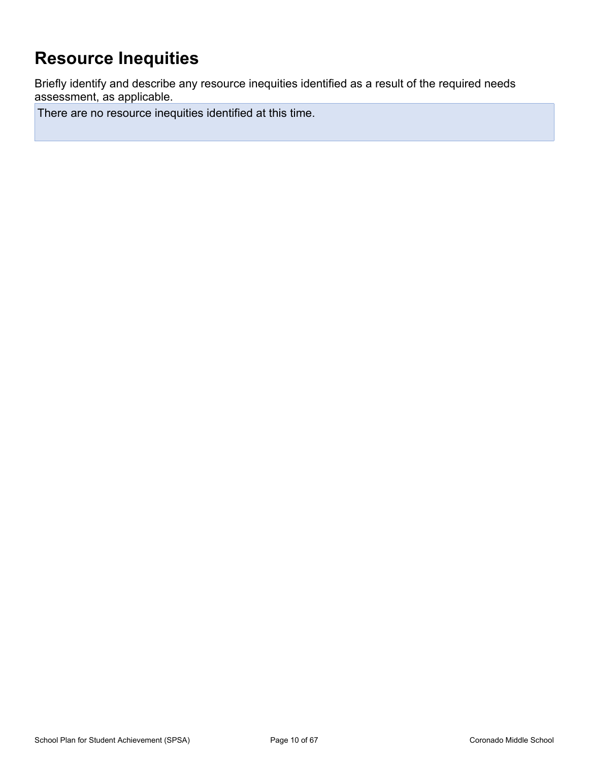# <span id="page-9-0"></span>**Resource Inequities**

Briefly identify and describe any resource inequities identified as a result of the required needs assessment, as applicable.

There are no resource inequities identified at this time.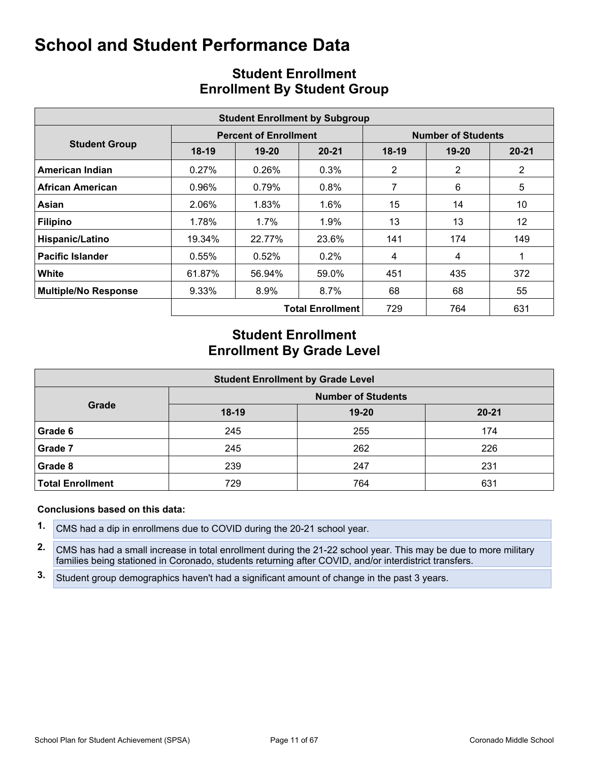<span id="page-10-0"></span>

|                             | <b>Student Enrollment by Subgroup</b> |                              |                         |                           |           |                |  |  |  |  |  |  |
|-----------------------------|---------------------------------------|------------------------------|-------------------------|---------------------------|-----------|----------------|--|--|--|--|--|--|
|                             |                                       | <b>Percent of Enrollment</b> |                         | <b>Number of Students</b> |           |                |  |  |  |  |  |  |
| <b>Student Group</b>        | $18-19$                               | $19 - 20$<br>$20 - 21$       |                         | $18-19$                   | $19 - 20$ | $20 - 21$      |  |  |  |  |  |  |
| American Indian             | 0.27%                                 | 0.26%                        | 0.3%                    | 2                         | 2         | $\overline{2}$ |  |  |  |  |  |  |
| African American            | 0.96%                                 | 0.79%                        | $0.8\%$                 | 7                         | 6         | 5              |  |  |  |  |  |  |
| Asian                       | 2.06%                                 | 1.83%                        | $1.6\%$                 | 15                        | 14        | 10             |  |  |  |  |  |  |
| <b>Filipino</b>             | 1.78%                                 | $1.7\%$                      | 1.9%                    | 13                        | 13        | 12             |  |  |  |  |  |  |
| Hispanic/Latino             | 19.34%                                | 22.77%                       | 23.6%                   | 141                       | 174       | 149            |  |  |  |  |  |  |
| <b>Pacific Islander</b>     | 0.55%                                 | 0.52%                        | $0.2\%$                 | 4                         | 4         |                |  |  |  |  |  |  |
| White                       | 61.87%                                | 56.94%                       | 59.0%                   | 451                       | 435       | 372            |  |  |  |  |  |  |
| <b>Multiple/No Response</b> | 9.33%                                 | $8.9\%$                      | $8.7\%$                 | 68                        | 68        | 55             |  |  |  |  |  |  |
|                             |                                       |                              | <b>Total Enrollment</b> | 729                       | 764       | 631            |  |  |  |  |  |  |

## <span id="page-10-1"></span>**Student Enrollment Enrollment By Student Group**

## **Student Enrollment Enrollment By Grade Level**

| <b>Student Enrollment by Grade Level</b> |                           |           |           |  |  |  |  |  |  |  |
|------------------------------------------|---------------------------|-----------|-----------|--|--|--|--|--|--|--|
|                                          | <b>Number of Students</b> |           |           |  |  |  |  |  |  |  |
| Grade                                    | $18-19$                   | $19 - 20$ | $20 - 21$ |  |  |  |  |  |  |  |
| Grade 6                                  | 245                       | 255       | 174       |  |  |  |  |  |  |  |
| Grade 7                                  | 245                       | 262       | 226       |  |  |  |  |  |  |  |
| Grade 8                                  | 239                       | 247       | 231       |  |  |  |  |  |  |  |
| <b>Total Enrollment</b>                  | 729                       | 764       | 631       |  |  |  |  |  |  |  |

### **Conclusions based on this data:**

**1.** CMS had a dip in enrollmens due to COVID during the 20-21 school year.

**2.** CMS has had a small increase in total enrollment during the 21-22 school year. This may be due to more military families being stationed in Coronado, students returning after COVID, and/or interdistrict transfers.

**3.** Student group demographics haven't had a significant amount of change in the past 3 years.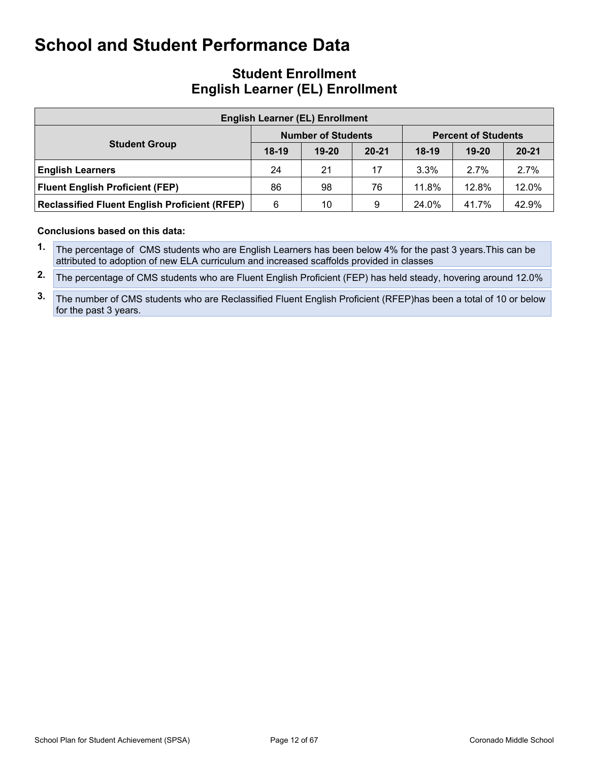## **Student Enrollment English Learner (EL) Enrollment**

| <b>English Learner (EL) Enrollment</b>               |         |                           |           |                            |           |           |  |  |  |  |  |
|------------------------------------------------------|---------|---------------------------|-----------|----------------------------|-----------|-----------|--|--|--|--|--|
|                                                      |         | <b>Number of Students</b> |           | <b>Percent of Students</b> |           |           |  |  |  |  |  |
| <b>Student Group</b>                                 | $18-19$ | $19 - 20$                 | $20 - 21$ | $18-19$                    | $19 - 20$ | $20 - 21$ |  |  |  |  |  |
| <b>English Learners</b>                              | 24      | 21                        | 17        | $3.3\%$                    | 2.7%      | 2.7%      |  |  |  |  |  |
| <b>Fluent English Proficient (FEP)</b>               | 86      | 98                        | 76        | 11.8%                      | 12.8%     | 12.0%     |  |  |  |  |  |
| <b>Reclassified Fluent English Proficient (RFEP)</b> | 6       | 10                        | 9         | 24.0%                      | 41.7%     | 42.9%     |  |  |  |  |  |

### **Conclusions based on this data:**

**1.** The percentage of CMS students who are English Learners has been below 4% for the past 3 years.This can be attributed to adoption of new ELA curriculum and increased scaffolds provided in classes

**2.** The percentage of CMS students who are Fluent English Proficient (FEP) has held steady, hovering around 12.0%

**3.** The number of CMS students who are Reclassified Fluent English Proficient (RFEP)has been a total of 10 or below for the past 3 years.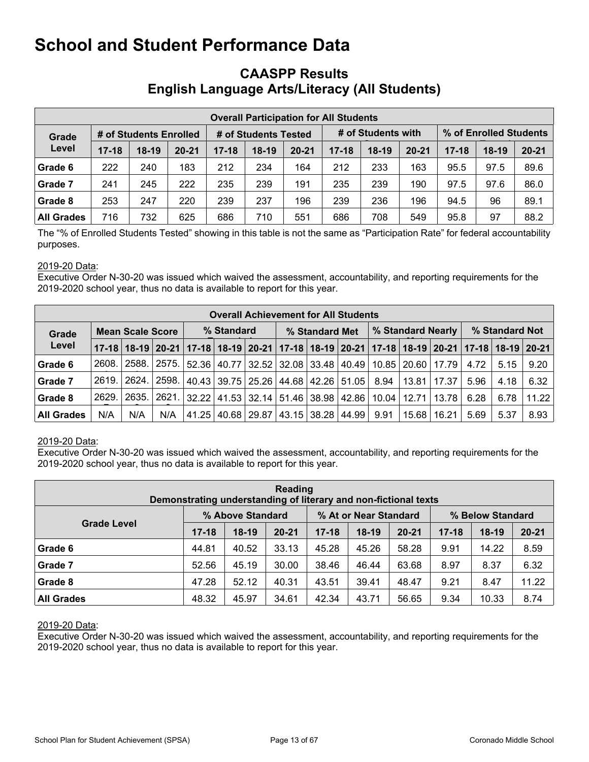## <span id="page-12-0"></span>**CAASPP Results English Language Arts/Literacy (All Students)**

|                                 | <b>Overall Participation for All Students</b> |         |           |                      |         |           |                    |         |           |           |                        |           |  |
|---------------------------------|-----------------------------------------------|---------|-----------|----------------------|---------|-----------|--------------------|---------|-----------|-----------|------------------------|-----------|--|
| # of Students Enrolled<br>Grade |                                               |         |           | # of Students Tested |         |           | # of Students with |         |           |           | % of Enrolled Students |           |  |
| Level                           | $17 - 18$                                     | $18-19$ | $20 - 21$ | $17 - 18$            | $18-19$ | $20 - 21$ | $17 - 18$          | $18-19$ | $20 - 21$ | $17 - 18$ | $18-19$                | $20 - 21$ |  |
| Grade 6                         | 222                                           | 240     | 183       | 212                  | 234     | 164       | 212                | 233     | 163       | 95.5      | 97.5                   | 89.6      |  |
| Grade 7                         | 241                                           | 245     | 222       | 235                  | 239     | 191       | 235                | 239     | 190       | 97.5      | 97.6                   | 86.0      |  |
| Grade 8                         | 253                                           | 247     | 220       | 239                  | 237     | 196       | 239                | 236     | 196       | 94.5      | 96                     | 89.1      |  |
| All Grades                      | 716                                           | 732     | 625       | 686                  | 710     | 551       | 686                | 708     | 549       | 95.8      | 97                     | 88.2      |  |

The "% of Enrolled Students Tested" showing in this table is not the same as "Participation Rate" for federal accountability purposes.

### 2019-20 Data:

Executive Order N-30-20 was issued which waived the assessment, accountability, and reporting requirements for the 2019-2020 school year, thus no data is available to report for this year.

|                   | <b>Overall Achievement for All Students</b> |         |             |            |  |  |                                       |  |                                                                                                       |                   |       |                       |                |      |       |
|-------------------|---------------------------------------------|---------|-------------|------------|--|--|---------------------------------------|--|-------------------------------------------------------------------------------------------------------|-------------------|-------|-----------------------|----------------|------|-------|
| Grade             | <b>Mean Scale Score</b>                     |         |             | % Standard |  |  | % Standard Met                        |  |                                                                                                       | % Standard Nearly |       |                       | % Standard Not |      |       |
| Level             |                                             |         |             |            |  |  |                                       |  | 17-18 18-19 20-21 17-18 18-19 20-21 17-18 18-19 20-21 17-18 20-21 17-18 18-19 20-21 17-18 18-19 20-21 |                   |       |                       |                |      |       |
| Grade 6           | 2608.                                       | 2588. l | 2575.       |            |  |  |                                       |  | 52.36   40.77   32.52   32.08   33.48   40.49                                                         |                   |       | 10.85   20.60   17.79 | 4.72           | 5.15 | 9.20  |
| Grade 7           | 2619.                                       |         | 2624. 2598. |            |  |  |                                       |  | 40.43 39.75 25.26 44.68 42.26 51.05                                                                   | 8.94              |       | 13.81   17.37         | 5.96           | 4.18 | 6.32  |
| Grade 8           | 2629.                                       | 2635.1  |             |            |  |  |                                       |  | 2621.   32.22   41.53   32.14   51.46   38.98   42.86                                                 | 10.04             |       | 12.71   13.78         | 6.28           | 6.78 | 11.22 |
| <b>All Grades</b> | N/A                                         | N/A     | N/A         |            |  |  | 41.25   40.68   29.87   43.15   38.28 |  | 44.99                                                                                                 | 9.91              | 15.68 | 16.21                 | 5.69           | 5.37 | 8.93  |

### 2019-20 Data:

Executive Order N-30-20 was issued which waived the assessment, accountability, and reporting requirements for the 2019-2020 school year, thus no data is available to report for this year.

| Reading<br>Demonstrating understanding of literary and non-fictional texts |                  |         |           |                       |         |           |                  |         |           |  |
|----------------------------------------------------------------------------|------------------|---------|-----------|-----------------------|---------|-----------|------------------|---------|-----------|--|
|                                                                            | % Above Standard |         |           | % At or Near Standard |         |           | % Below Standard |         |           |  |
| <b>Grade Level</b>                                                         | $17 - 18$        | $18-19$ | $20 - 21$ | $17 - 18$             | $18-19$ | $20 - 21$ | $17 - 18$        | $18-19$ | $20 - 21$ |  |
| Grade 6                                                                    | 44.81            | 40.52   | 33.13     | 45.28                 | 45.26   | 58.28     | 9.91             | 14.22   | 8.59      |  |
| Grade 7                                                                    | 52.56            | 45.19   | 30.00     | 38.46                 | 46.44   | 63.68     | 8.97             | 8.37    | 6.32      |  |
| Grade 8                                                                    | 47.28            | 52.12   | 40.31     | 43.51                 | 39.41   | 48.47     | 9.21             | 8.47    | 11.22     |  |
| <b>All Grades</b>                                                          | 48.32            | 45.97   | 34.61     | 42.34                 | 43.71   | 56.65     | 9.34             | 10.33   | 8.74      |  |

#### 2019-20 Data:

Executive Order N-30-20 was issued which waived the assessment, accountability, and reporting requirements for the 2019-2020 school year, thus no data is available to report for this year.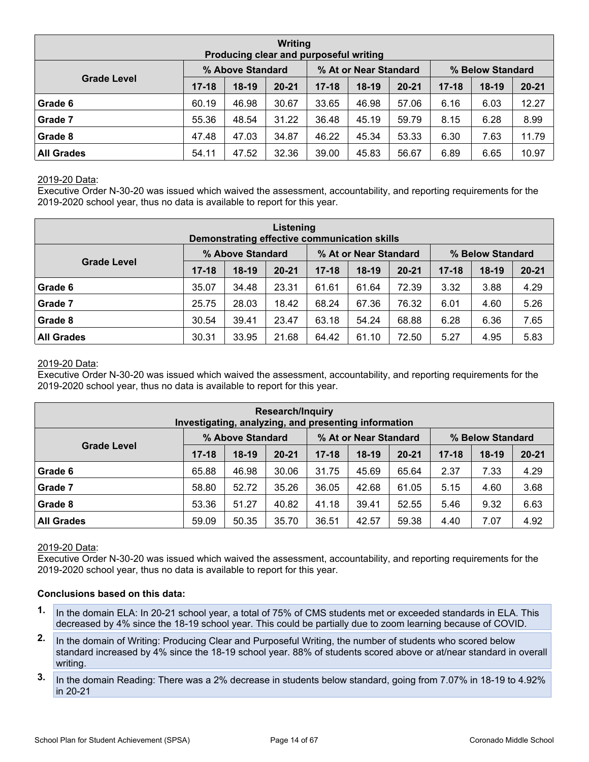| <b>Writing</b><br>Producing clear and purposeful writing |                  |         |           |                       |         |           |                  |         |           |  |  |
|----------------------------------------------------------|------------------|---------|-----------|-----------------------|---------|-----------|------------------|---------|-----------|--|--|
|                                                          | % Above Standard |         |           | % At or Near Standard |         |           | % Below Standard |         |           |  |  |
| <b>Grade Level</b>                                       | $17 - 18$        | $18-19$ | $20 - 21$ | $17 - 18$             | $18-19$ | $20 - 21$ | $17 - 18$        | $18-19$ | $20 - 21$ |  |  |
| Grade 6                                                  | 60.19            | 46.98   | 30.67     | 33.65                 | 46.98   | 57.06     | 6.16             | 6.03    | 12.27     |  |  |
| Grade 7                                                  | 55.36            | 48.54   | 31.22     | 36.48                 | 45.19   | 59.79     | 8.15             | 6.28    | 8.99      |  |  |
| Grade 8                                                  | 47.48            | 47.03   | 34.87     | 46.22                 | 45.34   | 53.33     | 6.30             | 7.63    | 11.79     |  |  |
| <b>All Grades</b>                                        | 54.11            | 47.52   | 32.36     | 39.00                 | 45.83   | 56.67     | 6.89             | 6.65    | 10.97     |  |  |

### 2019-20 Data:

Executive Order N-30-20 was issued which waived the assessment, accountability, and reporting requirements for the 2019-2020 school year, thus no data is available to report for this year.

| Listening<br>Demonstrating effective communication skills |                  |         |           |                       |         |           |                  |         |           |  |  |
|-----------------------------------------------------------|------------------|---------|-----------|-----------------------|---------|-----------|------------------|---------|-----------|--|--|
|                                                           | % Above Standard |         |           | % At or Near Standard |         |           | % Below Standard |         |           |  |  |
| <b>Grade Level</b>                                        | $17 - 18$        | $18-19$ | $20 - 21$ | $17 - 18$             | $18-19$ | $20 - 21$ | $17 - 18$        | $18-19$ | $20 - 21$ |  |  |
| Grade 6                                                   | 35.07            | 34.48   | 23.31     | 61.61                 | 61.64   | 72.39     | 3.32             | 3.88    | 4.29      |  |  |
| Grade 7                                                   | 25.75            | 28.03   | 18.42     | 68.24                 | 67.36   | 76.32     | 6.01             | 4.60    | 5.26      |  |  |
| Grade 8                                                   | 30.54            | 39.41   | 23.47     | 63.18                 | 54.24   | 68.88     | 6.28             | 6.36    | 7.65      |  |  |
| <b>All Grades</b>                                         | 30.31            | 33.95   | 21.68     | 64.42                 | 61.10   | 72.50     | 5.27             | 4.95    | 5.83      |  |  |

#### 2019-20 Data:

Executive Order N-30-20 was issued which waived the assessment, accountability, and reporting requirements for the 2019-2020 school year, thus no data is available to report for this year.

| <b>Research/Inquiry</b><br>Investigating, analyzing, and presenting information |           |                  |           |                       |         |           |                  |         |           |  |  |
|---------------------------------------------------------------------------------|-----------|------------------|-----------|-----------------------|---------|-----------|------------------|---------|-----------|--|--|
|                                                                                 |           | % Above Standard |           | % At or Near Standard |         |           | % Below Standard |         |           |  |  |
| <b>Grade Level</b>                                                              | $17 - 18$ | $18-19$          | $20 - 21$ | $17 - 18$             | $18-19$ | $20 - 21$ | $17 - 18$        | $18-19$ | $20 - 21$ |  |  |
| Grade 6                                                                         | 65.88     | 46.98            | 30.06     | 31.75                 | 45.69   | 65.64     | 2.37             | 7.33    | 4.29      |  |  |
| Grade 7                                                                         | 58.80     | 52.72            | 35.26     | 36.05                 | 42.68   | 61.05     | 5.15             | 4.60    | 3.68      |  |  |
| Grade 8                                                                         | 53.36     | 51.27            | 40.82     | 41.18                 | 39.41   | 52.55     | 5.46             | 9.32    | 6.63      |  |  |
| <b>All Grades</b>                                                               | 59.09     | 50.35            | 35.70     | 36.51                 | 42.57   | 59.38     | 4.40             | 7.07    | 4.92      |  |  |

#### 2019-20 Data:

Executive Order N-30-20 was issued which waived the assessment, accountability, and reporting requirements for the 2019-2020 school year, thus no data is available to report for this year.

#### **Conclusions based on this data:**

- **1.** In the domain ELA: In 20-21 school year, a total of 75% of CMS students met or exceeded standards in ELA. This decreased by 4% since the 18-19 school year. This could be partially due to zoom learning because of COVID.
- **2.** In the domain of Writing: Producing Clear and Purposeful Writing, the number of students who scored below standard increased by 4% since the 18-19 school year. 88% of students scored above or at/near standard in overall writing.
- **3.** In the domain Reading: There was a 2% decrease in students below standard, going from 7.07% in 18-19 to 4.92% in 20-21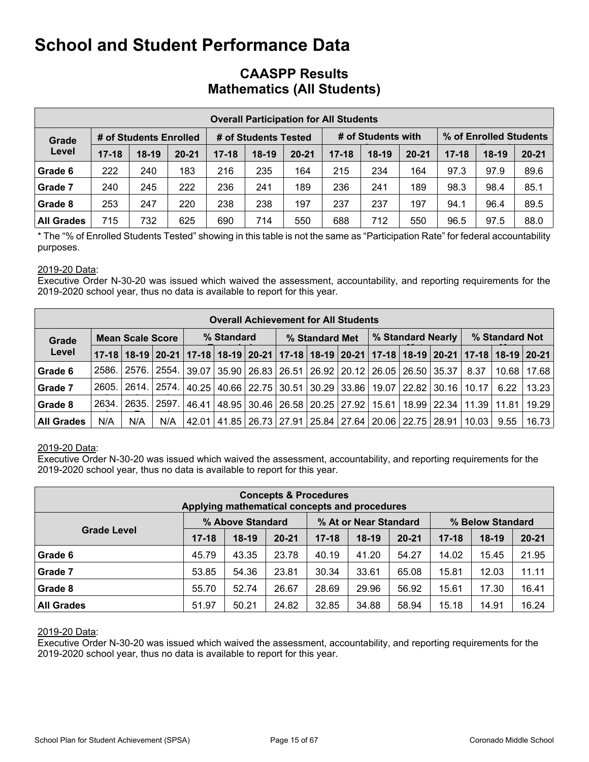## **CAASPP Results Mathematics (All Students)**

|                   |           |                        |           |           |                      | <b>Overall Participation for All Students</b> |           |                    |           |           |                        |           |
|-------------------|-----------|------------------------|-----------|-----------|----------------------|-----------------------------------------------|-----------|--------------------|-----------|-----------|------------------------|-----------|
| Grade             |           | # of Students Enrolled |           |           | # of Students Tested |                                               |           | # of Students with |           |           | % of Enrolled Students |           |
| Level             | $17 - 18$ | $18-19$                | $20 - 21$ | $17 - 18$ | $18-19$              | $20 - 21$                                     | $17 - 18$ | $18-19$            | $20 - 21$ | $17 - 18$ | $18-19$                | $20 - 21$ |
| Grade 6           | 222       | 240                    | 183       | 216       | 235                  | 164                                           | 215       | 234                | 164       | 97.3      | 97.9                   | 89.6      |
| Grade 7           | 240       | 245                    | 222       | 236       | 241                  | 189                                           | 236       | 241                | 189       | 98.3      | 98.4                   | 85.1      |
| Grade 8           | 253       | 247                    | 220       | 238       | 238                  | 197                                           | 237       | 237                | 197       | 94.1      | 96.4                   | 89.5      |
| <b>All Grades</b> | 715       | 732                    | 625       | 690       | 714                  | 550                                           | 688       | 712                | 550       | 96.5      | 97.5                   | 88.0      |

\* The "% of Enrolled Students Tested" showing in this table is not the same as "Participation Rate" for federal accountability purposes.

### 2019-20 Data:

Executive Order N-30-20 was issued which waived the assessment, accountability, and reporting requirements for the 2019-2020 school year, thus no data is available to report for this year.

|                   |        |                         |       |       |            |  |                | <b>Overall Achievement for All Students</b>                                                     |       |                   |                               |                |       |
|-------------------|--------|-------------------------|-------|-------|------------|--|----------------|-------------------------------------------------------------------------------------------------|-------|-------------------|-------------------------------|----------------|-------|
| Grade             |        | <b>Mean Scale Score</b> |       |       | % Standard |  | % Standard Met |                                                                                                 |       | % Standard Nearly |                               | % Standard Not |       |
| Level             |        |                         |       |       |            |  |                | 17-18 18-19 20-21 17-18 20-21 18-19 20-21 17-18 18-19 20-21 17-18 18-19 20-21 17-18 18-19 20-21 |       |                   |                               |                |       |
| Grade 6           | 2586.  | 2576. l                 | 2554. |       |            |  |                | 39.07 35.90 26.83 26.51 26.92 20.12 26.05 26.50 35.37                                           |       |                   | 8.37                          | 10.68          | 17.68 |
| Grade 7           | 2605.1 |                         |       |       |            |  |                | 2614.   2574.   40.25   40.66   22.75   30.51   30.29   33.86   19.07   22.82   30.16           |       |                   | $10.17$                       | 6.22           | 13.23 |
| <b>Grade 8</b>    | 2634.  | 2635. 2597.             |       |       |            |  |                | 46.41 48.95 30.46 26.58 20.25 27.92                                                             | 15.61 |                   | 18.99   22.34   11.39   11.81 |                | 19.29 |
| <b>All Grades</b> | N/A    | N/A                     | N/A   | 42.01 |            |  |                | 41.85   26.73   27.91   25.84   27.64   20.06   22.75   28.91                                   |       |                   | 10.03                         | 9.55           | 16.73 |

### 2019-20 Data:

Executive Order N-30-20 was issued which waived the assessment, accountability, and reporting requirements for the 2019-2020 school year, thus no data is available to report for this year.

|                                                                                     | Applying mathematical concepts and procedures |         | <b>Concepts &amp; Procedures</b> |           |         |           |           |         |           |  |  |  |  |  |
|-------------------------------------------------------------------------------------|-----------------------------------------------|---------|----------------------------------|-----------|---------|-----------|-----------|---------|-----------|--|--|--|--|--|
| % At or Near Standard<br>% Above Standard<br>% Below Standard<br><b>Grade Level</b> |                                               |         |                                  |           |         |           |           |         |           |  |  |  |  |  |
|                                                                                     | $17 - 18$                                     | $18-19$ | $20 - 21$                        | $17 - 18$ | $18-19$ | $20 - 21$ | $17 - 18$ | $18-19$ | $20 - 21$ |  |  |  |  |  |
| Grade 6                                                                             | 45.79                                         | 43.35   | 23.78                            | 40.19     | 41.20   | 54.27     | 14.02     | 15.45   | 21.95     |  |  |  |  |  |
| Grade 7                                                                             | 53.85                                         | 54.36   | 23.81                            | 30.34     | 33.61   | 65.08     | 15.81     | 12.03   | 11.11     |  |  |  |  |  |
| Grade 8                                                                             | 55.70                                         | 52.74   | 26.67                            | 28.69     | 29.96   | 56.92     | 15.61     | 17.30   | 16.41     |  |  |  |  |  |
| <b>All Grades</b>                                                                   | 51.97                                         | 50.21   | 24.82                            | 32.85     | 34.88   | 58.94     | 15.18     | 14.91   | 16.24     |  |  |  |  |  |

### 2019-20 Data:

Executive Order N-30-20 was issued which waived the assessment, accountability, and reporting requirements for the 2019-2020 school year, thus no data is available to report for this year.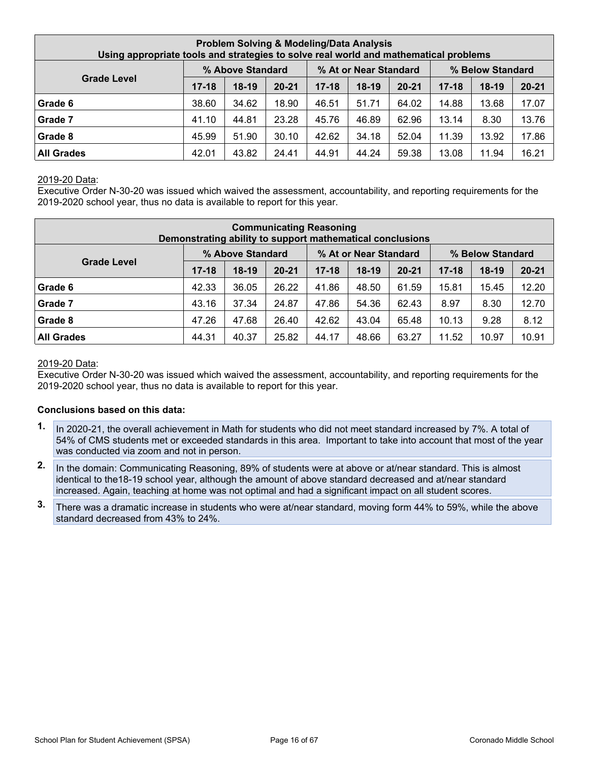| Using appropriate tools and strategies to solve real world and mathematical problems |           |                  | Problem Solving & Modeling/Data Analysis |           |                       |           |           |                  |           |
|--------------------------------------------------------------------------------------|-----------|------------------|------------------------------------------|-----------|-----------------------|-----------|-----------|------------------|-----------|
|                                                                                      |           | % Above Standard |                                          |           | % At or Near Standard |           |           | % Below Standard |           |
| <b>Grade Level</b>                                                                   | $17 - 18$ | $18-19$          | $20 - 21$                                | $17 - 18$ | $18-19$               | $20 - 21$ | $17 - 18$ | $18-19$          | $20 - 21$ |
| Grade 6                                                                              | 38.60     | 34.62            | 18.90                                    | 46.51     | 51.71                 | 64.02     | 14.88     | 13.68            | 17.07     |
| Grade 7                                                                              | 41.10     | 44.81            | 23.28                                    | 45.76     | 46.89                 | 62.96     | 13.14     | 8.30             | 13.76     |
| <b>Grade 8</b>                                                                       | 45.99     | 51.90            | 30.10                                    | 42.62     | 34.18                 | 52.04     | 11.39     | 13.92            | 17.86     |
| <b>All Grades</b>                                                                    | 42.01     | 43.82            | 24.41                                    | 44.91     | 44.24                 | 59.38     | 13.08     | 11.94            | 16.21     |

### 2019-20 Data:

Executive Order N-30-20 was issued which waived the assessment, accountability, and reporting requirements for the 2019-2020 school year, thus no data is available to report for this year.

|                                                                                     |           |         |           | <b>Communicating Reasoning</b><br>Demonstrating ability to support mathematical conclusions |         |           |           |         |           |  |  |  |  |  |
|-------------------------------------------------------------------------------------|-----------|---------|-----------|---------------------------------------------------------------------------------------------|---------|-----------|-----------|---------|-----------|--|--|--|--|--|
| % Above Standard<br>% At or Near Standard<br>% Below Standard<br><b>Grade Level</b> |           |         |           |                                                                                             |         |           |           |         |           |  |  |  |  |  |
|                                                                                     | $17 - 18$ | $18-19$ | $20 - 21$ | $17 - 18$                                                                                   | $18-19$ | $20 - 21$ | $17 - 18$ | $18-19$ | $20 - 21$ |  |  |  |  |  |
| Grade 6                                                                             | 42.33     | 36.05   | 26.22     | 41.86                                                                                       | 48.50   | 61.59     | 15.81     | 15.45   | 12.20     |  |  |  |  |  |
| Grade 7                                                                             | 43.16     | 37.34   | 24.87     | 47.86                                                                                       | 54.36   | 62.43     | 8.97      | 8.30    | 12.70     |  |  |  |  |  |
| Grade 8                                                                             | 47.26     | 47.68   | 26.40     | 42.62                                                                                       | 43.04   | 65.48     | 10.13     | 9.28    | 8.12      |  |  |  |  |  |
| <b>All Grades</b>                                                                   | 44.31     | 40.37   | 25.82     | 44.17                                                                                       | 48.66   | 63.27     | 11.52     | 10.97   | 10.91     |  |  |  |  |  |

#### 2019-20 Data:

Executive Order N-30-20 was issued which waived the assessment, accountability, and reporting requirements for the 2019-2020 school year, thus no data is available to report for this year.

#### **Conclusions based on this data:**

- **1.** In 2020-21, the overall achievement in Math for students who did not meet standard increased by 7%. A total of 54% of CMS students met or exceeded standards in this area. Important to take into account that most of the year was conducted via zoom and not in person.
- **2.** In the domain: Communicating Reasoning, 89% of students were at above or at/near standard. This is almost identical to the18-19 school year, although the amount of above standard decreased and at/near standard increased. Again, teaching at home was not optimal and had a significant impact on all student scores.
- **3.** There was a dramatic increase in students who were at/near standard, moving form 44% to 59%, while the above standard decreased from 43% to 24%.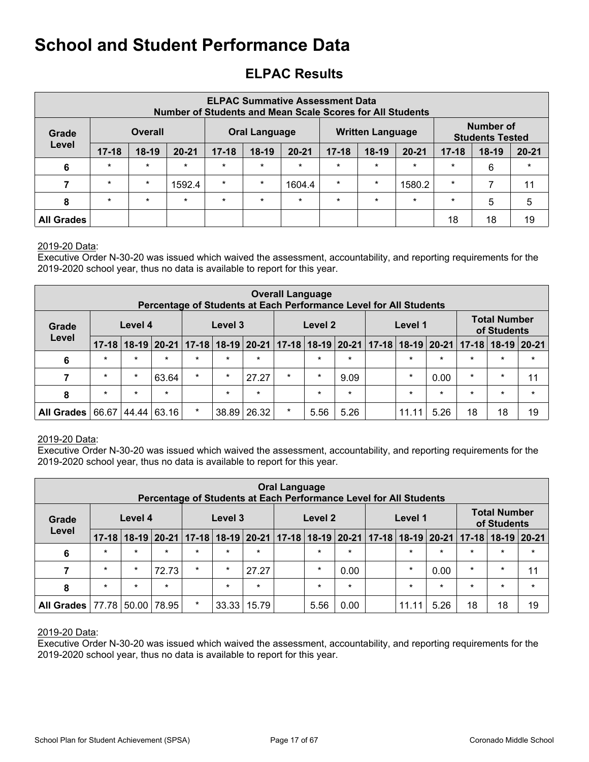## <span id="page-16-0"></span>**ELPAC Results**

|                   |           |                | <b>Number of Students and Mean Scale Scores for All Students</b> |           |                      | <b>ELPAC Summative Assessment Data</b> |           |                         |           |           |                                            |           |
|-------------------|-----------|----------------|------------------------------------------------------------------|-----------|----------------------|----------------------------------------|-----------|-------------------------|-----------|-----------|--------------------------------------------|-----------|
| Grade             |           | <b>Overall</b> |                                                                  |           | <b>Oral Language</b> |                                        |           | <b>Written Language</b> |           |           | <b>Number of</b><br><b>Students Tested</b> |           |
| Level             | $17 - 18$ | $18-19$        | $20 - 21$                                                        | $17 - 18$ | 18-19                | $20 - 21$                              | $17 - 18$ | $18-19$                 | $20 - 21$ | $17 - 18$ | $18-19$                                    | $20 - 21$ |
| 6                 | $\star$   | $\star$        | $\star$                                                          | $\star$   | $\star$              | $\star$                                | $\star$   | $\star$                 | $\star$   | $\star$   | 6                                          | $\star$   |
| 7                 | $\star$   | $\star$        | 1592.4                                                           | $\star$   | $\star$              | 1604.4                                 | $\star$   | $\star$                 | 1580.2    | $\star$   | 7                                          | 11        |
| 8                 | $\star$   | $\star$        | $\star$                                                          | $\star$   | $\star$              | $\star$                                | $\star$   | $\star$                 | $\star$   | $\star$   | 5                                          | 5         |
| <b>All Grades</b> |           |                |                                                                  |           |                      |                                        |           |                         |           | 18        | 18                                         | 19        |

### 2019-20 Data:

Executive Order N-30-20 was issued which waived the assessment, accountability, and reporting requirements for the 2019-2020 school year, thus no data is available to report for this year.

|                   |           |         |         | Percentage of Students at Each Performance Level for All Students                   |         |         | <b>Overall Language</b> |         |         |         |         |         |                                    |         |
|-------------------|-----------|---------|---------|-------------------------------------------------------------------------------------|---------|---------|-------------------------|---------|---------|---------|---------|---------|------------------------------------|---------|
| Grade             |           | Level 4 |         |                                                                                     | Level 3 |         |                         | Level 2 |         | Level 1 |         |         | <b>Total Number</b><br>of Students |         |
| Level             | $17 - 18$ |         |         | 18-19 20-21 17-18 18-19 20-21 17-18 18-19 20-21 17-18 18-19 20-21 17-18 18-19 20-21 |         |         |                         |         |         |         |         |         |                                    |         |
| 6                 | $\star$   | $\star$ | $\star$ | $\star$                                                                             | $\star$ | $\star$ |                         | $\star$ | $\star$ | $\star$ | $\star$ | $\star$ | $\star$                            | $\star$ |
|                   | $\star$   | $\ast$  | 63.64   | $\star$                                                                             | $\star$ | 27.27   | $\star$                 | $\star$ | 9.09    | $\ast$  | 0.00    | $\star$ | $\star$                            | 11      |
| 8                 | $\star$   | $\star$ | $\star$ |                                                                                     | $\star$ | $\star$ |                         | $\star$ | $\star$ | $\star$ | $\star$ | $\star$ | $\star$                            | $\star$ |
| <b>All Grades</b> | 66.67     | 44.44   | 63.16   | $\star$                                                                             | 38.89   | 26.32   | $\star$                 | 5.56    | 5.26    | 11.11   | 5.26    | 18      | 18                                 | 19      |

### 2019-20 Data:

Executive Order N-30-20 was issued which waived the assessment, accountability, and reporting requirements for the 2019-2020 school year, thus no data is available to report for this year.

|                          |                                                                                                                                                                                                               |         |         | Percentage of Students at Each Performance Level for All Students |         |         | <b>Oral Language</b> |         |         |  |         |         |         |         |         |
|--------------------------|---------------------------------------------------------------------------------------------------------------------------------------------------------------------------------------------------------------|---------|---------|-------------------------------------------------------------------|---------|---------|----------------------|---------|---------|--|---------|---------|---------|---------|---------|
| Grade                    | <b>Total Number</b><br>Level 4<br>Level 3<br>Level 2<br>Level 1<br>of Students<br>18-19 20-21   17-18   18-19   20-21   17-18   18-19   20-21   17-18   18-19   20-21   17-18  <br>$18-19$ 20-21<br>$17 - 18$ |         |         |                                                                   |         |         |                      |         |         |  |         |         |         |         |         |
| Level                    |                                                                                                                                                                                                               |         |         |                                                                   |         |         |                      |         |         |  |         |         |         |         |         |
| 6                        | $\star$                                                                                                                                                                                                       | $\star$ | $\star$ | $\star$                                                           | $\star$ | $\star$ |                      | $\star$ | $\star$ |  | $\star$ | $\star$ | $\star$ | $\star$ | $\star$ |
| $\overline{\phantom{a}}$ | $\star$                                                                                                                                                                                                       | $\star$ | 72.73   | $\star$                                                           | $\star$ | 27.27   |                      | $\star$ | 0.00    |  | $\star$ | 0.00    | $\star$ | $\star$ | 11      |
| 8                        | $\star$                                                                                                                                                                                                       | $\star$ | $\star$ |                                                                   | $\star$ | $\ast$  |                      | $\star$ | $\star$ |  | $\star$ | $\star$ | $\star$ | $\star$ | $\star$ |
| <b>All Grades</b>        | 77.78                                                                                                                                                                                                         | 50.00   | 78.95   | $\star$                                                           | 33.33   | 15.79   |                      | 5.56    | 0.00    |  | 11.11   | 5.26    | 18      | 18      | 19      |

#### 2019-20 Data:

Executive Order N-30-20 was issued which waived the assessment, accountability, and reporting requirements for the 2019-2020 school year, thus no data is available to report for this year.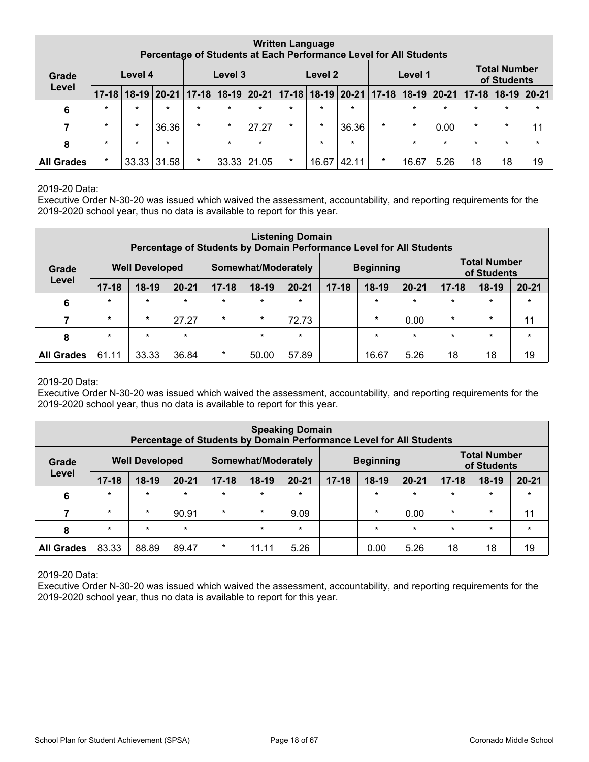|                   |           |           |         |               | Percentage of Students at Each Performance Level for All Students |         |         | <b>Written Language</b>                 |         |                                        |         |         |         |                                    |         |
|-------------------|-----------|-----------|---------|---------------|-------------------------------------------------------------------|---------|---------|-----------------------------------------|---------|----------------------------------------|---------|---------|---------|------------------------------------|---------|
| Grade             |           | Level 4   |         |               | Level 3                                                           |         |         | Level 2                                 |         |                                        | Level 1 |         |         | <b>Total Number</b><br>of Students |         |
| Level             | $17 - 18$ | $18 - 19$ |         | 20-21   17-18 |                                                                   |         |         | $18-19$   20-21   17-18   18-19   20-21 |         | $ 17-18 18-19 20-21 17-18 18-19 20-21$ |         |         |         |                                    |         |
| 6                 | $\star$   | $\star$   | $\star$ | $\star$       | $\star$                                                           | $\star$ | $\star$ | $\star$                                 | $\star$ |                                        | $\star$ | $\star$ | $\star$ | $\star$                            | $\star$ |
|                   | $\star$   | $\star$   | 36.36   | $\star$       | $\star$                                                           | 27.27   | $\star$ | $\star$                                 | 36.36   | $\star$                                | $\star$ | 0.00    | $\star$ | $\star$                            | 11      |
| 8                 | $\star$   | $\star$   | $\star$ |               | $\star$                                                           | $\star$ |         | $\star$                                 | $\star$ |                                        | $\star$ | $\star$ | $\star$ | $\star$                            | $\star$ |
| <b>All Grades</b> | $\star$   | 33.33     | 31.58   | $\star$       | 33.33                                                             | 21.05   | $\star$ | 16.67                                   | 42.11   | $\ast$                                 | 16.67   | 5.26    | 18      | 18                                 | 19      |

#### 2019-20 Data:

Executive Order N-30-20 was issued which waived the assessment, accountability, and reporting requirements for the 2019-2020 school year, thus no data is available to report for this year.

|                   |           |                       | Percentage of Students by Domain Performance Level for All Students |           |                     | <b>Listening Domain</b> |           |                  |           |           |                                    |           |
|-------------------|-----------|-----------------------|---------------------------------------------------------------------|-----------|---------------------|-------------------------|-----------|------------------|-----------|-----------|------------------------------------|-----------|
| Grade             |           | <b>Well Developed</b> |                                                                     |           | Somewhat/Moderately |                         |           | <b>Beginning</b> |           |           | <b>Total Number</b><br>of Students |           |
| Level             | $17 - 18$ | $18-19$               | $20 - 21$                                                           | $17 - 18$ | $18-19$             | $20 - 21$               | $17 - 18$ | $18-19$          | $20 - 21$ | $17 - 18$ | $18-19$                            | $20 - 21$ |
| 6                 | $\star$   | $\star$               | $\star$                                                             | $\star$   | $\star$             | $\star$                 |           | $\star$          | $\star$   | $\star$   | $\star$                            | $\star$   |
|                   | $\star$   | $\star$               | 27.27                                                               | $\star$   | $\star$             | 72.73                   |           | $\ast$           | 0.00      | $\star$   | $\star$                            | 11        |
| 8                 | $\star$   | $\star$               | $\star$                                                             |           | $\star$             | $\ast$                  |           | $\star$          | $\star$   | $\star$   | $\star$                            | $\star$   |
| <b>All Grades</b> | 61.11     | 33.33                 | 36.84                                                               | $\star$   | 50.00               | 57.89                   |           | 16.67            | 5.26      | 18        | 18                                 | 19        |

#### 2019-20 Data:

Executive Order N-30-20 was issued which waived the assessment, accountability, and reporting requirements for the 2019-2020 school year, thus no data is available to report for this year.

|                   |           |                       | Percentage of Students by Domain Performance Level for All Students |           |                     | <b>Speaking Domain</b> |           |                  |           |           |                                    |           |
|-------------------|-----------|-----------------------|---------------------------------------------------------------------|-----------|---------------------|------------------------|-----------|------------------|-----------|-----------|------------------------------------|-----------|
| Grade             |           | <b>Well Developed</b> |                                                                     |           | Somewhat/Moderately |                        |           | <b>Beginning</b> |           |           | <b>Total Number</b><br>of Students |           |
| Level             | $17 - 18$ | $18-19$               | $20 - 21$                                                           | $17 - 18$ | 18-19               | $20 - 21$              | $17 - 18$ | $18-19$          | $20 - 21$ | $17 - 18$ | $18-19$                            | $20 - 21$ |
| 6                 | $\star$   | $\star$               | $\star$                                                             | $\star$   | $\star$             | $\star$                |           | $\star$          | $\star$   | $\star$   | $\star$                            | $\star$   |
|                   | $\star$   | $\star$               | 90.91                                                               | $\star$   | $\star$             | 9.09                   |           | $\star$          | 0.00      | $\star$   | $\star$                            | 11        |
| 8                 | $\star$   | $\star$               | $\star$                                                             |           | $\star$             | $\star$                |           | $\star$          | $\star$   | $\star$   | $\star$                            | $\star$   |
| <b>All Grades</b> | 83.33     | 88.89                 | 89.47                                                               | $\star$   | 11.11               | 5.26                   |           | 0.00             | 5.26      | 18        | 18                                 | 19        |

2019-20 Data:

Executive Order N-30-20 was issued which waived the assessment, accountability, and reporting requirements for the 2019-2020 school year, thus no data is available to report for this year.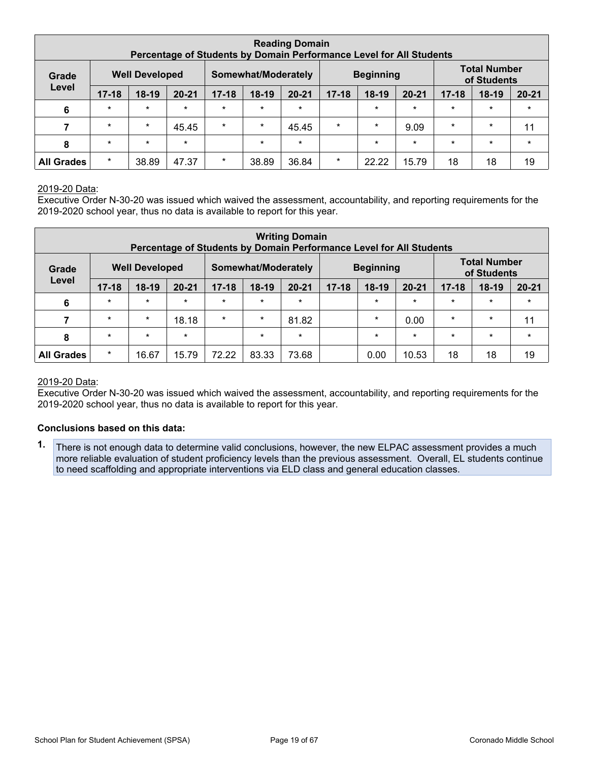|                   |           |                       | Percentage of Students by Domain Performance Level for All Students |           |                     | <b>Reading Domain</b> |           |                  |           |           |                                    |           |
|-------------------|-----------|-----------------------|---------------------------------------------------------------------|-----------|---------------------|-----------------------|-----------|------------------|-----------|-----------|------------------------------------|-----------|
| Grade             |           | <b>Well Developed</b> |                                                                     |           | Somewhat/Moderately |                       |           | <b>Beginning</b> |           |           | <b>Total Number</b><br>of Students |           |
| Level             | $17 - 18$ | $18-19$               | $20 - 21$                                                           | $17 - 18$ | $18-19$             | $20 - 21$             | $17 - 18$ | $18-19$          | $20 - 21$ | $17 - 18$ | $18-19$                            | $20 - 21$ |
| 6                 | $\star$   | $\star$               | $\star$                                                             | $\star$   | $\star$             | $\star$               |           | $\star$          | $\star$   | $\star$   | $\star$                            | $\star$   |
|                   | $\star$   | $\star$               | 45.45                                                               | $\star$   | $\star$             | 45.45                 | $\star$   | $\star$          | 9.09      | $\star$   | $\star$                            | 11        |
| 8                 | $\star$   | $\star$               | $\star$                                                             |           | $\star$             | $\star$               |           | $\star$          | $\star$   | $\star$   | $\star$                            | $\star$   |
| <b>All Grades</b> | $\star$   | 38.89                 | 47.37                                                               | $\star$   | 38.89               | 36.84                 | $\star$   | 22.22            | 15.79     | 18        | 18                                 | 19        |

#### 2019-20 Data:

Executive Order N-30-20 was issued which waived the assessment, accountability, and reporting requirements for the 2019-2020 school year, thus no data is available to report for this year.

| <b>Writing Domain</b><br>Percentage of Students by Domain Performance Level for All Students |           |         |           |           |         |                                    |           |         |           |           |         |           |
|----------------------------------------------------------------------------------------------|-----------|---------|-----------|-----------|---------|------------------------------------|-----------|---------|-----------|-----------|---------|-----------|
| <b>Well Developed</b><br><b>Beginning</b><br>Somewhat/Moderately<br>Grade                    |           |         |           |           |         | <b>Total Number</b><br>of Students |           |         |           |           |         |           |
| Level                                                                                        | $17 - 18$ | $18-19$ | $20 - 21$ | $17 - 18$ | $18-19$ | $20 - 21$                          | $17 - 18$ | $18-19$ | $20 - 21$ | $17 - 18$ | $18-19$ | $20 - 21$ |
| 6                                                                                            | $\star$   | $\star$ | $\star$   | $\star$   | $\star$ | $\ast$                             |           | $\star$ | $\star$   | $\star$   | $\star$ | $\star$   |
| 7                                                                                            | $\star$   | $\star$ | 18.18     | $\star$   | $\star$ | 81.82                              |           | $\star$ | 0.00      | $\star$   | $\star$ | 11        |
| 8                                                                                            | $\star$   | $\star$ | $\star$   |           | $\star$ | $\ast$                             |           | $\ast$  | $\star$   | $\star$   | $\star$ | $\star$   |
| <b>All Grades</b>                                                                            | $\star$   | 16.67   | 15.79     | 72.22     | 83.33   | 73.68                              |           | 0.00    | 10.53     | 18        | 18      | 19        |

#### 2019-20 Data:

Executive Order N-30-20 was issued which waived the assessment, accountability, and reporting requirements for the 2019-2020 school year, thus no data is available to report for this year.

#### **Conclusions based on this data:**

**1.** There is not enough data to determine valid conclusions, however, the new ELPAC assessment provides a much more reliable evaluation of student proficiency levels than the previous assessment. Overall, EL students continue to need scaffolding and appropriate interventions via ELD class and general education classes.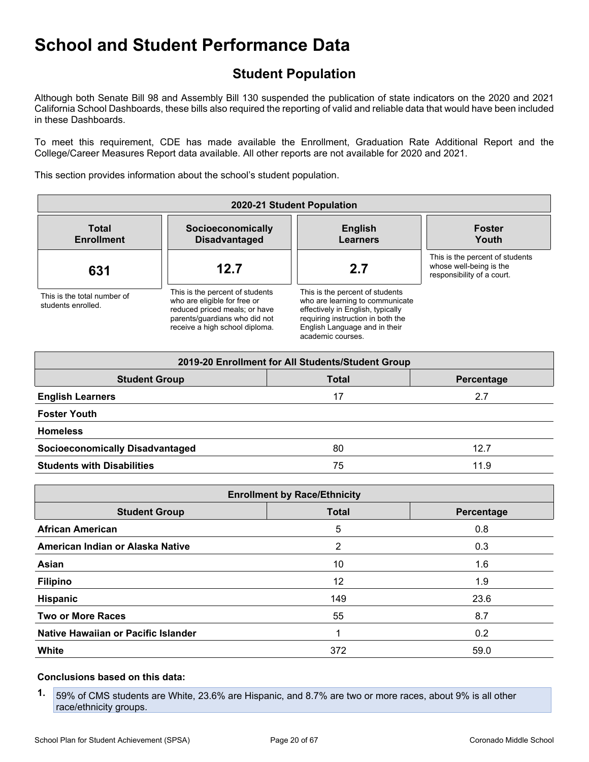## <span id="page-19-0"></span>**Student Population**

Although both Senate Bill 98 and Assembly Bill 130 suspended the publication of state indicators on the 2020 and 2021 California School Dashboards, these bills also required the reporting of valid and reliable data that would have been included in these Dashboards.

To meet this requirement, CDE has made available the Enrollment, Graduation Rate Additional Report and the College/Career Measures Report data available. All other reports are not available for 2020 and 2021.

This section provides information about the school's student population.

| 2020-21 Student Population                        |                                                                                                                                                                     |                                                                                                                                                                                                    |                                                                                          |  |  |
|---------------------------------------------------|---------------------------------------------------------------------------------------------------------------------------------------------------------------------|----------------------------------------------------------------------------------------------------------------------------------------------------------------------------------------------------|------------------------------------------------------------------------------------------|--|--|
| <b>Total</b><br><b>Enrollment</b>                 | Socioeconomically<br><b>Disadvantaged</b>                                                                                                                           | <b>English</b><br><b>Learners</b>                                                                                                                                                                  | <b>Foster</b><br>Youth                                                                   |  |  |
| 631                                               | 12.7                                                                                                                                                                | 2.7                                                                                                                                                                                                | This is the percent of students<br>whose well-being is the<br>responsibility of a court. |  |  |
| This is the total number of<br>students enrolled. | This is the percent of students<br>who are eligible for free or<br>reduced priced meals; or have<br>parents/quardians who did not<br>receive a high school diploma. | This is the percent of students<br>who are learning to communicate<br>effectively in English, typically<br>requiring instruction in both the<br>English Language and in their<br>academic courses. |                                                                                          |  |  |

| 2019-20 Enrollment for All Students/Student Group |              |            |  |  |  |
|---------------------------------------------------|--------------|------------|--|--|--|
| <b>Student Group</b>                              | <b>Total</b> | Percentage |  |  |  |
| <b>English Learners</b>                           | 17           | 2.7        |  |  |  |
| <b>Foster Youth</b>                               |              |            |  |  |  |
| <b>Homeless</b>                                   |              |            |  |  |  |
| <b>Socioeconomically Disadvantaged</b>            | 80           | 12.7       |  |  |  |
| <b>Students with Disabilities</b>                 | 75           | 11.9       |  |  |  |

| <b>Enrollment by Race/Ethnicity</b> |              |            |  |  |  |
|-------------------------------------|--------------|------------|--|--|--|
| <b>Student Group</b>                | <b>Total</b> | Percentage |  |  |  |
| <b>African American</b>             | 5            | 0.8        |  |  |  |
| American Indian or Alaska Native    | 2            | 0.3        |  |  |  |
| Asian                               | 10           | 1.6        |  |  |  |
| <b>Filipino</b>                     | 12           | 1.9        |  |  |  |
| Hispanic                            | 149          | 23.6       |  |  |  |
| <b>Two or More Races</b>            | 55           | 8.7        |  |  |  |
| Native Hawaiian or Pacific Islander |              | 0.2        |  |  |  |
| White                               | 372          | 59.0       |  |  |  |

### **Conclusions based on this data:**

**1.** 59% of CMS students are White, 23.6% are Hispanic, and 8.7% are two or more races, about 9% is all other race/ethnicity groups.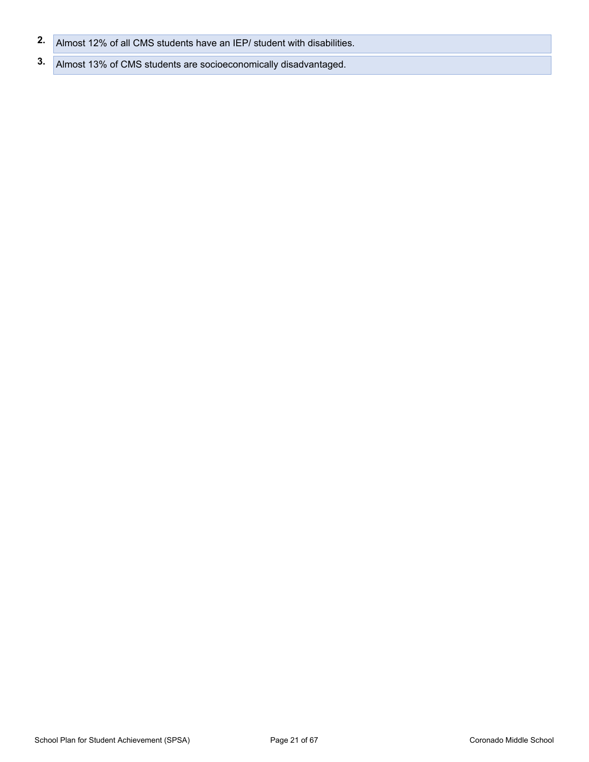- **2.** Almost 12% of all CMS students have an IEP/ student with disabilities.
- **3.** Almost 13% of CMS students are socioeconomically disadvantaged.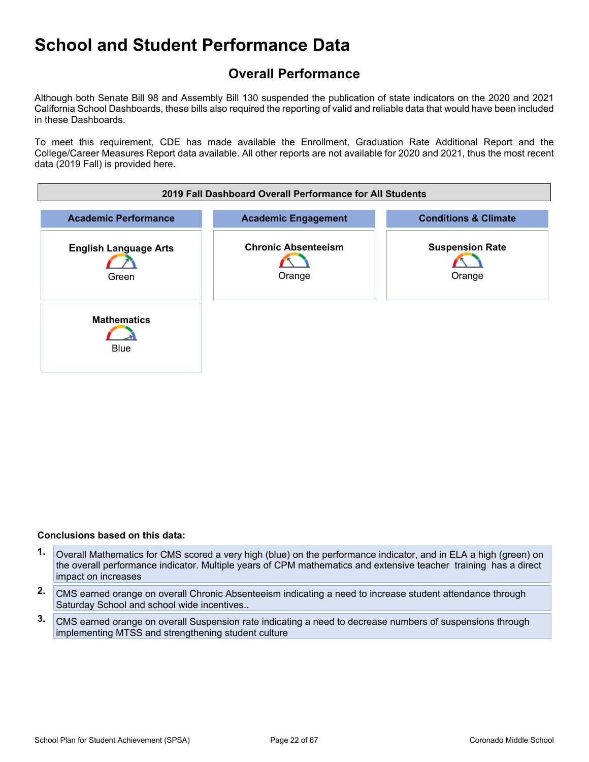## <span id="page-21-0"></span>**Overall Performance**

Although both Senate Bill 98 and Assembly Bill 130 suspended the publication of state indicators on the 2020 and 2021 California School Dashboards, these bills also required the reporting of valid and reliable data that would have been included in these Dashboards.

To meet this requirement, CDE has made available the Enrollment, Graduation Rate Additional Report and the College/Career Measures Report data available. All other reports are not available for 2020 and 2021, thus the most recent data (2019 Fall) is provided here.



#### **Conclusions based on this data:**

- **1.** Overall Mathematics for CMS scored a very high (blue) on the performance indicator, and in ELA a high (green) on the overall performance indicator. Multiple years of CPM mathematics and extensive teacher training has a direct impact on increases
- **2.** CMS earned orange on overall Chronic Absenteeism indicating a need to increase student attendance through Saturday School and school wide incentives..
- **3.** CMS earned orange on overall Suspension rate indicating a need to decrease numbers of suspensions through implementing MTSS and strengthening student culture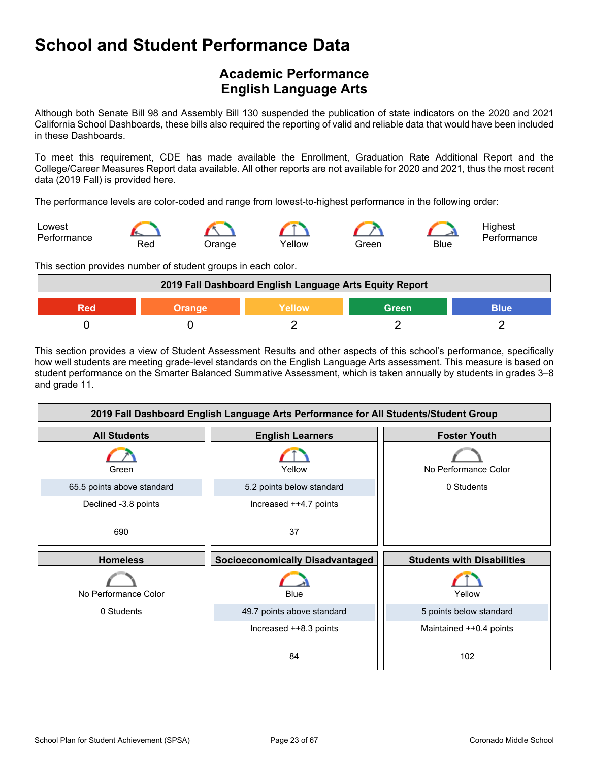## <span id="page-22-0"></span>**Academic Performance English Language Arts**

Although both Senate Bill 98 and Assembly Bill 130 suspended the publication of state indicators on the 2020 and 2021 California School Dashboards, these bills also required the reporting of valid and reliable data that would have been included in these Dashboards.

To meet this requirement, CDE has made available the Enrollment, Graduation Rate Additional Report and the College/Career Measures Report data available. All other reports are not available for 2020 and 2021, thus the most recent data (2019 Fall) is provided here.

The performance levels are color-coded and range from lowest-to-highest performance in the following order:



This section provides number of student groups in each color.

| 2019 Fall Dashboard English Language Arts Equity Report |               |               |       |             |
|---------------------------------------------------------|---------------|---------------|-------|-------------|
|                                                         | <b>Orange</b> | <b>Yellow</b> | Green | <b>Blue</b> |
|                                                         |               |               |       |             |

This section provides a view of Student Assessment Results and other aspects of this school's performance, specifically how well students are meeting grade-level standards on the English Language Arts assessment. This measure is based on student performance on the Smarter Balanced Summative Assessment, which is taken annually by students in grades 3–8 and grade 11.

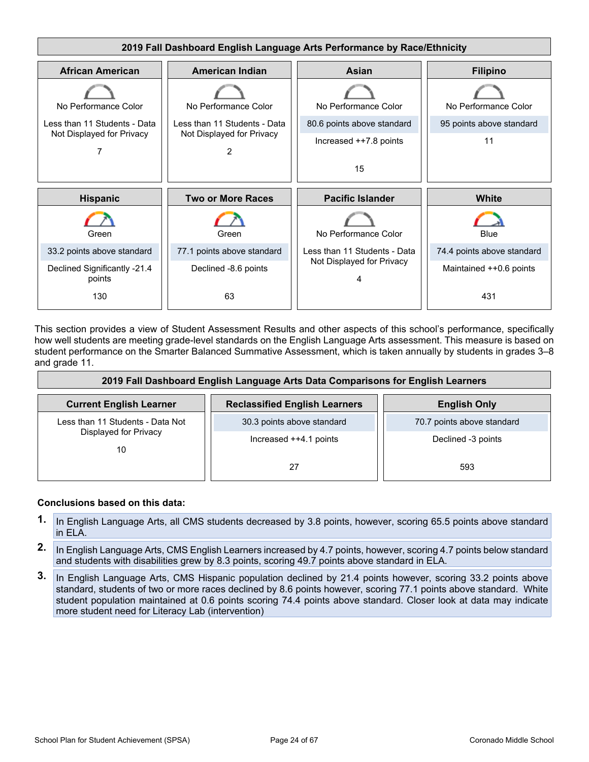

This section provides a view of Student Assessment Results and other aspects of this school's performance, specifically how well students are meeting grade-level standards on the English Language Arts assessment. This measure is based on student performance on the Smarter Balanced Summative Assessment, which is taken annually by students in grades 3–8 and grade 11.

| 2019 Fall Dashboard English Language Arts Data Comparisons for English Learners |                                      |                            |  |  |  |
|---------------------------------------------------------------------------------|--------------------------------------|----------------------------|--|--|--|
| <b>Current English Learner</b>                                                  | <b>Reclassified English Learners</b> | <b>English Only</b>        |  |  |  |
| Less than 11 Students - Data Not<br>Displayed for Privacy<br>10                 | 30.3 points above standard           | 70.7 points above standard |  |  |  |
|                                                                                 | Increased ++4.1 points               | Declined -3 points         |  |  |  |
|                                                                                 | 27                                   | 593                        |  |  |  |

### **Conclusions based on this data:**

- **1.** In English Language Arts, all CMS students decreased by 3.8 points, however, scoring 65.5 points above standard in ELA.
- **2.** In English Language Arts, CMS English Learners increased by 4.7 points, however, scoring 4.7 points below standard and students with disabilities grew by 8.3 points, scoring 49.7 points above standard in ELA.
- **3.** In English Language Arts, CMS Hispanic population declined by 21.4 points however, scoring 33.2 points above standard, students of two or more races declined by 8.6 points however, scoring 77.1 points above standard. White student population maintained at 0.6 points scoring 74.4 points above standard. Closer look at data may indicate more student need for Literacy Lab (intervention)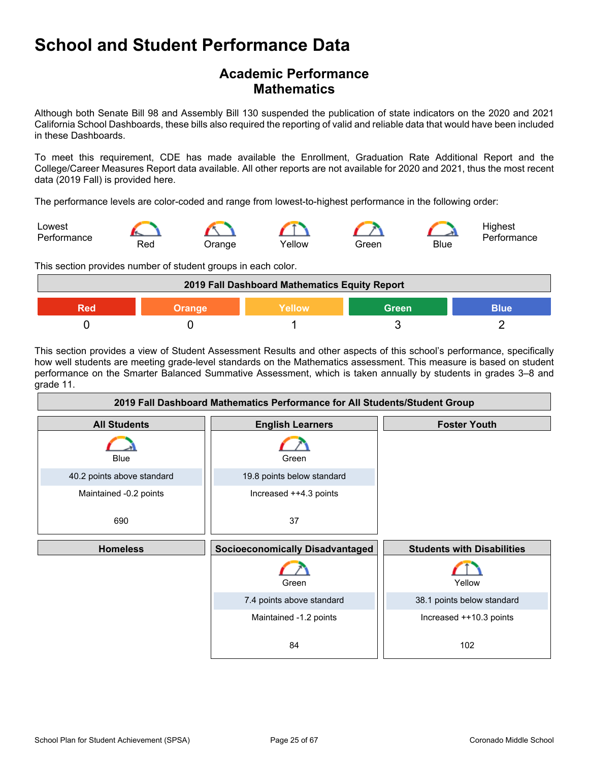## **Academic Performance Mathematics**

Although both Senate Bill 98 and Assembly Bill 130 suspended the publication of state indicators on the 2020 and 2021 California School Dashboards, these bills also required the reporting of valid and reliable data that would have been included in these Dashboards.

To meet this requirement, CDE has made available the Enrollment, Graduation Rate Additional Report and the College/Career Measures Report data available. All other reports are not available for 2020 and 2021, thus the most recent data (2019 Fall) is provided here.

The performance levels are color-coded and range from lowest-to-highest performance in the following order:



This section provides number of student groups in each color.

| 2019 Fall Dashboard Mathematics Equity Report |               |        |              |             |
|-----------------------------------------------|---------------|--------|--------------|-------------|
| Red                                           | <b>Orange</b> | Yellow | <b>Green</b> | <b>Blue</b> |
|                                               |               |        |              |             |

This section provides a view of Student Assessment Results and other aspects of this school's performance, specifically how well students are meeting grade-level standards on the Mathematics assessment. This measure is based on student performance on the Smarter Balanced Summative Assessment, which is taken annually by students in grades 3–8 and grade 11.

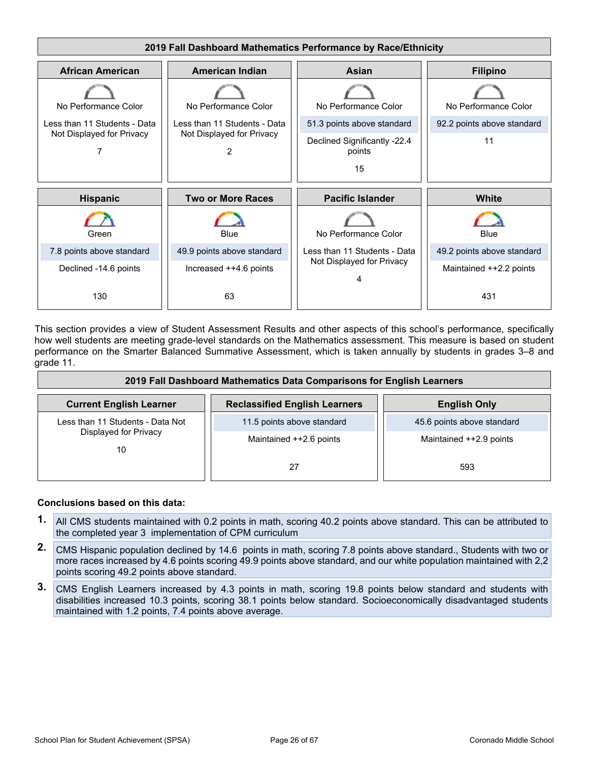

This section provides a view of Student Assessment Results and other aspects of this school's performance, specifically how well students are meeting grade-level standards on the Mathematics assessment. This measure is based on student performance on the Smarter Balanced Summative Assessment, which is taken annually by students in grades 3–8 and grade 11.

| 2019 Fall Dashboard Mathematics Data Comparisons for English Learners |                                      |                            |  |  |  |
|-----------------------------------------------------------------------|--------------------------------------|----------------------------|--|--|--|
| <b>Current English Learner</b>                                        | <b>Reclassified English Learners</b> | <b>English Only</b>        |  |  |  |
| Less than 11 Students - Data Not<br>Displayed for Privacy<br>10       | 11.5 points above standard           | 45.6 points above standard |  |  |  |
|                                                                       | Maintained ++2.6 points              | Maintained ++2.9 points    |  |  |  |
|                                                                       | 27                                   | 593                        |  |  |  |

### **Conclusions based on this data:**

- **1.** All CMS students maintained with 0.2 points in math, scoring 40.2 points above standard. This can be attributed to the completed year 3 implementation of CPM curriculum
- **2.** CMS Hispanic population declined by 14.6 points in math, scoring 7.8 points above standard., Students with two or more races increased by 4.6 points scoring 49.9 points above standard, and our white population maintained with 2,2 points scoring 49.2 points above standard.
- **3.** CMS English Learners increased by 4.3 points in math, scoring 19.8 points below standard and students with disabilities increased 10.3 points, scoring 38.1 points below standard. Socioeconomically disadvantaged students maintained with 1.2 points, 7.4 points above average.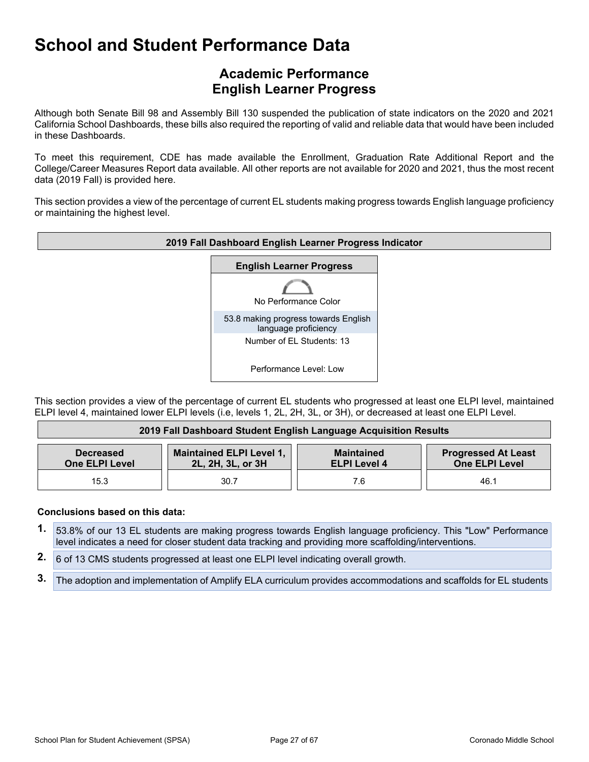## **Academic Performance English Learner Progress**

Although both Senate Bill 98 and Assembly Bill 130 suspended the publication of state indicators on the 2020 and 2021 California School Dashboards, these bills also required the reporting of valid and reliable data that would have been included in these Dashboards.

To meet this requirement, CDE has made available the Enrollment, Graduation Rate Additional Report and the College/Career Measures Report data available. All other reports are not available for 2020 and 2021, thus the most recent data (2019 Fall) is provided here.

This section provides a view of the percentage of current EL students making progress towards English language proficiency or maintaining the highest level.



This section provides a view of the percentage of current EL students who progressed at least one ELPI level, maintained ELPI level 4, maintained lower ELPI levels (i.e, levels 1, 2L, 2H, 3L, or 3H), or decreased at least one ELPI Level.

| 2019 Fall Dashboard Student English Language Acquisition Results |                                                      |                                          |                                                     |  |  |
|------------------------------------------------------------------|------------------------------------------------------|------------------------------------------|-----------------------------------------------------|--|--|
| <b>Decreased</b><br><b>One ELPI Level</b>                        | <b>Maintained ELPI Level 1,</b><br>2L, 2H, 3L, or 3H | <b>Maintained</b><br><b>ELPI Level 4</b> | <b>Progressed At Least</b><br><b>One ELPI Level</b> |  |  |
| 15.3                                                             | 30.7                                                 | 7.6                                      | 46.1                                                |  |  |

### **Conclusions based on this data:**

- **1.** 53.8% of our 13 EL students are making progress towards English language proficiency. This "Low" Performance level indicates a need for closer student data tracking and providing more scaffolding/interventions.
- **2.** 6 of 13 CMS students progressed at least one ELPI level indicating overall growth.
- **3.** The adoption and implementation of Amplify ELA curriculum provides accommodations and scaffolds for EL students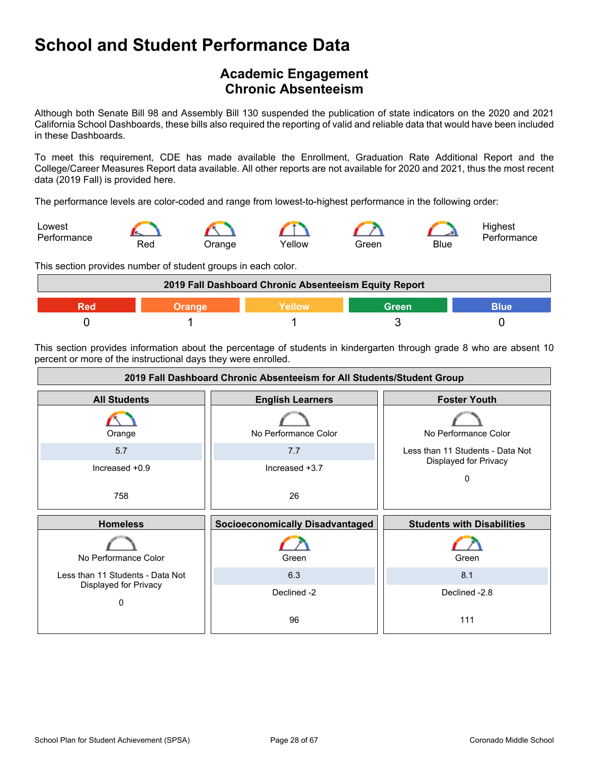## <span id="page-27-0"></span>**Academic Engagement Chronic Absenteeism**

Although both Senate Bill 98 and Assembly Bill 130 suspended the publication of state indicators on the 2020 and 2021 California School Dashboards, these bills also required the reporting of valid and reliable data that would have been included in these Dashboards.

To meet this requirement, CDE has made available the Enrollment, Graduation Rate Additional Report and the College/Career Measures Report data available. All other reports are not available for 2020 and 2021, thus the most recent data (2019 Fall) is provided here.

The performance levels are color-coded and range from lowest-to-highest performance in the following order:



This section provides number of student groups in each color.



This section provides information about the percentage of students in kindergarten through grade 8 who are absent 10 percent or more of the instructional days they were enrolled.

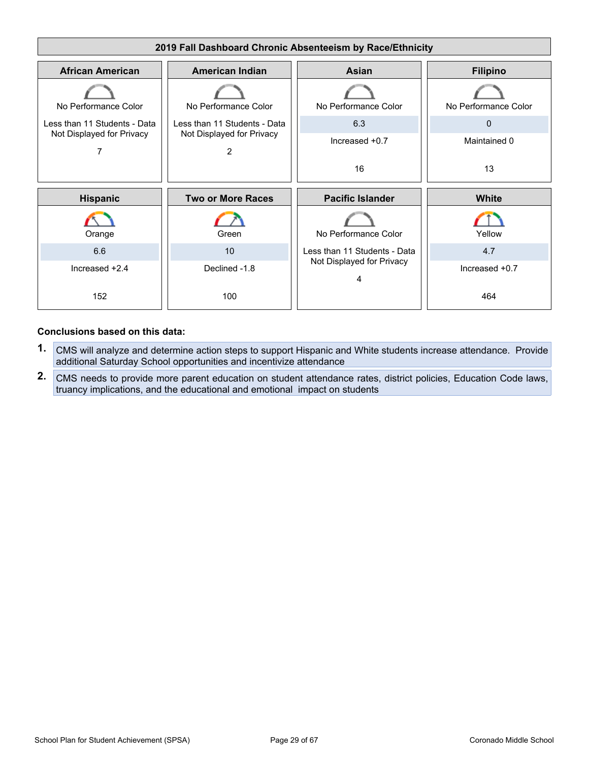

### **Conclusions based on this data:**

- **1.** CMS will analyze and determine action steps to support Hispanic and White students increase attendance. Provide additional Saturday School opportunities and incentivize attendance
- **2.** CMS needs to provide more parent education on student attendance rates, district policies, Education Code laws, truancy implications, and the educational and emotional impact on students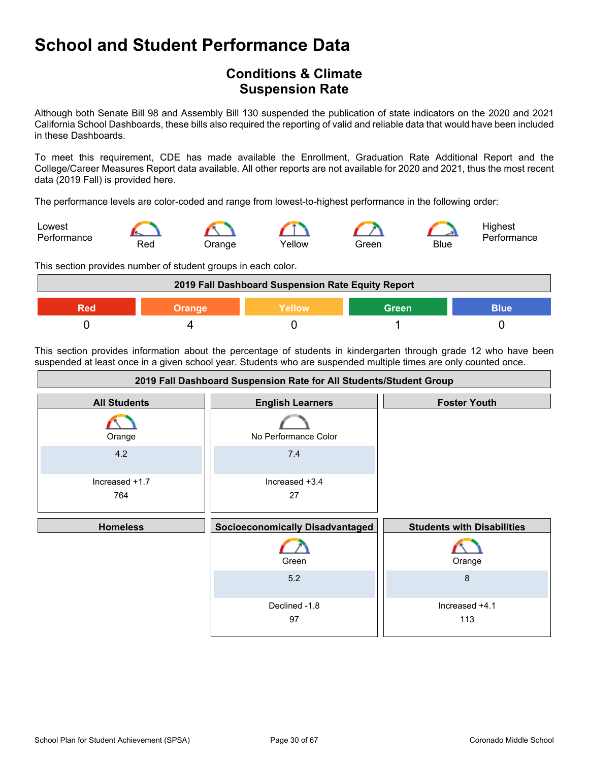## <span id="page-29-0"></span>**Conditions & Climate Suspension Rate**

Although both Senate Bill 98 and Assembly Bill 130 suspended the publication of state indicators on the 2020 and 2021 California School Dashboards, these bills also required the reporting of valid and reliable data that would have been included in these Dashboards.

To meet this requirement, CDE has made available the Enrollment, Graduation Rate Additional Report and the College/Career Measures Report data available. All other reports are not available for 2020 and 2021, thus the most recent data (2019 Fall) is provided here.

The performance levels are color-coded and range from lowest-to-highest performance in the following order:



This section provides number of student groups in each color.



This section provides information about the percentage of students in kindergarten through grade 12 who have been suspended at least once in a given school year. Students who are suspended multiple times are only counted once.

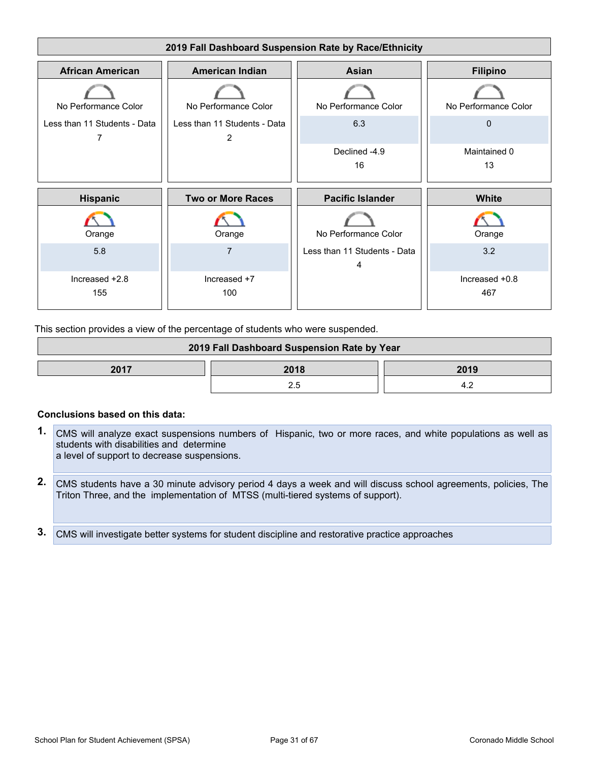

This section provides a view of the percentage of students who were suspended.

| 2019 Fall Dashboard Suspension Rate by Year |  |  |  |  |  |  |
|---------------------------------------------|--|--|--|--|--|--|
| 2017<br>2018<br>2019                        |  |  |  |  |  |  |
|                                             |  |  |  |  |  |  |

#### **Conclusions based on this data:**

- **1.** CMS will analyze exact suspensions numbers of Hispanic, two or more races, and white populations as well as students with disabilities and determine a level of support to decrease suspensions.
- **2.** CMS students have a 30 minute advisory period 4 days a week and will discuss school agreements, policies, The Triton Three, and the implementation of MTSS (multi-tiered systems of support).
- **3.** CMS will investigate better systems for student discipline and restorative practice approaches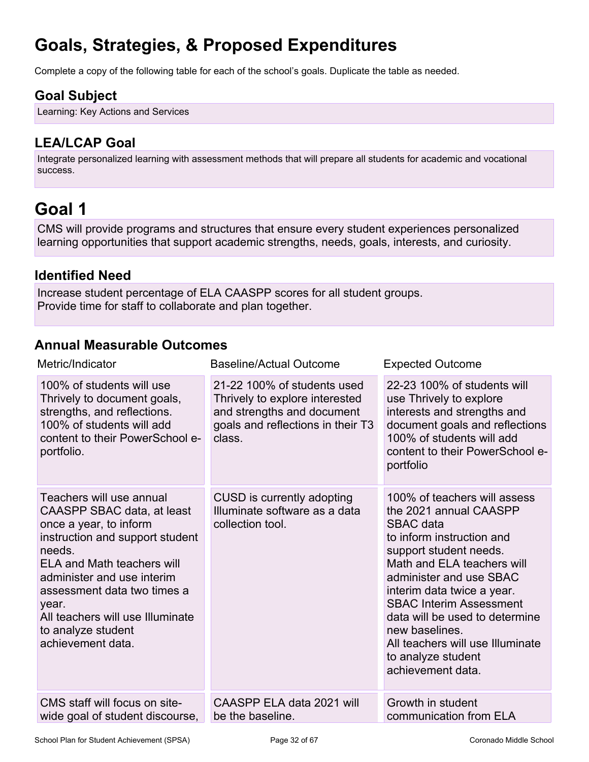# <span id="page-31-0"></span>**Goals, Strategies, & Proposed Expenditures**

Complete a copy of the following table for each of the school's goals. Duplicate the table as needed.

## **Goal Subject**

Learning: Key Actions and Services

## **LEA/LCAP Goal**

Integrate personalized learning with assessment methods that will prepare all students for academic and vocational success.

# <span id="page-31-1"></span>**Goal 1**

CMS will provide programs and structures that ensure every student experiences personalized learning opportunities that support academic strengths, needs, goals, interests, and curiosity.

### **Identified Need**

Increase student percentage of ELA CAASPP scores for all student groups. Provide time for staff to collaborate and plan together.

## **Annual Measurable Outcomes**

| Metric/Indicator                                                                                                                                                                                                                                                                                                        | <b>Baseline/Actual Outcome</b>                                                                                                             | <b>Expected Outcome</b>                                                                                                                                                                                                                                                                                                                                                                       |
|-------------------------------------------------------------------------------------------------------------------------------------------------------------------------------------------------------------------------------------------------------------------------------------------------------------------------|--------------------------------------------------------------------------------------------------------------------------------------------|-----------------------------------------------------------------------------------------------------------------------------------------------------------------------------------------------------------------------------------------------------------------------------------------------------------------------------------------------------------------------------------------------|
| 100% of students will use<br>Thrively to document goals,<br>strengths, and reflections.<br>100% of students will add<br>content to their PowerSchool e-<br>portfolio.                                                                                                                                                   | 21-22 100% of students used<br>Thrively to explore interested<br>and strengths and document<br>goals and reflections in their T3<br>class. | 22-23 100% of students will<br>use Thrively to explore<br>interests and strengths and<br>document goals and reflections<br>100% of students will add<br>content to their PowerSchool e-<br>portfolio                                                                                                                                                                                          |
| Teachers will use annual<br>CAASPP SBAC data, at least<br>once a year, to inform<br>instruction and support student<br>needs.<br><b>ELA and Math teachers will</b><br>administer and use interim<br>assessment data two times a<br>year.<br>All teachers will use Illuminate<br>to analyze student<br>achievement data. | CUSD is currently adopting<br>Illuminate software as a data<br>collection tool.                                                            | 100% of teachers will assess<br>the 2021 annual CAASPP<br><b>SBAC</b> data<br>to inform instruction and<br>support student needs.<br>Math and ELA teachers will<br>administer and use SBAC<br>interim data twice a year.<br><b>SBAC Interim Assessment</b><br>data will be used to determine<br>new baselines.<br>All teachers will use Illuminate<br>to analyze student<br>achievement data. |
| CMS staff will focus on site-<br>wide goal of student discourse,                                                                                                                                                                                                                                                        | CAASPP ELA data 2021 will<br>be the baseline.                                                                                              | Growth in student<br>communication from ELA                                                                                                                                                                                                                                                                                                                                                   |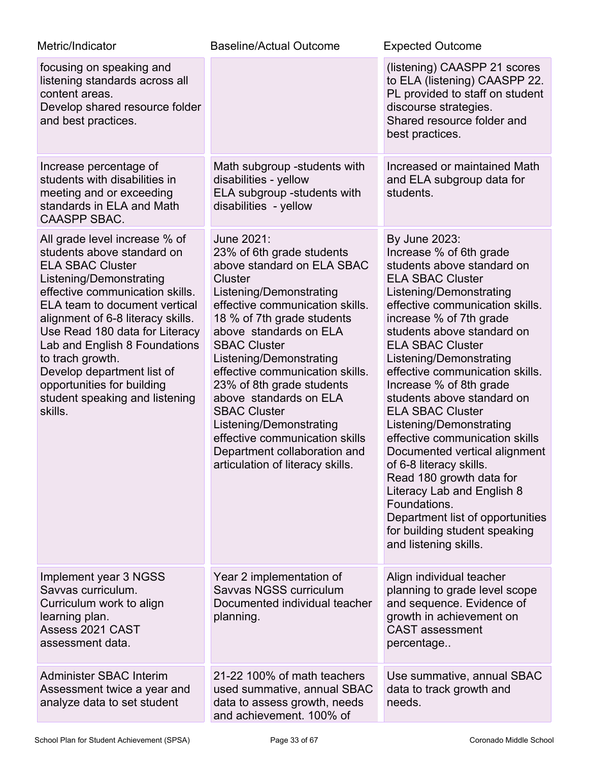| Metric/Indicator                                                                                                                                                                                                                                                                                                                                                                                                           | <b>Baseline/Actual Outcome</b>                                                                                                                                                                                                                                                                                                                                                                                                                                                                             | <b>Expected Outcome</b>                                                                                                                                                                                                                                                                                                                                                                                                                                                                                                                                                                                                                                                                                |
|----------------------------------------------------------------------------------------------------------------------------------------------------------------------------------------------------------------------------------------------------------------------------------------------------------------------------------------------------------------------------------------------------------------------------|------------------------------------------------------------------------------------------------------------------------------------------------------------------------------------------------------------------------------------------------------------------------------------------------------------------------------------------------------------------------------------------------------------------------------------------------------------------------------------------------------------|--------------------------------------------------------------------------------------------------------------------------------------------------------------------------------------------------------------------------------------------------------------------------------------------------------------------------------------------------------------------------------------------------------------------------------------------------------------------------------------------------------------------------------------------------------------------------------------------------------------------------------------------------------------------------------------------------------|
| focusing on speaking and<br>listening standards across all<br>content areas.<br>Develop shared resource folder<br>and best practices.                                                                                                                                                                                                                                                                                      |                                                                                                                                                                                                                                                                                                                                                                                                                                                                                                            | (listening) CAASPP 21 scores<br>to ELA (listening) CAASPP 22.<br>PL provided to staff on student<br>discourse strategies.<br>Shared resource folder and<br>best practices.                                                                                                                                                                                                                                                                                                                                                                                                                                                                                                                             |
| Increase percentage of<br>students with disabilities in<br>meeting and or exceeding<br>standards in ELA and Math<br><b>CAASPP SBAC.</b>                                                                                                                                                                                                                                                                                    | Math subgroup -students with<br>disabilities - yellow<br>ELA subgroup -students with<br>disabilities - yellow                                                                                                                                                                                                                                                                                                                                                                                              | Increased or maintained Math<br>and ELA subgroup data for<br>students.                                                                                                                                                                                                                                                                                                                                                                                                                                                                                                                                                                                                                                 |
| All grade level increase % of<br>students above standard on<br><b>ELA SBAC Cluster</b><br>Listening/Demonstrating<br>effective communication skills.<br>ELA team to document vertical<br>alignment of 6-8 literacy skills.<br>Use Read 180 data for Literacy<br>Lab and English 8 Foundations<br>to trach growth.<br>Develop department list of<br>opportunities for building<br>student speaking and listening<br>skills. | June 2021:<br>23% of 6th grade students<br>above standard on ELA SBAC<br>Cluster<br>Listening/Demonstrating<br>effective communication skills.<br>18 % of 7th grade students<br>above standards on ELA<br><b>SBAC Cluster</b><br>Listening/Demonstrating<br>effective communication skills.<br>23% of 8th grade students<br>above standards on ELA<br><b>SBAC Cluster</b><br>Listening/Demonstrating<br>effective communication skills<br>Department collaboration and<br>articulation of literacy skills. | By June 2023:<br>Increase % of 6th grade<br>students above standard on<br><b>ELA SBAC Cluster</b><br>Listening/Demonstrating<br>effective communication skills.<br>increase % of 7th grade<br>students above standard on<br><b>ELA SBAC Cluster</b><br>Listening/Demonstrating<br>effective communication skills.<br>Increase % of 8th grade<br>students above standard on<br><b>ELA SBAC Cluster</b><br>Listening/Demonstrating<br>effective communication skills<br>Documented vertical alignment<br>of 6-8 literacy skills.<br>Read 180 growth data for<br>Literacy Lab and English 8<br>Foundations.<br>Department list of opportunities<br>for building student speaking<br>and listening skills. |
| Implement year 3 NGSS<br>Savvas curriculum.<br>Curriculum work to align<br>learning plan.<br>Assess 2021 CAST<br>assessment data.                                                                                                                                                                                                                                                                                          | Year 2 implementation of<br>Savvas NGSS curriculum<br>Documented individual teacher<br>planning.                                                                                                                                                                                                                                                                                                                                                                                                           | Align individual teacher<br>planning to grade level scope<br>and sequence. Evidence of<br>growth in achievement on<br><b>CAST</b> assessment<br>percentage                                                                                                                                                                                                                                                                                                                                                                                                                                                                                                                                             |
| Administer SBAC Interim<br>Assessment twice a year and<br>analyze data to set student                                                                                                                                                                                                                                                                                                                                      | 21-22 100% of math teachers<br>used summative, annual SBAC<br>data to assess growth, needs<br>and achievement. 100% of                                                                                                                                                                                                                                                                                                                                                                                     | Use summative, annual SBAC<br>data to track growth and<br>needs.                                                                                                                                                                                                                                                                                                                                                                                                                                                                                                                                                                                                                                       |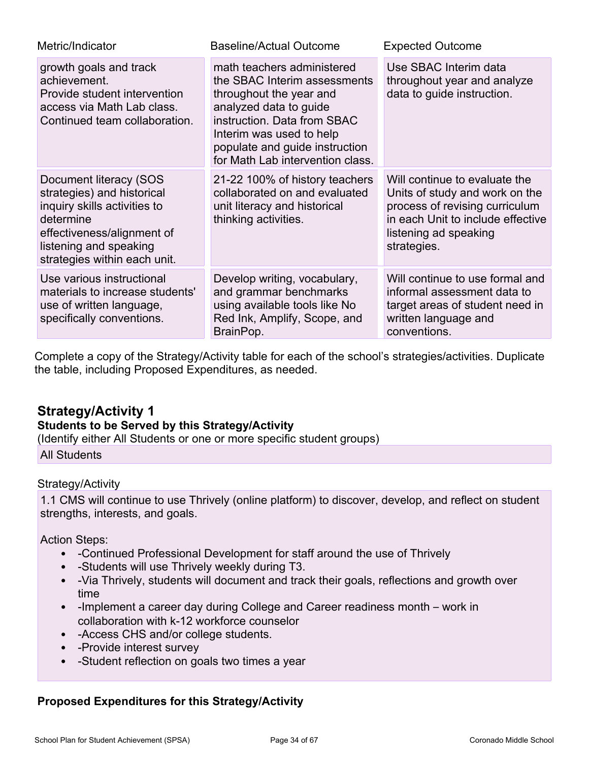| Metric/Indicator                                                                                                                                                                          | <b>Baseline/Actual Outcome</b>                                                                                                                                                                                                                   | <b>Expected Outcome</b>                                                                                                                                                        |
|-------------------------------------------------------------------------------------------------------------------------------------------------------------------------------------------|--------------------------------------------------------------------------------------------------------------------------------------------------------------------------------------------------------------------------------------------------|--------------------------------------------------------------------------------------------------------------------------------------------------------------------------------|
| growth goals and track<br>achievement.<br>Provide student intervention<br>access via Math Lab class.<br>Continued team collaboration.                                                     | math teachers administered<br>the SBAC Interim assessments<br>throughout the year and<br>analyzed data to guide<br>instruction. Data from SBAC<br>Interim was used to help<br>populate and guide instruction<br>for Math Lab intervention class. | Use SBAC Interim data<br>throughout year and analyze<br>data to guide instruction.                                                                                             |
| Document literacy (SOS<br>strategies) and historical<br>inquiry skills activities to<br>determine<br>effectiveness/alignment of<br>listening and speaking<br>strategies within each unit. | 21-22 100% of history teachers<br>collaborated on and evaluated<br>unit literacy and historical<br>thinking activities.                                                                                                                          | Will continue to evaluate the<br>Units of study and work on the<br>process of revising curriculum<br>in each Unit to include effective<br>listening ad speaking<br>strategies. |
| Use various instructional<br>materials to increase students'<br>use of written language,<br>specifically conventions.                                                                     | Develop writing, vocabulary,<br>and grammar benchmarks<br>using available tools like No<br>Red Ink, Amplify, Scope, and<br>BrainPop.                                                                                                             | Will continue to use formal and<br>informal assessment data to<br>target areas of student need in<br>written language and<br>conventions.                                      |

Complete a copy of the Strategy/Activity table for each of the school's strategies/activities. Duplicate the table, including Proposed Expenditures, as needed.

## **Strategy/Activity 1**

### **Students to be Served by this Strategy/Activity**

(Identify either All Students or one or more specific student groups) All Students

### Strategy/Activity

1.1 CMS will continue to use Thrively (online platform) to discover, develop, and reflect on student strengths, interests, and goals.

Action Steps:

- -Continued Professional Development for staff around the use of Thrively
- -Students will use Thrively weekly during T3.
- -Via Thrively, students will document and track their goals, reflections and growth over time
- -Implement a career day during College and Career readiness month work in collaboration with k-12 workforce counselor
- -Access CHS and/or college students.
- -Provide interest survey
- -Student reflection on goals two times a year

### **Proposed Expenditures for this Strategy/Activity**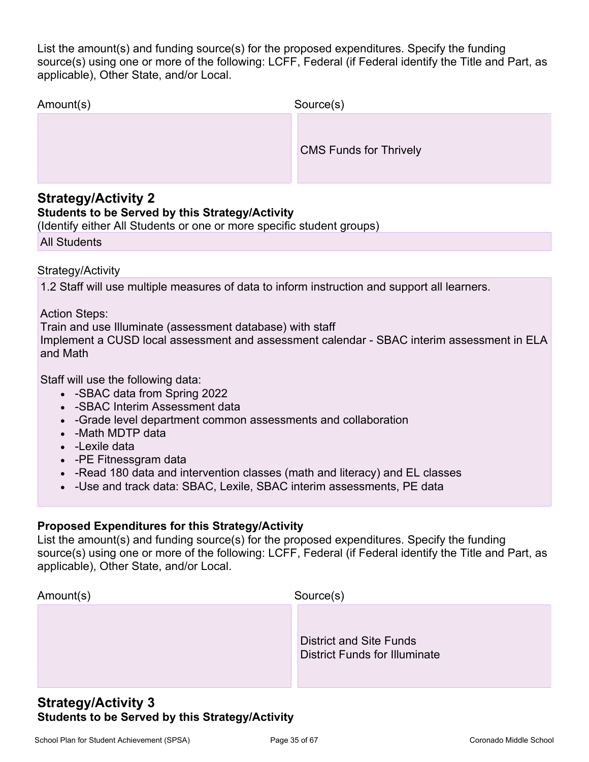List the amount(s) and funding source(s) for the proposed expenditures. Specify the funding source(s) using one or more of the following: LCFF, Federal (if Federal identify the Title and Part, as applicable), Other State, and/or Local.

| Amount(s) | Source(s)                     |
|-----------|-------------------------------|
|           | <b>CMS Funds for Thrively</b> |

### **Strategy/Activity 2**

### **Students to be Served by this Strategy/Activity**

(Identify either All Students or one or more specific student groups)

All Students

Strategy/Activity

1.2 Staff will use multiple measures of data to inform instruction and support all learners.

### Action Steps:

Train and use Illuminate (assessment database) with staff Implement a CUSD local assessment and assessment calendar - SBAC interim assessment in ELA and Math

Staff will use the following data:

- -SBAC data from Spring 2022
- -SBAC Interim Assessment data
- -Grade level department common assessments and collaboration
- - Math MDTP data
- -Lexile data
- -PE Fitnessgram data
- -Read 180 data and intervention classes (math and literacy) and EL classes
- -Use and track data: SBAC, Lexile, SBAC interim assessments, PE data

### **Proposed Expenditures for this Strategy/Activity**

List the amount(s) and funding source(s) for the proposed expenditures. Specify the funding source(s) using one or more of the following: LCFF, Federal (if Federal identify the Title and Part, as applicable), Other State, and/or Local.

| Amount(s) | Source(s)                                                              |
|-----------|------------------------------------------------------------------------|
|           | <b>District and Site Funds</b><br><b>District Funds for Illuminate</b> |

## **Strategy/Activity 3 Students to be Served by this Strategy/Activity**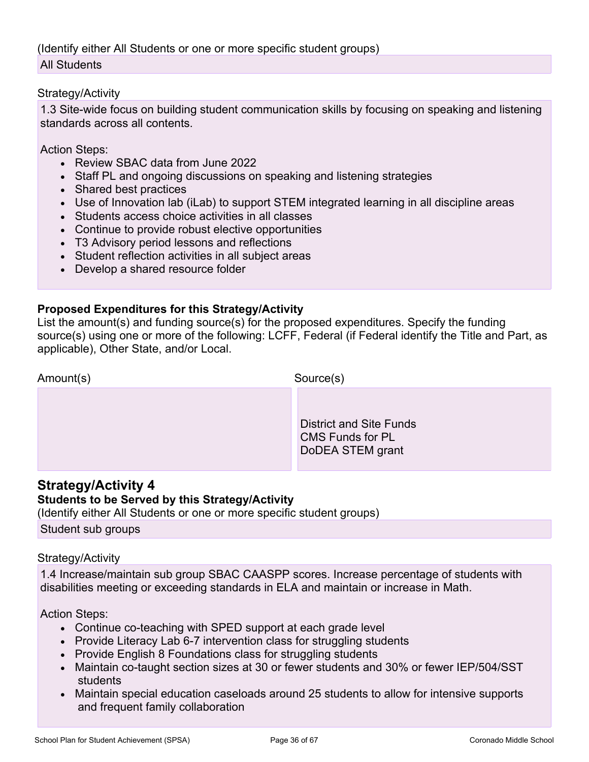(Identify either All Students or one or more specific student groups) All Students

### Strategy/Activity

1.3 Site-wide focus on building student communication skills by focusing on speaking and listening standards across all contents.

Action Steps:

- Review SBAC data from June 2022
- Staff PL and ongoing discussions on speaking and listening strategies
- Shared best practices
- Use of Innovation lab (iLab) to support STEM integrated learning in all discipline areas
- Students access choice activities in all classes
- Continue to provide robust elective opportunities
- T3 Advisory period lessons and reflections
- Student reflection activities in all subject areas
- Develop a shared resource folder

### **Proposed Expenditures for this Strategy/Activity**

List the amount(s) and funding source(s) for the proposed expenditures. Specify the funding source(s) using one or more of the following: LCFF, Federal (if Federal identify the Title and Part, as applicable), Other State, and/or Local.

| Amount(s) | Source(s)                                                              |
|-----------|------------------------------------------------------------------------|
|           | District and Site Funds<br><b>CMS Funds for PL</b><br>DoDEA STEM grant |

### **Strategy/Activity 4**

### **Students to be Served by this Strategy/Activity**

(Identify either All Students or one or more specific student groups)

Student sub groups

### Strategy/Activity

1.4 Increase/maintain sub group SBAC CAASPP scores. Increase percentage of students with disabilities meeting or exceeding standards in ELA and maintain or increase in Math.

Action Steps:

- Continue co-teaching with SPED support at each grade level
- Provide Literacy Lab 6-7 intervention class for struggling students
- Provide English 8 Foundations class for struggling students
- Maintain co-taught section sizes at 30 or fewer students and 30% or fewer IEP/504/SST students
- Maintain special education caseloads around 25 students to allow for intensive supports and frequent family collaboration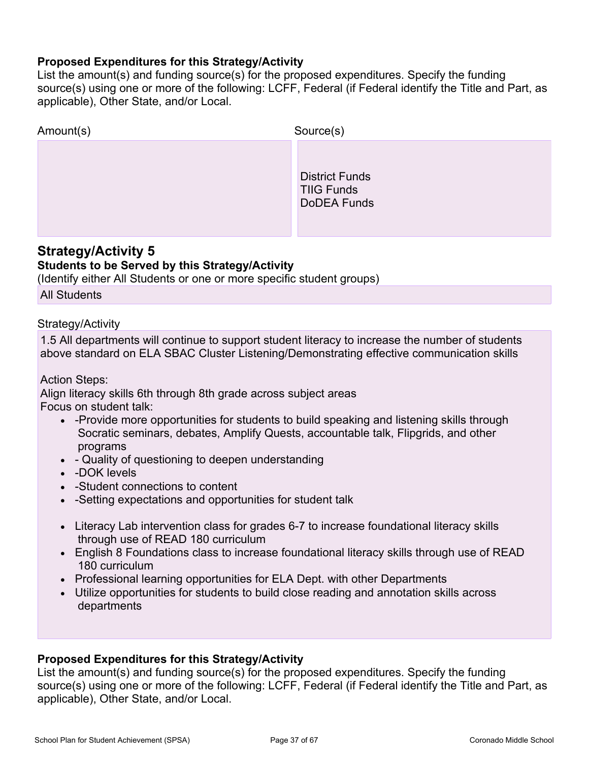### **Proposed Expenditures for this Strategy/Activity**

List the amount(s) and funding source(s) for the proposed expenditures. Specify the funding source(s) using one or more of the following: LCFF, Federal (if Federal identify the Title and Part, as applicable), Other State, and/or Local.

| Amount(s) | Source(s)                                                        |
|-----------|------------------------------------------------------------------|
|           | <b>District Funds</b><br><b>TIIG Funds</b><br><b>DoDEA Funds</b> |

### **Strategy/Activity 5 Students to be Served by this Strategy/Activity**

(Identify either All Students or one or more specific student groups)

All Students

### Strategy/Activity

1.5 All departments will continue to support student literacy to increase the number of students above standard on ELA SBAC Cluster Listening/Demonstrating effective communication skills

Action Steps:

Align literacy skills 6th through 8th grade across subject areas Focus on student talk:

- -Provide more opportunities for students to build speaking and listening skills through Socratic seminars, debates, Amplify Quests, accountable talk, Flipgrids, and other programs
- - Quality of questioning to deepen understanding
- -DOK levels
- -Student connections to content
- -Setting expectations and opportunities for student talk
- Literacy Lab intervention class for grades 6-7 to increase foundational literacy skills through use of READ 180 curriculum
- English 8 Foundations class to increase foundational literacy skills through use of READ 180 curriculum
- Professional learning opportunities for ELA Dept. with other Departments
- Utilize opportunities for students to build close reading and annotation skills across departments

### **Proposed Expenditures for this Strategy/Activity**

List the amount(s) and funding source(s) for the proposed expenditures. Specify the funding source(s) using one or more of the following: LCFF, Federal (if Federal identify the Title and Part, as applicable), Other State, and/or Local.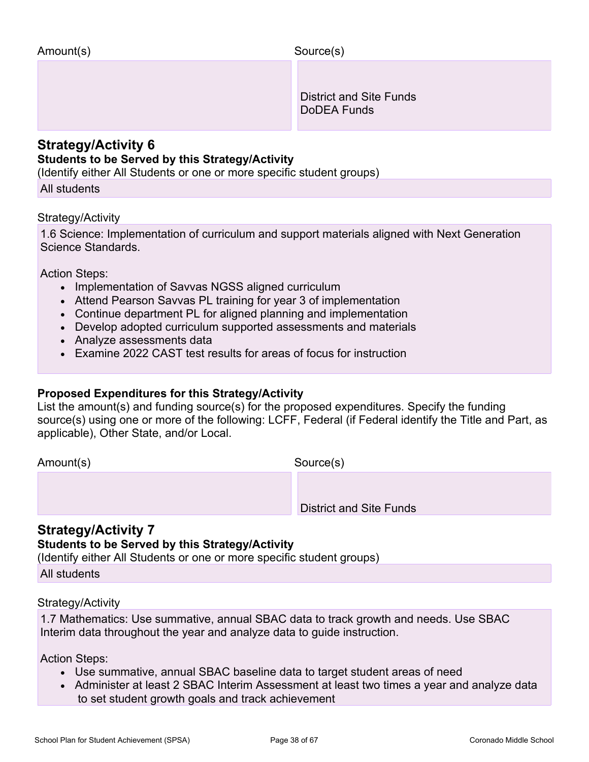District and Site Funds DoDEA Funds

### **Strategy/Activity 6**

### **Students to be Served by this Strategy/Activity**

(Identify either All Students or one or more specific student groups)

All students

### Strategy/Activity

1.6 Science: Implementation of curriculum and support materials aligned with Next Generation Science Standards.

Action Steps:

- Implementation of Savvas NGSS aligned curriculum
- Attend Pearson Savvas PL training for year 3 of implementation
- Continue department PL for aligned planning and implementation
- Develop adopted curriculum supported assessments and materials
- Analyze assessments data
- Examine 2022 CAST test results for areas of focus for instruction

### **Proposed Expenditures for this Strategy/Activity**

List the amount(s) and funding source(s) for the proposed expenditures. Specify the funding source(s) using one or more of the following: LCFF, Federal (if Federal identify the Title and Part, as applicable), Other State, and/or Local.

Amount(s) Source(s)

District and Site Funds

### **Strategy/Activity 7**

### **Students to be Served by this Strategy/Activity**

(Identify either All Students or one or more specific student groups)

All students

### Strategy/Activity

1.7 Mathematics: Use summative, annual SBAC data to track growth and needs. Use SBAC Interim data throughout the year and analyze data to guide instruction.

Action Steps:

- Use summative, annual SBAC baseline data to target student areas of need
- Administer at least 2 SBAC Interim Assessment at least two times a year and analyze data to set student growth goals and track achievement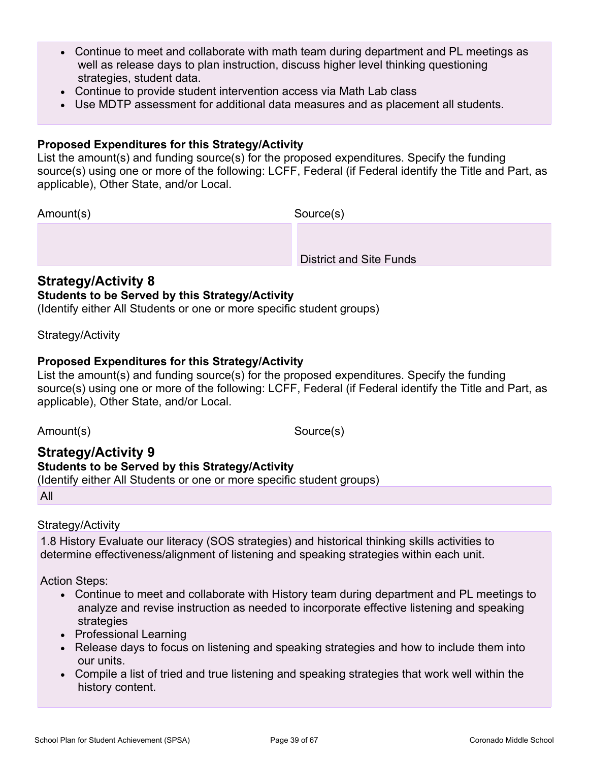- Continue to meet and collaborate with math team during department and PL meetings as well as release days to plan instruction, discuss higher level thinking questioning strategies, student data.
- Continue to provide student intervention access via Math Lab class
- Use MDTP assessment for additional data measures and as placement all students.

### **Proposed Expenditures for this Strategy/Activity**

List the amount(s) and funding source(s) for the proposed expenditures. Specify the funding source(s) using one or more of the following: LCFF, Federal (if Federal identify the Title and Part, as applicable), Other State, and/or Local.

Amount(s) Source(s)

District and Site Funds

### **Strategy/Activity 8**

### **Students to be Served by this Strategy/Activity**

(Identify either All Students or one or more specific student groups)

### Strategy/Activity

### **Proposed Expenditures for this Strategy/Activity**

List the amount(s) and funding source(s) for the proposed expenditures. Specify the funding source(s) using one or more of the following: LCFF, Federal (if Federal identify the Title and Part, as applicable), Other State, and/or Local.

Amount(s) Source(s)

### **Strategy/Activity 9**

### **Students to be Served by this Strategy/Activity**

(Identify either All Students or one or more specific student groups)

All

### Strategy/Activity

1.8 History Evaluate our literacy (SOS strategies) and historical thinking skills activities to determine effectiveness/alignment of listening and speaking strategies within each unit.

Action Steps:

- Continue to meet and collaborate with History team during department and PL meetings to analyze and revise instruction as needed to incorporate effective listening and speaking strategies
- Professional Learning
- Release days to focus on listening and speaking strategies and how to include them into our units.
- Compile a list of tried and true listening and speaking strategies that work well within the history content.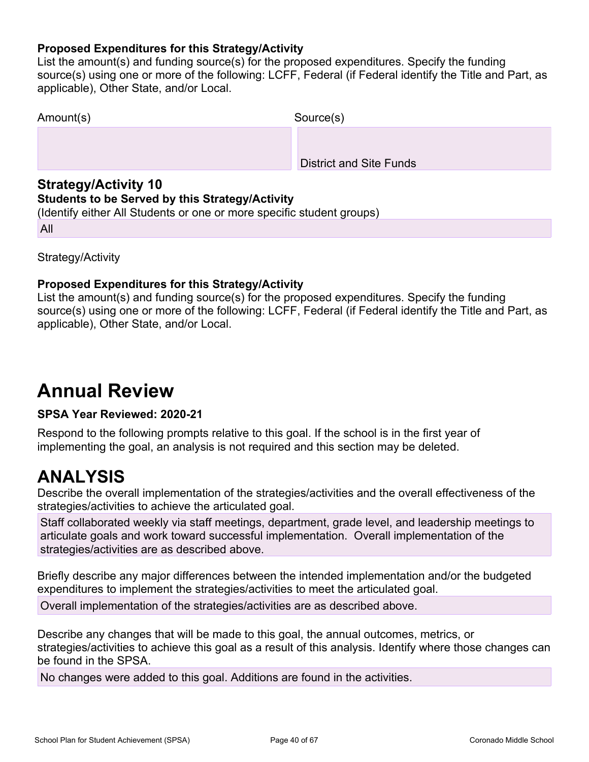### **Proposed Expenditures for this Strategy/Activity**

List the amount(s) and funding source(s) for the proposed expenditures. Specify the funding source(s) using one or more of the following: LCFF, Federal (if Federal identify the Title and Part, as applicable), Other State, and/or Local.

| Amount(s) | Source(s)                      |
|-----------|--------------------------------|
|           |                                |
|           | <b>District and Site Funds</b> |

### **Strategy/Activity 10**

### **Students to be Served by this Strategy/Activity**

(Identify either All Students or one or more specific student groups)

All

Strategy/Activity

### **Proposed Expenditures for this Strategy/Activity**

List the amount(s) and funding source(s) for the proposed expenditures. Specify the funding source(s) using one or more of the following: LCFF, Federal (if Federal identify the Title and Part, as applicable), Other State, and/or Local.

# **Annual Review**

### **SPSA Year Reviewed: 2020-21**

Respond to the following prompts relative to this goal. If the school is in the first year of implementing the goal, an analysis is not required and this section may be deleted.

# **ANALYSIS**

Describe the overall implementation of the strategies/activities and the overall effectiveness of the strategies/activities to achieve the articulated goal.

Staff collaborated weekly via staff meetings, department, grade level, and leadership meetings to articulate goals and work toward successful implementation. Overall implementation of the strategies/activities are as described above.

Briefly describe any major differences between the intended implementation and/or the budgeted expenditures to implement the strategies/activities to meet the articulated goal.

Overall implementation of the strategies/activities are as described above.

Describe any changes that will be made to this goal, the annual outcomes, metrics, or strategies/activities to achieve this goal as a result of this analysis. Identify where those changes can be found in the SPSA.

No changes were added to this goal. Additions are found in the activities.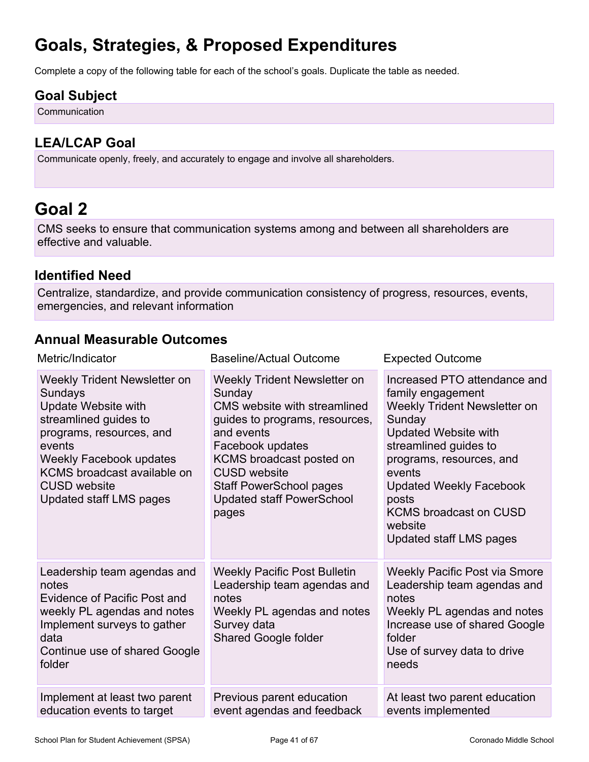# **Goals, Strategies, & Proposed Expenditures**

Complete a copy of the following table for each of the school's goals. Duplicate the table as needed.

## **Goal Subject**

Communication

## **LEA/LCAP Goal**

Communicate openly, freely, and accurately to engage and involve all shareholders.

# <span id="page-40-0"></span>**Goal 2**

CMS seeks to ensure that communication systems among and between all shareholders are effective and valuable.

### **Identified Need**

Centralize, standardize, and provide communication consistency of progress, resources, events, emergencies, and relevant information

## **Annual Measurable Outcomes**

| Metric/Indicator                                                                                                                                                                                                                          | <b>Baseline/Actual Outcome</b>                                                                                                                                                                                                                                               | <b>Expected Outcome</b>                                                                                                                                                                                                                                                                                     |
|-------------------------------------------------------------------------------------------------------------------------------------------------------------------------------------------------------------------------------------------|------------------------------------------------------------------------------------------------------------------------------------------------------------------------------------------------------------------------------------------------------------------------------|-------------------------------------------------------------------------------------------------------------------------------------------------------------------------------------------------------------------------------------------------------------------------------------------------------------|
| Weekly Trident Newsletter on<br>Sundays<br>Update Website with<br>streamlined guides to<br>programs, resources, and<br>events<br>Weekly Facebook updates<br>KCMS broadcast available on<br><b>CUSD</b> website<br>Updated staff LMS pages | Weekly Trident Newsletter on<br>Sunday<br>CMS website with streamlined<br>guides to programs, resources,<br>and events<br>Facebook updates<br>KCMS broadcast posted on<br><b>CUSD</b> website<br><b>Staff PowerSchool pages</b><br><b>Updated staff PowerSchool</b><br>pages | Increased PTO attendance and<br>family engagement<br>Weekly Trident Newsletter on<br>Sunday<br><b>Updated Website with</b><br>streamlined guides to<br>programs, resources, and<br>events<br><b>Updated Weekly Facebook</b><br>posts<br><b>KCMS broadcast on CUSD</b><br>website<br>Updated staff LMS pages |
| Leadership team agendas and<br>notes<br>Evidence of Pacific Post and<br>weekly PL agendas and notes<br>Implement surveys to gather<br>data<br>Continue use of shared Google<br>folder                                                     | <b>Weekly Pacific Post Bulletin</b><br>Leadership team agendas and<br>notes<br>Weekly PL agendas and notes<br>Survey data<br>Shared Google folder                                                                                                                            | <b>Weekly Pacific Post via Smore</b><br>Leadership team agendas and<br>notes<br>Weekly PL agendas and notes<br>Increase use of shared Google<br>folder<br>Use of survey data to drive<br>needs                                                                                                              |
| Implement at least two parent<br>education events to target                                                                                                                                                                               | Previous parent education<br>event agendas and feedback                                                                                                                                                                                                                      | At least two parent education<br>events implemented                                                                                                                                                                                                                                                         |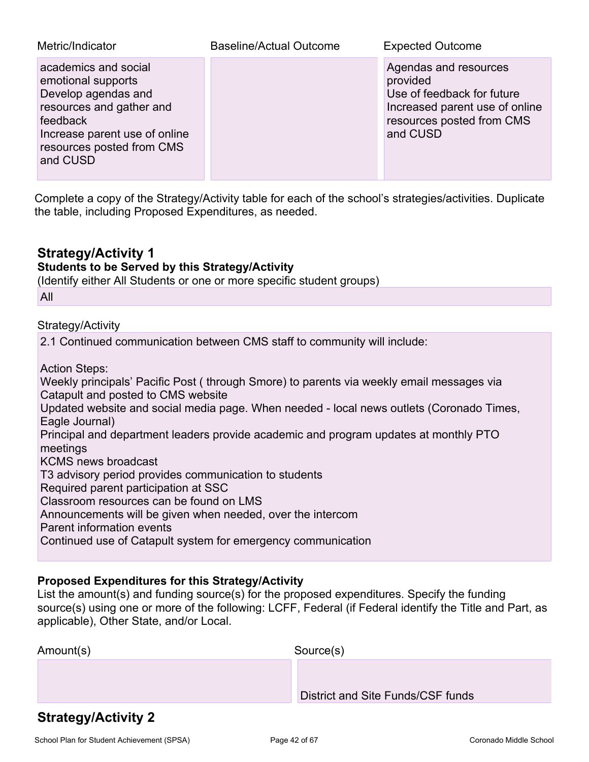| Metric/Indicator                                                                                                                                                                    | Baseline/Actual Outcome | <b>Expected Outcome</b>                                                                                                                    |
|-------------------------------------------------------------------------------------------------------------------------------------------------------------------------------------|-------------------------|--------------------------------------------------------------------------------------------------------------------------------------------|
| academics and social<br>emotional supports<br>Develop agendas and<br>resources and gather and<br>feedback<br>Increase parent use of online<br>resources posted from CMS<br>and CUSD |                         | Agendas and resources<br>provided<br>Use of feedback for future<br>Increased parent use of online<br>resources posted from CMS<br>and CUSD |

Complete a copy of the Strategy/Activity table for each of the school's strategies/activities. Duplicate the table, including Proposed Expenditures, as needed.

### **Strategy/Activity 1**

### **Students to be Served by this Strategy/Activity**

(Identify either All Students or one or more specific student groups)

All

### Strategy/Activity

2.1 Continued communication between CMS staff to community will include:

Action Steps:

Weekly principals' Pacific Post ( through Smore) to parents via weekly email messages via Catapult and posted to CMS website Updated website and social media page. When needed - local news outlets (Coronado Times, Eagle Journal) Principal and department leaders provide academic and program updates at monthly PTO meetings KCMS news broadcast T3 advisory period provides communication to students Required parent participation at SSC Classroom resources can be found on LMS Announcements will be given when needed, over the intercom Parent information events Continued use of Catapult system for emergency communication

### **Proposed Expenditures for this Strategy/Activity**

List the amount(s) and funding source(s) for the proposed expenditures. Specify the funding source(s) using one or more of the following: LCFF, Federal (if Federal identify the Title and Part, as applicable), Other State, and/or Local.

| Amount(s) | Source(s)                         |
|-----------|-----------------------------------|
|           |                                   |
|           | District and Site Funds/CSF funds |

## **Strategy/Activity 2**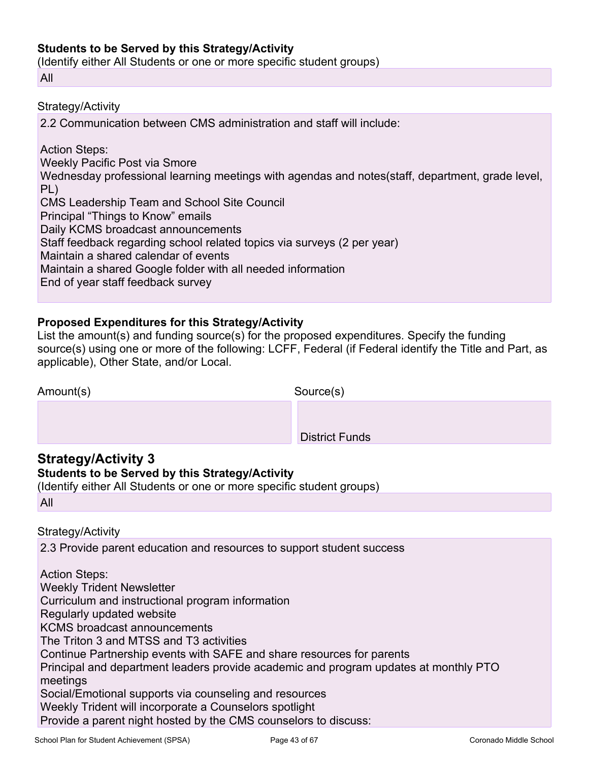### **Students to be Served by this Strategy/Activity**

(Identify either All Students or one or more specific student groups)

All

### Strategy/Activity

2.2 Communication between CMS administration and staff will include:

Action Steps: Weekly Pacific Post via Smore Wednesday professional learning meetings with agendas and notes(staff, department, grade level, PL) CMS Leadership Team and School Site Council Principal "Things to Know" emails Daily KCMS broadcast announcements Staff feedback regarding school related topics via surveys (2 per year) Maintain a shared calendar of events Maintain a shared Google folder with all needed information End of year staff feedback survey

### **Proposed Expenditures for this Strategy/Activity**

List the amount(s) and funding source(s) for the proposed expenditures. Specify the funding source(s) using one or more of the following: LCFF, Federal (if Federal identify the Title and Part, as applicable), Other State, and/or Local.

| Amount(s) | Source(s)             |
|-----------|-----------------------|
|           |                       |
|           | <b>District Funds</b> |
|           |                       |

## **Strategy/Activity 3**

### **Students to be Served by this Strategy/Activity**

(Identify either All Students or one or more specific student groups)

### Strategy/Activity

2.3 Provide parent education and resources to support student success

Action Steps: Weekly Trident Newsletter Curriculum and instructional program information Regularly updated website KCMS broadcast announcements The Triton 3 and MTSS and T3 activities Continue Partnership events with SAFE and share resources for parents Principal and department leaders provide academic and program updates at monthly PTO meetings Social/Emotional supports via counseling and resources Weekly Trident will incorporate a Counselors spotlight Provide a parent night hosted by the CMS counselors to discuss: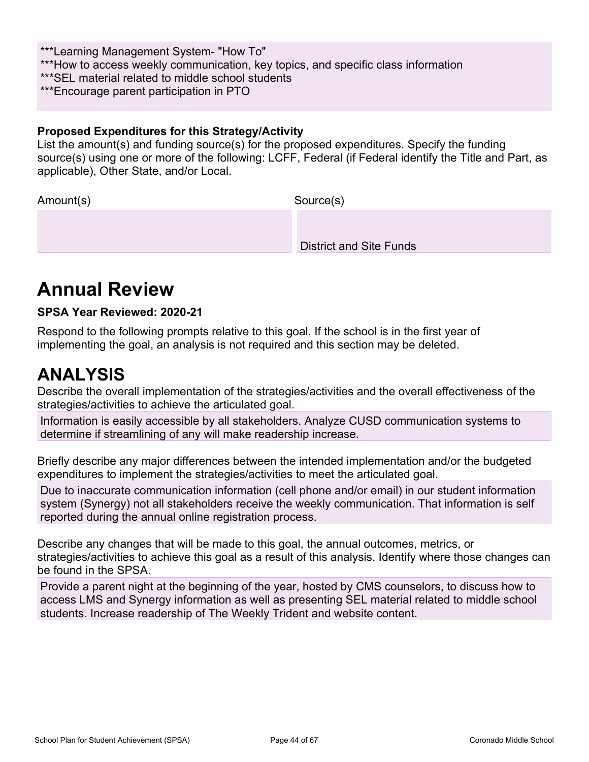\*\*\*Learning Management System- "How To"

\*\*\*How to access weekly communication, key topics, and specific class information

\*\*\*SEL material related to middle school students

\*\*\*Encourage parent participation in PTO

### **Proposed Expenditures for this Strategy/Activity**

List the amount(s) and funding source(s) for the proposed expenditures. Specify the funding source(s) using one or more of the following: LCFF, Federal (if Federal identify the Title and Part, as applicable), Other State, and/or Local.

| Amount(s) | Source(s)                      |
|-----------|--------------------------------|
|           |                                |
|           | <b>District and Site Funds</b> |

# **Annual Review**

### **SPSA Year Reviewed: 2020-21**

Respond to the following prompts relative to this goal. If the school is in the first year of implementing the goal, an analysis is not required and this section may be deleted.

# **ANALYSIS**

Describe the overall implementation of the strategies/activities and the overall effectiveness of the strategies/activities to achieve the articulated goal.

Information is easily accessible by all stakeholders. Analyze CUSD communication systems to determine if streamlining of any will make readership increase.

Briefly describe any major differences between the intended implementation and/or the budgeted expenditures to implement the strategies/activities to meet the articulated goal.

Due to inaccurate communication information (cell phone and/or email) in our student information system (Synergy) not all stakeholders receive the weekly communication. That information is self reported during the annual online registration process.

Describe any changes that will be made to this goal, the annual outcomes, metrics, or strategies/activities to achieve this goal as a result of this analysis. Identify where those changes can be found in the SPSA.

Provide a parent night at the beginning of the year, hosted by CMS counselors, to discuss how to access LMS and Synergy information as well as presenting SEL material related to middle school students. Increase readership of The Weekly Trident and website content.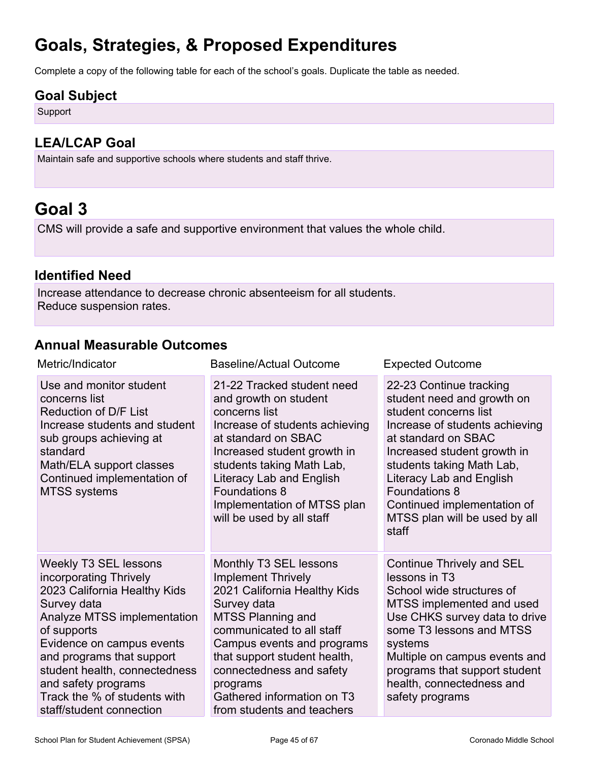# **Goals, Strategies, & Proposed Expenditures**

Complete a copy of the following table for each of the school's goals. Duplicate the table as needed.

### **Goal Subject**

Support

## **LEA/LCAP Goal**

Maintain safe and supportive schools where students and staff thrive.

# <span id="page-44-0"></span>**Goal 3**

CMS will provide a safe and supportive environment that values the whole child.

## **Identified Need**

Increase attendance to decrease chronic absenteeism for all students. Reduce suspension rates.

## **Annual Measurable Outcomes**

| Metric/Indicator                                                                                                                                                                                                                                                                                                                  | <b>Baseline/Actual Outcome</b>                                                                                                                                                                                                                                                                                                | <b>Expected Outcome</b>                                                                                                                                                                                                                                                                                                          |
|-----------------------------------------------------------------------------------------------------------------------------------------------------------------------------------------------------------------------------------------------------------------------------------------------------------------------------------|-------------------------------------------------------------------------------------------------------------------------------------------------------------------------------------------------------------------------------------------------------------------------------------------------------------------------------|----------------------------------------------------------------------------------------------------------------------------------------------------------------------------------------------------------------------------------------------------------------------------------------------------------------------------------|
| Use and monitor student<br>concerns list<br>Reduction of D/F List<br>Increase students and student<br>sub groups achieving at<br>standard<br>Math/ELA support classes<br>Continued implementation of<br><b>MTSS systems</b>                                                                                                       | 21-22 Tracked student need<br>and growth on student<br>concerns list<br>Increase of students achieving<br>at standard on SBAC<br>Increased student growth in<br>students taking Math Lab,<br>Literacy Lab and English<br><b>Foundations 8</b><br>Implementation of MTSS plan<br>will be used by all staff                     | 22-23 Continue tracking<br>student need and growth on<br>student concerns list<br>Increase of students achieving<br>at standard on SBAC<br>Increased student growth in<br>students taking Math Lab,<br>Literacy Lab and English<br><b>Foundations 8</b><br>Continued implementation of<br>MTSS plan will be used by all<br>staff |
| <b>Weekly T3 SEL lessons</b><br>incorporating Thrively<br>2023 California Healthy Kids<br>Survey data<br>Analyze MTSS implementation<br>of supports<br>Evidence on campus events<br>and programs that support<br>student health, connectedness<br>and safety programs<br>Track the % of students with<br>staff/student connection | Monthly T3 SEL lessons<br><b>Implement Thrively</b><br>2021 California Healthy Kids<br>Survey data<br><b>MTSS Planning and</b><br>communicated to all staff<br>Campus events and programs<br>that support student health,<br>connectedness and safety<br>programs<br>Gathered information on T3<br>from students and teachers | Continue Thrively and SEL<br>lessons in T3<br>School wide structures of<br>MTSS implemented and used<br>Use CHKS survey data to drive<br>some T3 lessons and MTSS<br>systems<br>Multiple on campus events and<br>programs that support student<br>health, connectedness and<br>safety programs                                   |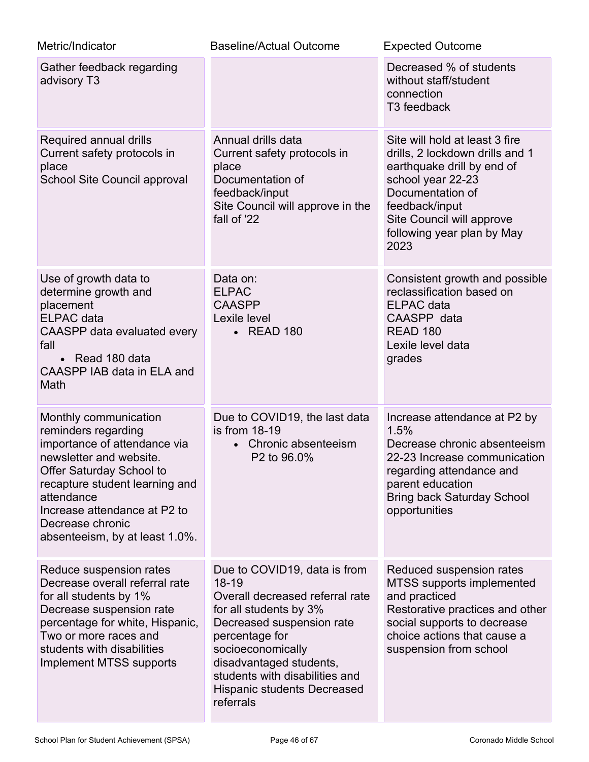| Metric/Indicator                                                                                                                                                                                                                                                          | <b>Baseline/Actual Outcome</b>                                                                                                                                                                                                                                                         | <b>Expected Outcome</b>                                                                                                                                                                                                       |
|---------------------------------------------------------------------------------------------------------------------------------------------------------------------------------------------------------------------------------------------------------------------------|----------------------------------------------------------------------------------------------------------------------------------------------------------------------------------------------------------------------------------------------------------------------------------------|-------------------------------------------------------------------------------------------------------------------------------------------------------------------------------------------------------------------------------|
| Gather feedback regarding<br>advisory T3                                                                                                                                                                                                                                  |                                                                                                                                                                                                                                                                                        | Decreased % of students<br>without staff/student<br>connection<br>T <sub>3</sub> feedback                                                                                                                                     |
| Required annual drills<br>Current safety protocols in<br>place<br>School Site Council approval                                                                                                                                                                            | Annual drills data<br>Current safety protocols in<br>place<br>Documentation of<br>feedback/input<br>Site Council will approve in the<br>fall of '22                                                                                                                                    | Site will hold at least 3 fire<br>drills, 2 lockdown drills and 1<br>earthquake drill by end of<br>school year 22-23<br>Documentation of<br>feedback/input<br>Site Council will approve<br>following year plan by May<br>2023 |
| Use of growth data to<br>determine growth and<br>placement<br><b>ELPAC</b> data<br>CAASPP data evaluated every<br>fall<br>• Read 180 data<br>CAASPP IAB data in ELA and<br>Math                                                                                           | Data on:<br><b>ELPAC</b><br><b>CAASPP</b><br>Lexile level<br>• READ 180                                                                                                                                                                                                                | Consistent growth and possible<br>reclassification based on<br><b>ELPAC</b> data<br>CAASPP data<br><b>READ 180</b><br>Lexile level data<br>grades                                                                             |
| Monthly communication<br>reminders regarding<br>importance of attendance via<br>newsletter and website.<br>Offer Saturday School to<br>recapture student learning and<br>attendance<br>Increase attendance at P2 to<br>Decrease chronic<br>absenteeism, by at least 1.0%. | Due to COVID19, the last data<br>is from 18-19<br>Chronic absenteeism<br>$\bullet$<br>P <sub>2</sub> to 96.0%                                                                                                                                                                          | Increase attendance at P2 by<br>1.5%<br>Decrease chronic absenteeism<br>22-23 Increase communication<br>regarding attendance and<br>parent education<br><b>Bring back Saturday School</b><br>opportunities                    |
| Reduce suspension rates<br>Decrease overall referral rate<br>for all students by 1%<br>Decrease suspension rate<br>percentage for white, Hispanic,<br>Two or more races and<br>students with disabilities<br>Implement MTSS supports                                      | Due to COVID19, data is from<br>18-19<br>Overall decreased referral rate<br>for all students by 3%<br>Decreased suspension rate<br>percentage for<br>socioeconomically<br>disadvantaged students,<br>students with disabilities and<br><b>Hispanic students Decreased</b><br>referrals | Reduced suspension rates<br>MTSS supports implemented<br>and practiced<br>Restorative practices and other<br>social supports to decrease<br>choice actions that cause a<br>suspension from school                             |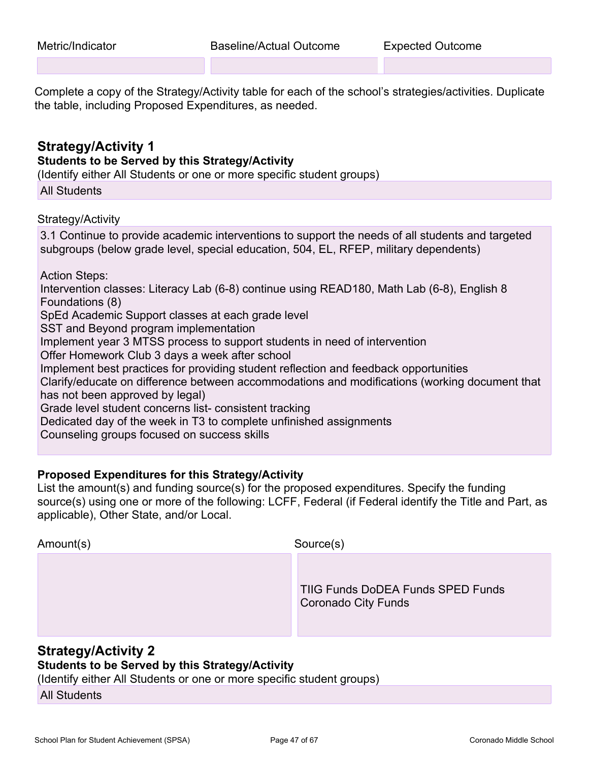Complete a copy of the Strategy/Activity table for each of the school's strategies/activities. Duplicate the table, including Proposed Expenditures, as needed.

### **Strategy/Activity 1 Students to be Served by this Strategy/Activity** (Identify either All Students or one or more specific student groups)

All Students

Strategy/Activity

3.1 Continue to provide academic interventions to support the needs of all students and targeted subgroups (below grade level, special education, 504, EL, RFEP, military dependents) Action Steps: Intervention classes: Literacy Lab (6-8) continue using READ180, Math Lab (6-8), English 8 Foundations (8) SpEd Academic Support classes at each grade level SST and Beyond program implementation Implement year 3 MTSS process to support students in need of intervention Offer Homework Club 3 days a week after school Implement best practices for providing student reflection and feedback opportunities Clarify/educate on difference between accommodations and modifications (working document that has not been approved by legal) Grade level student concerns list- consistent tracking Dedicated day of the week in T3 to complete unfinished assignments Counseling groups focused on success skills

### **Proposed Expenditures for this Strategy/Activity**

List the amount(s) and funding source(s) for the proposed expenditures. Specify the funding source(s) using one or more of the following: LCFF, Federal (if Federal identify the Title and Part, as applicable), Other State, and/or Local.

| Amount(s) | Source(s)                                                |
|-----------|----------------------------------------------------------|
|           | TIIG Funds DoDEA Funds SPED Funds<br>Coronado City Funds |

### **Strategy/Activity 2**

### **Students to be Served by this Strategy/Activity**

(Identify either All Students or one or more specific student groups)

All Students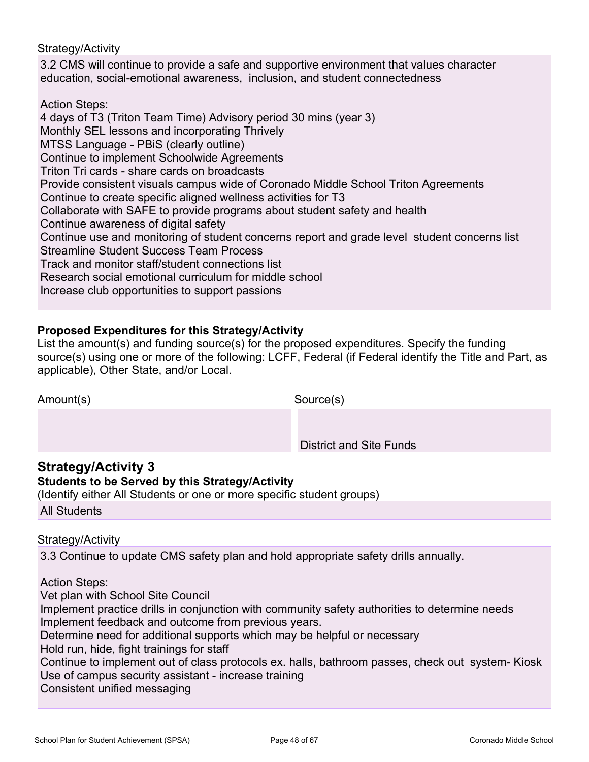### Strategy/Activity

3.2 CMS will continue to provide a safe and supportive environment that values character education, social-emotional awareness, inclusion, and student connectedness

Action Steps:

4 days of T3 (Triton Team Time) Advisory period 30 mins (year 3) Monthly SEL lessons and incorporating Thrively MTSS Language - PBiS (clearly outline) Continue to implement Schoolwide Agreements Triton Tri cards - share cards on broadcasts Provide consistent visuals campus wide of Coronado Middle School Triton Agreements Continue to create specific aligned wellness activities for T3 Collaborate with SAFE to provide programs about student safety and health Continue awareness of digital safety Continue use and monitoring of student concerns report and grade level student concerns list Streamline Student Success Team Process Track and monitor staff/student connections list Research social emotional curriculum for middle school Increase club opportunities to support passions

### **Proposed Expenditures for this Strategy/Activity**

List the amount(s) and funding source(s) for the proposed expenditures. Specify the funding source(s) using one or more of the following: LCFF, Federal (if Federal identify the Title and Part, as applicable), Other State, and/or Local.

| Amount(s) | Source(s)                      |
|-----------|--------------------------------|
|           |                                |
|           | <b>District and Site Funds</b> |

## **Strategy/Activity 3**

### **Students to be Served by this Strategy/Activity**

(Identify either All Students or one or more specific student groups) All Students

### Strategy/Activity

3.3 Continue to update CMS safety plan and hold appropriate safety drills annually.

### Action Steps:

Vet plan with School Site Council Implement practice drills in conjunction with community safety authorities to determine needs Implement feedback and outcome from previous years. Determine need for additional supports which may be helpful or necessary Hold run, hide, fight trainings for staff Continue to implement out of class protocols ex. halls, bathroom passes, check out system- Kiosk Use of campus security assistant - increase training Consistent unified messaging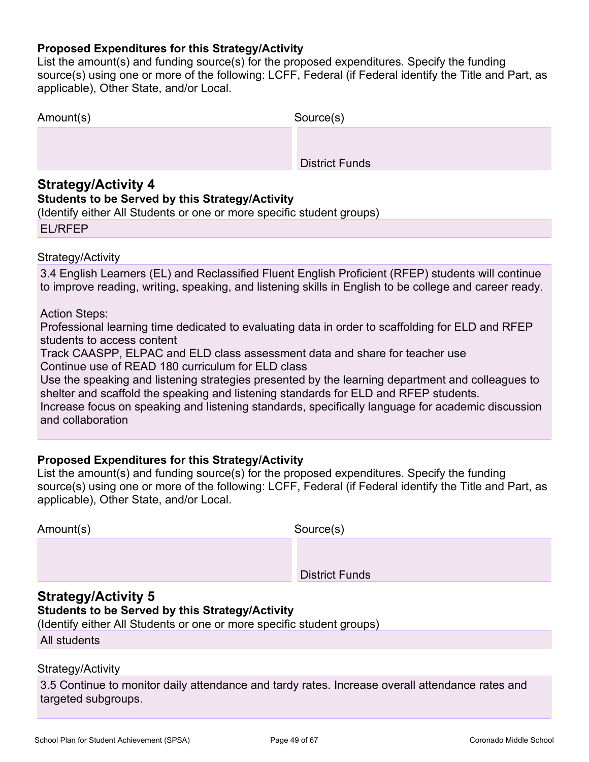### **Proposed Expenditures for this Strategy/Activity**

List the amount(s) and funding source(s) for the proposed expenditures. Specify the funding source(s) using one or more of the following: LCFF, Federal (if Federal identify the Title and Part, as applicable), Other State, and/or Local.

| Amount(s) | Source(s)             |
|-----------|-----------------------|
|           |                       |
|           | <b>District Funds</b> |

### **Strategy/Activity 4**

### **Students to be Served by this Strategy/Activity**

(Identify either All Students or one or more specific student groups)

| <b>EL/RFEP</b> |
|----------------|
|----------------|

### Strategy/Activity

3.4 English Learners (EL) and Reclassified Fluent English Proficient (RFEP) students will continue to improve reading, writing, speaking, and listening skills in English to be college and career ready.

Action Steps:

Professional learning time dedicated to evaluating data in order to scaffolding for ELD and RFEP students to access content

Track CAASPP, ELPAC and ELD class assessment data and share for teacher use Continue use of READ 180 curriculum for ELD class

Use the speaking and listening strategies presented by the learning department and colleagues to shelter and scaffold the speaking and listening standards for ELD and RFEP students.

Increase focus on speaking and listening standards, specifically language for academic discussion and collaboration

### **Proposed Expenditures for this Strategy/Activity**

List the amount(s) and funding source(s) for the proposed expenditures. Specify the funding source(s) using one or more of the following: LCFF, Federal (if Federal identify the Title and Part, as applicable), Other State, and/or Local.

| Amount(s) | Source(s)             |
|-----------|-----------------------|
|           |                       |
|           | <b>District Funds</b> |

### **Strategy/Activity 5**

### **Students to be Served by this Strategy/Activity**

(Identify either All Students or one or more specific student groups)

All students

### Strategy/Activity

3.5 Continue to monitor daily attendance and tardy rates. Increase overall attendance rates and targeted subgroups.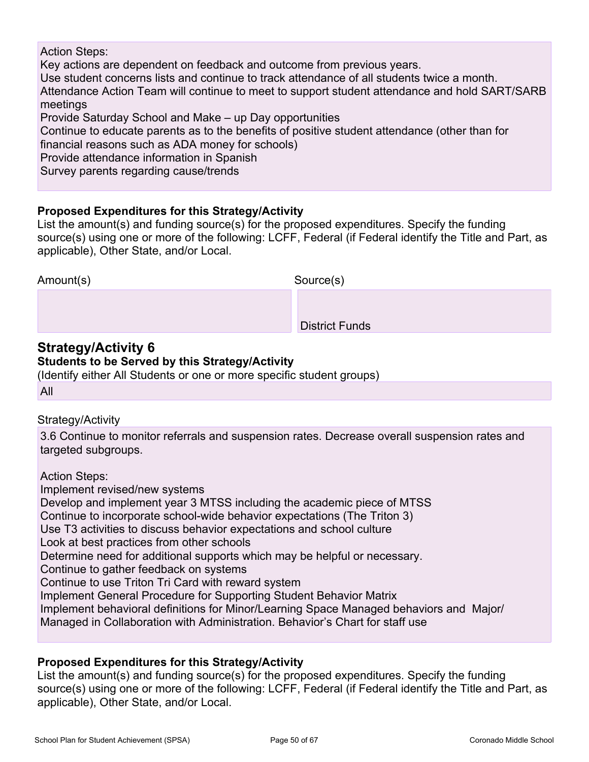### Action Steps:

Key actions are dependent on feedback and outcome from previous years.

Use student concerns lists and continue to track attendance of all students twice a month. Attendance Action Team will continue to meet to support student attendance and hold SART/SARB meetings

Provide Saturday School and Make – up Day opportunities

Continue to educate parents as to the benefits of positive student attendance (other than for financial reasons such as ADA money for schools)

Provide attendance information in Spanish

Survey parents regarding cause/trends

### **Proposed Expenditures for this Strategy/Activity**

List the amount(s) and funding source(s) for the proposed expenditures. Specify the funding source(s) using one or more of the following: LCFF, Federal (if Federal identify the Title and Part, as applicable), Other State, and/or Local.

| Amount(s) | Source(s)             |
|-----------|-----------------------|
|           |                       |
|           | <b>District Funds</b> |

### **Strategy/Activity 6 Students to be Served by this Strategy/Activity**

(Identify either All Students or one or more specific student groups)

All

### Strategy/Activity

3.6 Continue to monitor referrals and suspension rates. Decrease overall suspension rates and targeted subgroups.

Action Steps: Implement revised/new systems Develop and implement year 3 MTSS including the academic piece of MTSS Continue to incorporate school-wide behavior expectations (The Triton 3) Use T3 activities to discuss behavior expectations and school culture Look at best practices from other schools Determine need for additional supports which may be helpful or necessary. Continue to gather feedback on systems Continue to use Triton Tri Card with reward system Implement General Procedure for Supporting Student Behavior Matrix Implement behavioral definitions for Minor/Learning Space Managed behaviors and Major/ Managed in Collaboration with Administration. Behavior's Chart for staff use

### **Proposed Expenditures for this Strategy/Activity**

List the amount(s) and funding source(s) for the proposed expenditures. Specify the funding source(s) using one or more of the following: LCFF, Federal (if Federal identify the Title and Part, as applicable), Other State, and/or Local.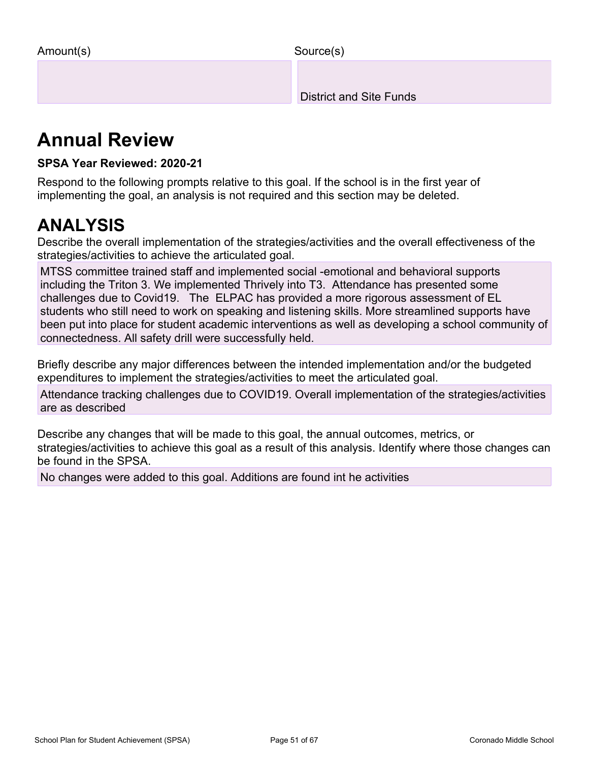Source(s)

District and Site Funds

# **Annual Review**

### **SPSA Year Reviewed: 2020-21**

Respond to the following prompts relative to this goal. If the school is in the first year of implementing the goal, an analysis is not required and this section may be deleted.

# **ANALYSIS**

Describe the overall implementation of the strategies/activities and the overall effectiveness of the strategies/activities to achieve the articulated goal.

MTSS committee trained staff and implemented social -emotional and behavioral supports including the Triton 3. We implemented Thrively into T3. Attendance has presented some challenges due to Covid19. The ELPAC has provided a more rigorous assessment of EL students who still need to work on speaking and listening skills. More streamlined supports have been put into place for student academic interventions as well as developing a school community of connectedness. All safety drill were successfully held.

Briefly describe any major differences between the intended implementation and/or the budgeted expenditures to implement the strategies/activities to meet the articulated goal.

Attendance tracking challenges due to COVID19. Overall implementation of the strategies/activities are as described

Describe any changes that will be made to this goal, the annual outcomes, metrics, or strategies/activities to achieve this goal as a result of this analysis. Identify where those changes can be found in the SPSA.

No changes were added to this goal. Additions are found int he activities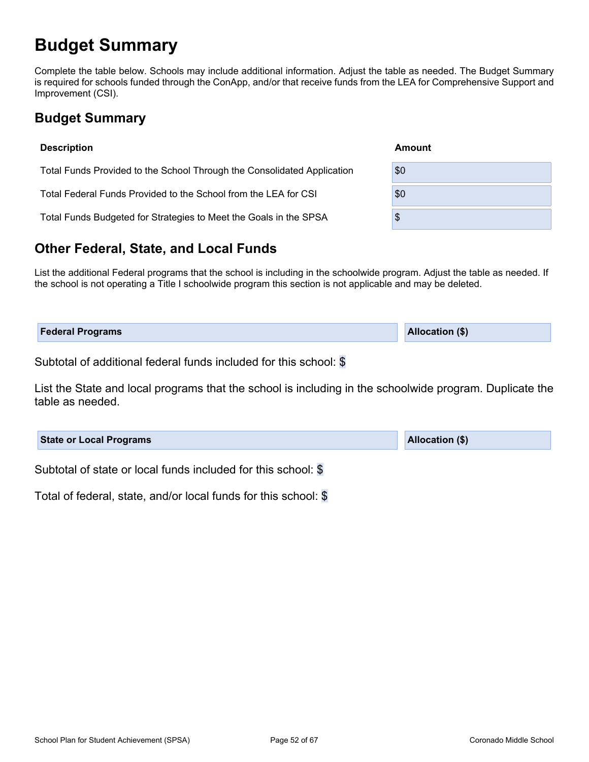# <span id="page-51-0"></span>**Budget Summary**

Complete the table below. Schools may include additional information. Adjust the table as needed. The Budget Summary is required for schools funded through the ConApp, and/or that receive funds from the LEA for Comprehensive Support and Improvement (CSI).

## <span id="page-51-1"></span>**Budget Summary**

| <b>Description</b>                                                      | Amount |
|-------------------------------------------------------------------------|--------|
| Total Funds Provided to the School Through the Consolidated Application | \$0    |
| Total Federal Funds Provided to the School from the LEA for CSI         | \$0    |
| Total Funds Budgeted for Strategies to Meet the Goals in the SPSA       | \$     |
|                                                                         |        |

## <span id="page-51-2"></span>**Other Federal, State, and Local Funds**

List the additional Federal programs that the school is including in the schoolwide program. Adjust the table as needed. If the school is not operating a Title I schoolwide program this section is not applicable and may be deleted.

| <b>Federal Programs</b> | <b>Allocation (\$)</b> |
|-------------------------|------------------------|
|                         |                        |

Subtotal of additional federal funds included for this school: \$

List the State and local programs that the school is including in the schoolwide program. Duplicate the table as needed.

| <b>State or Local Programs</b>                                | <b>Allocation (\$)</b> |
|---------------------------------------------------------------|------------------------|
| Subtotal of state or local funds included for this school: \$ |                        |

Total of federal, state, and/or local funds for this school: \$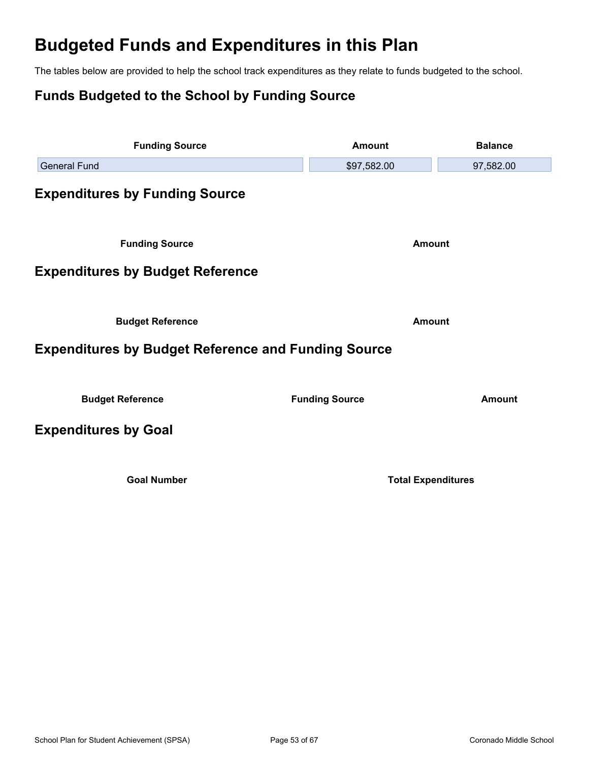# <span id="page-52-0"></span>**Budgeted Funds and Expenditures in this Plan**

The tables below are provided to help the school track expenditures as they relate to funds budgeted to the school.

## <span id="page-52-1"></span>**Funds Budgeted to the School by Funding Source**

<span id="page-52-5"></span><span id="page-52-4"></span><span id="page-52-3"></span><span id="page-52-2"></span>

| <b>Funding Source</b>                                      | <b>Amount</b>             | <b>Balance</b> |  |
|------------------------------------------------------------|---------------------------|----------------|--|
| <b>General Fund</b>                                        | \$97,582.00               | 97,582.00      |  |
| <b>Expenditures by Funding Source</b>                      |                           |                |  |
| <b>Funding Source</b>                                      | <b>Amount</b>             |                |  |
| <b>Expenditures by Budget Reference</b>                    |                           |                |  |
| <b>Budget Reference</b>                                    | <b>Amount</b>             |                |  |
| <b>Expenditures by Budget Reference and Funding Source</b> |                           |                |  |
| <b>Budget Reference</b>                                    | <b>Funding Source</b>     | <b>Amount</b>  |  |
| <b>Expenditures by Goal</b>                                |                           |                |  |
| <b>Goal Number</b>                                         | <b>Total Expenditures</b> |                |  |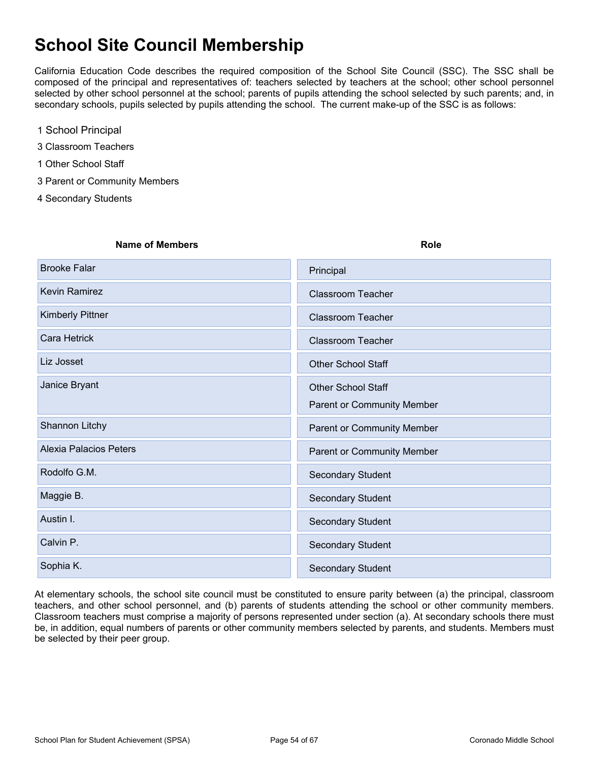# <span id="page-53-0"></span>**School Site Council Membership**

California Education Code describes the required composition of the School Site Council (SSC). The SSC shall be composed of the principal and representatives of: teachers selected by teachers at the school; other school personnel selected by other school personnel at the school; parents of pupils attending the school selected by such parents; and, in secondary schools, pupils selected by pupils attending the school. The current make-up of the SSC is as follows:

- 1 School Principal
- 3 Classroom Teachers
- 1 Other School Staff
- 3 Parent or Community Members
- 4 Secondary Students

| <b>Name of Members</b>        | <b>Role</b>                |
|-------------------------------|----------------------------|
| Brooke Falar                  | Principal                  |
| Kevin Ramirez                 | <b>Classroom Teacher</b>   |
| Kimberly Pittner              | <b>Classroom Teacher</b>   |
| Cara Hetrick                  | <b>Classroom Teacher</b>   |
| Liz Josset                    | <b>Other School Staff</b>  |
| Janice Bryant                 | <b>Other School Staff</b>  |
|                               | Parent or Community Member |
| Shannon Litchy                | Parent or Community Member |
| <b>Alexia Palacios Peters</b> | Parent or Community Member |
| Rodolfo G.M.                  | <b>Secondary Student</b>   |
| Maggie B.                     | <b>Secondary Student</b>   |
| Austin I.                     | <b>Secondary Student</b>   |
| Calvin P.                     | <b>Secondary Student</b>   |
| Sophia K.                     | <b>Secondary Student</b>   |

At elementary schools, the school site council must be constituted to ensure parity between (a) the principal, classroom teachers, and other school personnel, and (b) parents of students attending the school or other community members. Classroom teachers must comprise a majority of persons represented under section (a). At secondary schools there must be, in addition, equal numbers of parents or other community members selected by parents, and students. Members must be selected by their peer group.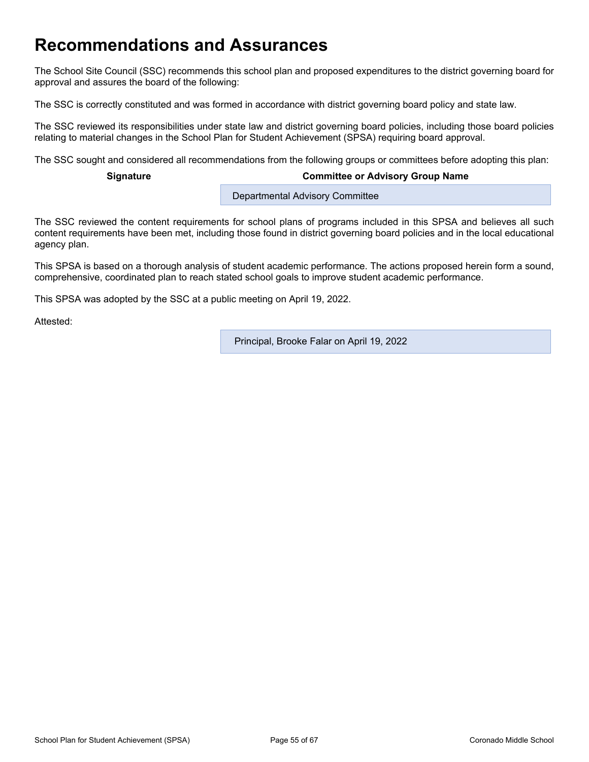# <span id="page-54-0"></span>**Recommendations and Assurances**

The School Site Council (SSC) recommends this school plan and proposed expenditures to the district governing board for approval and assures the board of the following:

The SSC is correctly constituted and was formed in accordance with district governing board policy and state law.

The SSC reviewed its responsibilities under state law and district governing board policies, including those board policies relating to material changes in the School Plan for Student Achievement (SPSA) requiring board approval.

The SSC sought and considered all recommendations from the following groups or committees before adopting this plan:

#### **Signature Committee or Advisory Group Name**

Departmental Advisory Committee

The SSC reviewed the content requirements for school plans of programs included in this SPSA and believes all such content requirements have been met, including those found in district governing board policies and in the local educational agency plan.

This SPSA is based on a thorough analysis of student academic performance. The actions proposed herein form a sound, comprehensive, coordinated plan to reach stated school goals to improve student academic performance.

This SPSA was adopted by the SSC at a public meeting on April 19, 2022.

Attested:

Principal, Brooke Falar on April 19, 2022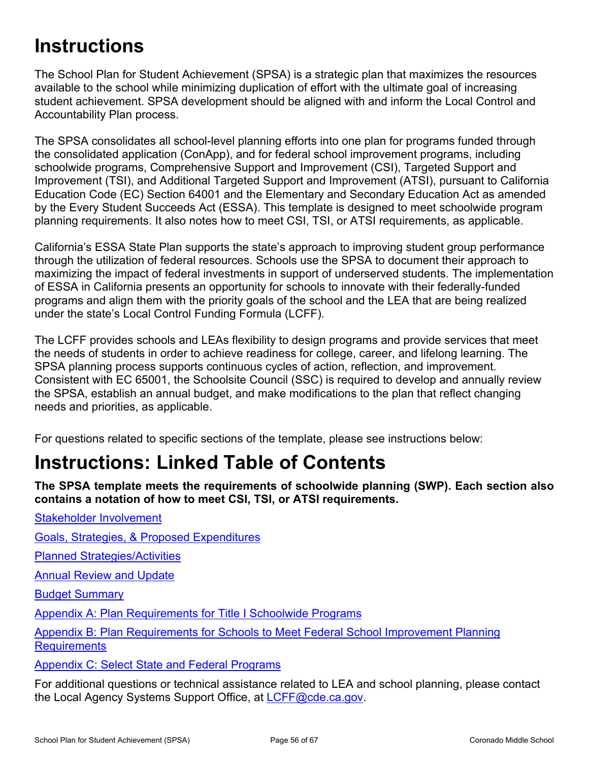# <span id="page-55-0"></span>**Instructions**

The School Plan for Student Achievement (SPSA) is a strategic plan that maximizes the resources available to the school while minimizing duplication of effort with the ultimate goal of increasing student achievement. SPSA development should be aligned with and inform the Local Control and Accountability Plan process.

The SPSA consolidates all school-level planning efforts into one plan for programs funded through the consolidated application (ConApp), and for federal school improvement programs, including schoolwide programs, Comprehensive Support and Improvement (CSI), Targeted Support and Improvement (TSI), and Additional Targeted Support and Improvement (ATSI), pursuant to California Education Code (EC) Section 64001 and the Elementary and Secondary Education Act as amended by the Every Student Succeeds Act (ESSA). This template is designed to meet schoolwide program planning requirements. It also notes how to meet CSI, TSI, or ATSI requirements, as applicable.

California's ESSA State Plan supports the state's approach to improving student group performance through the utilization of federal resources. Schools use the SPSA to document their approach to maximizing the impact of federal investments in support of underserved students. The implementation of ESSA in California presents an opportunity for schools to innovate with their federally-funded programs and align them with the priority goals of the school and the LEA that are being realized under the state's Local Control Funding Formula (LCFF).

The LCFF provides schools and LEAs flexibility to design programs and provide services that meet the needs of students in order to achieve readiness for college, career, and lifelong learning. The SPSA planning process supports continuous cycles of action, reflection, and improvement. Consistent with EC 65001, the Schoolsite Council (SSC) is required to develop and annually review the SPSA, establish an annual budget, and make modifications to the plan that reflect changing needs and priorities, as applicable.

For questions related to specific sections of the template, please see instructions below:

# <span id="page-55-1"></span>**Instructions: Linked Table of Contents**

**The SPSA template meets the requirements of schoolwide planning (SWP). Each section also contains a notation of how to meet CSI, TSI, or ATSI requirements.** 

[Goals, Strategies, & Proposed Expenditures](#page-57-0)

[Planned Strategies/Activities](#page-57-1)

**[Annual Review and Update](#page-58-0)** 

[Stakeholder Involvement](#page-56-1)

[Budget Summary](#page-59-0)

[Appendix A: Plan Requirements for Title I Schoolwide Programs](#page-61-0)

[Appendix B: Plan Requirements for Schools to Meet Federal School Improvement Planning](#page-64-0)  **[Requirements](#page-64-0)** 

[Appendix C: Select State and Federal Programs](#page-66-0)

For additional questions or technical assistance related to LEA and school planning, please contact the Local Agency Systems Support Office, at [LCFF@cde.ca.gov.](mailto:%20LCFF@cde.ca.gov)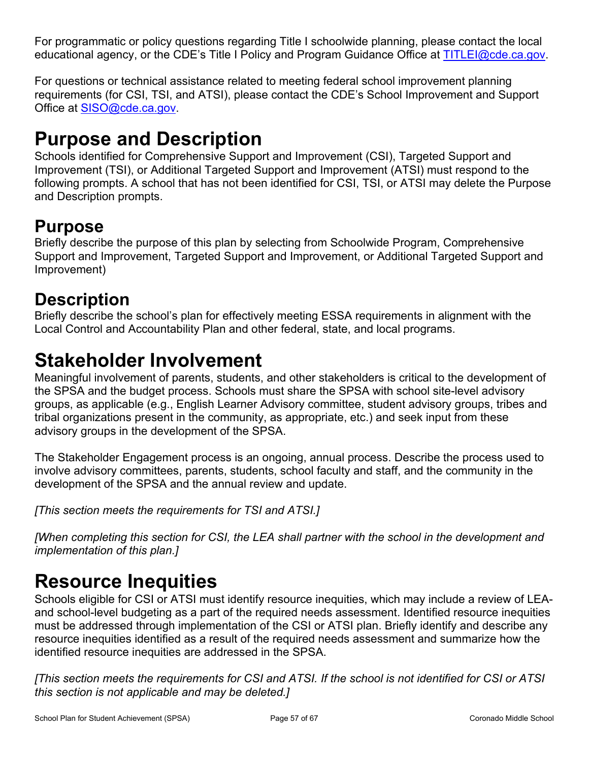For programmatic or policy questions regarding Title I schoolwide planning, please contact the local educational agency, or the CDE's Title I Policy and Program Guidance Office at [TITLEI@cde.ca.gov](mailto:%20TITLEI@cde.ca.gov).

For questions or technical assistance related to meeting federal school improvement planning requirements (for CSI, TSI, and ATSI), please contact the CDE's School Improvement and Support Office at [SISO@cde.ca.gov.](mailto:%20SISO@cde.ca.gov)

# <span id="page-56-0"></span>**Purpose and Description**

Schools identified for Comprehensive Support and Improvement (CSI), Targeted Support and Improvement (TSI), or Additional Targeted Support and Improvement (ATSI) must respond to the following prompts. A school that has not been identified for CSI, TSI, or ATSI may delete the Purpose and Description prompts.

## **Purpose**

Briefly describe the purpose of this plan by selecting from Schoolwide Program, Comprehensive Support and Improvement, Targeted Support and Improvement, or Additional Targeted Support and Improvement)

# **Description**

Briefly describe the school's plan for effectively meeting ESSA requirements in alignment with the Local Control and Accountability Plan and other federal, state, and local programs.

# <span id="page-56-1"></span>**Stakeholder Involvement**

Meaningful involvement of parents, students, and other stakeholders is critical to the development of the SPSA and the budget process. Schools must share the SPSA with school site-level advisory groups, as applicable (e.g., English Learner Advisory committee, student advisory groups, tribes and tribal organizations present in the community, as appropriate, etc.) and seek input from these advisory groups in the development of the SPSA.

The Stakeholder Engagement process is an ongoing, annual process. Describe the process used to involve advisory committees, parents, students, school faculty and staff, and the community in the development of the SPSA and the annual review and update.

*[This section meets the requirements for TSI and ATSI.]*

*[When completing this section for CSI, the LEA shall partner with the school in the development and implementation of this plan.]*

# <span id="page-56-2"></span>**Resource Inequities**

Schools eligible for CSI or ATSI must identify resource inequities, which may include a review of LEAand school-level budgeting as a part of the required needs assessment. Identified resource inequities must be addressed through implementation of the CSI or ATSI plan. Briefly identify and describe any resource inequities identified as a result of the required needs assessment and summarize how the identified resource inequities are addressed in the SPSA.

*[This section meets the requirements for CSI and ATSI. If the school is not identified for CSI or ATSI this section is not applicable and may be deleted.]*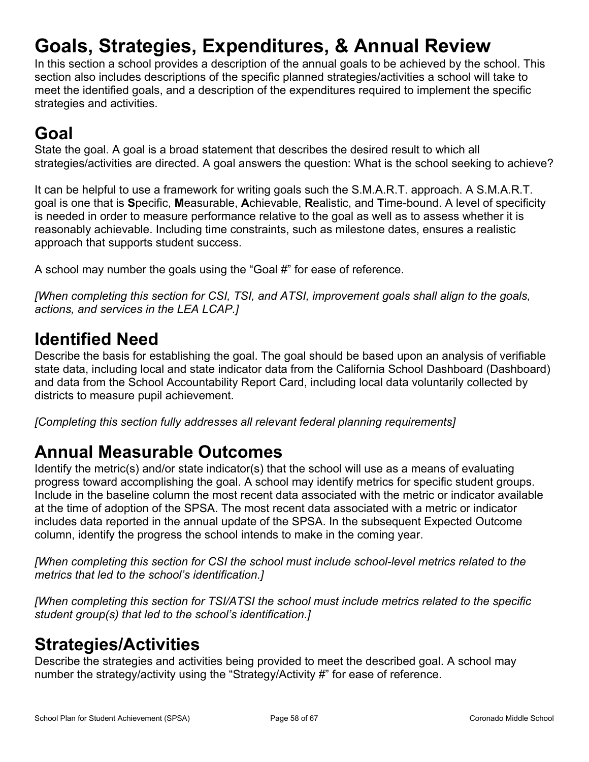# <span id="page-57-0"></span>**Goals, Strategies, Expenditures, & Annual Review**

In this section a school provides a description of the annual goals to be achieved by the school. This section also includes descriptions of the specific planned strategies/activities a school will take to meet the identified goals, and a description of the expenditures required to implement the specific strategies and activities.

# **Goal**

State the goal. A goal is a broad statement that describes the desired result to which all strategies/activities are directed. A goal answers the question: What is the school seeking to achieve?

It can be helpful to use a framework for writing goals such the S.M.A.R.T. approach. A S.M.A.R.T. goal is one that is **S**pecific, **M**easurable, **A**chievable, **R**ealistic, and **T**ime-bound. A level of specificity is needed in order to measure performance relative to the goal as well as to assess whether it is reasonably achievable. Including time constraints, such as milestone dates, ensures a realistic approach that supports student success.

A school may number the goals using the "Goal #" for ease of reference.

*[When completing this section for CSI, TSI, and ATSI, improvement goals shall align to the goals, actions, and services in the LEA LCAP.]*

## **Identified Need**

Describe the basis for establishing the goal. The goal should be based upon an analysis of verifiable state data, including local and state indicator data from the California School Dashboard (Dashboard) and data from the School Accountability Report Card, including local data voluntarily collected by districts to measure pupil achievement.

*[Completing this section fully addresses all relevant federal planning requirements]*

## **Annual Measurable Outcomes**

Identify the metric(s) and/or state indicator(s) that the school will use as a means of evaluating progress toward accomplishing the goal. A school may identify metrics for specific student groups. Include in the baseline column the most recent data associated with the metric or indicator available at the time of adoption of the SPSA. The most recent data associated with a metric or indicator includes data reported in the annual update of the SPSA. In the subsequent Expected Outcome column, identify the progress the school intends to make in the coming year.

*[When completing this section for CSI the school must include school-level metrics related to the metrics that led to the school's identification.]*

*[When completing this section for TSI/ATSI the school must include metrics related to the specific student group(s) that led to the school's identification.]* 

## <span id="page-57-1"></span>**Strategies/Activities**

Describe the strategies and activities being provided to meet the described goal. A school may number the strategy/activity using the "Strategy/Activity #" for ease of reference.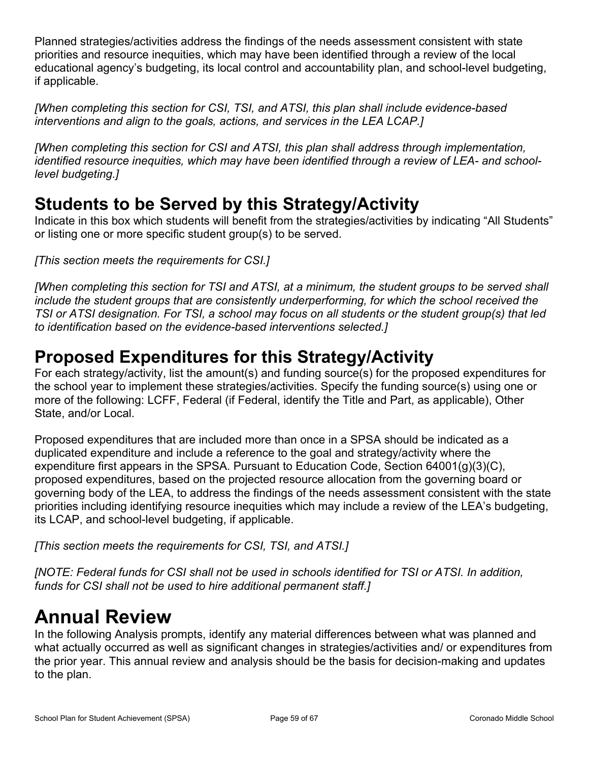Planned strategies/activities address the findings of the needs assessment consistent with state priorities and resource inequities, which may have been identified through a review of the local educational agency's budgeting, its local control and accountability plan, and school-level budgeting, if applicable.

*[When completing this section for CSI, TSI, and ATSI, this plan shall include evidence-based interventions and align to the goals, actions, and services in the LEA LCAP.]*

*[When completing this section for CSI and ATSI, this plan shall address through implementation, identified resource inequities, which may have been identified through a review of LEA- and schoollevel budgeting.]*

## **Students to be Served by this Strategy/Activity**

Indicate in this box which students will benefit from the strategies/activities by indicating "All Students" or listing one or more specific student group(s) to be served.

*[This section meets the requirements for CSI.]*

*[When completing this section for TSI and ATSI, at a minimum, the student groups to be served shall include the student groups that are consistently underperforming, for which the school received the TSI or ATSI designation. For TSI, a school may focus on all students or the student group(s) that led to identification based on the evidence-based interventions selected.]*

## **Proposed Expenditures for this Strategy/Activity**

For each strategy/activity, list the amount(s) and funding source(s) for the proposed expenditures for the school year to implement these strategies/activities. Specify the funding source(s) using one or more of the following: LCFF, Federal (if Federal, identify the Title and Part, as applicable), Other State, and/or Local.

Proposed expenditures that are included more than once in a SPSA should be indicated as a duplicated expenditure and include a reference to the goal and strategy/activity where the expenditure first appears in the SPSA. Pursuant to Education Code, Section 64001(g)(3)(C), proposed expenditures, based on the projected resource allocation from the governing board or governing body of the LEA, to address the findings of the needs assessment consistent with the state priorities including identifying resource inequities which may include a review of the LEA's budgeting, its LCAP, and school-level budgeting, if applicable.

*[This section meets the requirements for CSI, TSI, and ATSI.]*

*[NOTE: Federal funds for CSI shall not be used in schools identified for TSI or ATSI. In addition, funds for CSI shall not be used to hire additional permanent staff.]*

# <span id="page-58-0"></span>**Annual Review**

In the following Analysis prompts, identify any material differences between what was planned and what actually occurred as well as significant changes in strategies/activities and/ or expenditures from the prior year. This annual review and analysis should be the basis for decision-making and updates to the plan.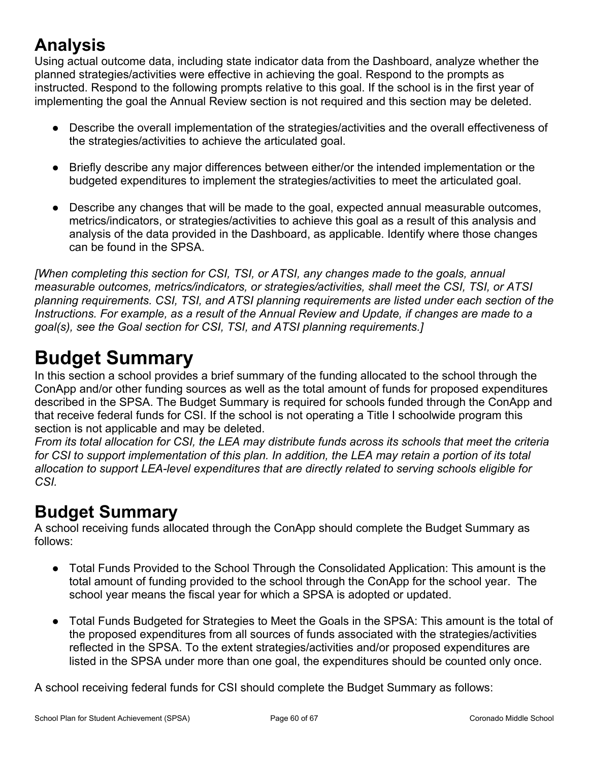# **Analysis**

Using actual outcome data, including state indicator data from the Dashboard, analyze whether the planned strategies/activities were effective in achieving the goal. Respond to the prompts as instructed. Respond to the following prompts relative to this goal. If the school is in the first year of implementing the goal the Annual Review section is not required and this section may be deleted.

- Describe the overall implementation of the strategies/activities and the overall effectiveness of the strategies/activities to achieve the articulated goal.
- Briefly describe any major differences between either/or the intended implementation or the budgeted expenditures to implement the strategies/activities to meet the articulated goal.
- Describe any changes that will be made to the goal, expected annual measurable outcomes, metrics/indicators, or strategies/activities to achieve this goal as a result of this analysis and analysis of the data provided in the Dashboard, as applicable. Identify where those changes can be found in the SPSA.

*[When completing this section for CSI, TSI, or ATSI, any changes made to the goals, annual measurable outcomes, metrics/indicators, or strategies/activities, shall meet the CSI, TSI, or ATSI planning requirements. CSI, TSI, and ATSI planning requirements are listed under each section of the Instructions. For example, as a result of the Annual Review and Update, if changes are made to a goal(s), see the Goal section for CSI, TSI, and ATSI planning requirements.]* 

# <span id="page-59-0"></span>**Budget Summary**

In this section a school provides a brief summary of the funding allocated to the school through the ConApp and/or other funding sources as well as the total amount of funds for proposed expenditures described in the SPSA. The Budget Summary is required for schools funded through the ConApp and that receive federal funds for CSI. If the school is not operating a Title I schoolwide program this section is not applicable and may be deleted.

*From its total allocation for CSI, the LEA may distribute funds across its schools that meet the criteria for CSI to support implementation of this plan. In addition, the LEA may retain a portion of its total allocation to support LEA-level expenditures that are directly related to serving schools eligible for CSI.*

# **Budget Summary**

A school receiving funds allocated through the ConApp should complete the Budget Summary as follows:

- Total Funds Provided to the School Through the Consolidated Application: This amount is the total amount of funding provided to the school through the ConApp for the school year. The school year means the fiscal year for which a SPSA is adopted or updated.
- Total Funds Budgeted for Strategies to Meet the Goals in the SPSA: This amount is the total of the proposed expenditures from all sources of funds associated with the strategies/activities reflected in the SPSA. To the extent strategies/activities and/or proposed expenditures are listed in the SPSA under more than one goal, the expenditures should be counted only once.

A school receiving federal funds for CSI should complete the Budget Summary as follows: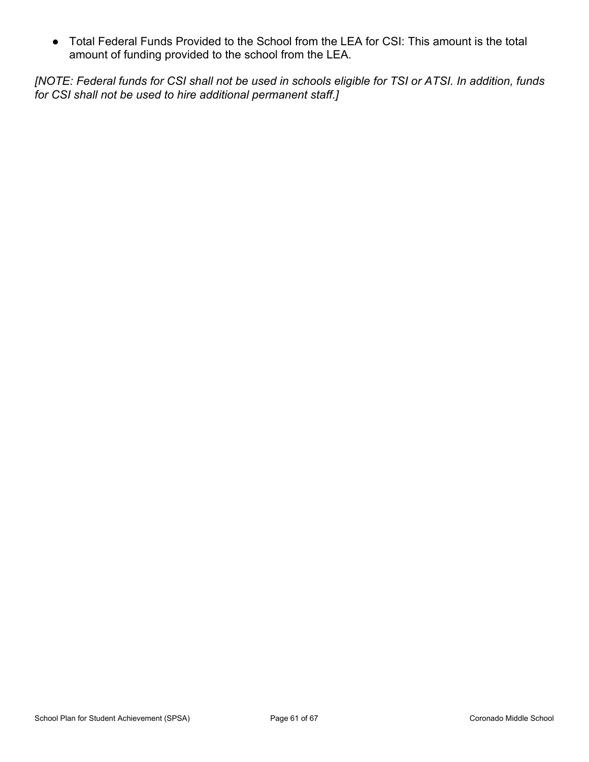● Total Federal Funds Provided to the School from the LEA for CSI: This amount is the total amount of funding provided to the school from the LEA.

*[NOTE: Federal funds for CSI shall not be used in schools eligible for TSI or ATSI. In addition, funds for CSI shall not be used to hire additional permanent staff.]*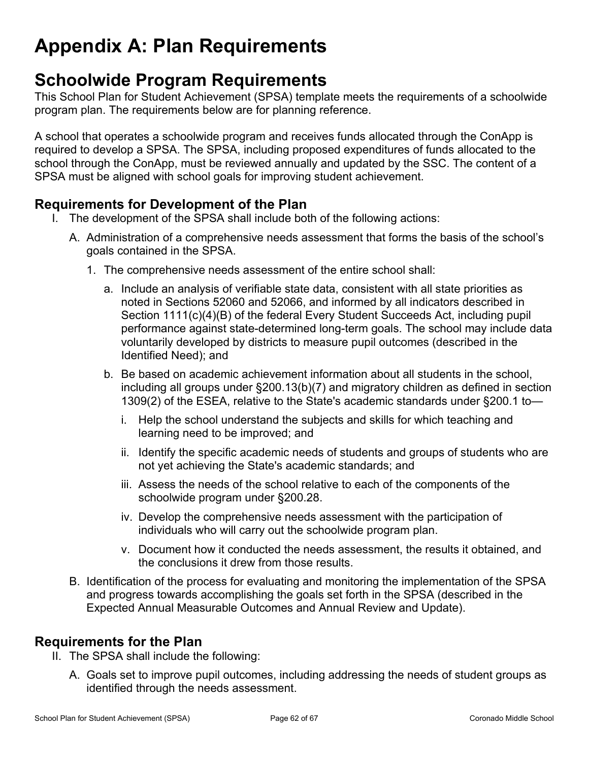# <span id="page-61-0"></span>**Appendix A: Plan Requirements**

## **Schoolwide Program Requirements**

This School Plan for Student Achievement (SPSA) template meets the requirements of a schoolwide program plan. The requirements below are for planning reference.

A school that operates a schoolwide program and receives funds allocated through the ConApp is required to develop a SPSA. The SPSA, including proposed expenditures of funds allocated to the school through the ConApp, must be reviewed annually and updated by the SSC. The content of a SPSA must be aligned with school goals for improving student achievement.

## **Requirements for Development of the Plan**

- I. The development of the SPSA shall include both of the following actions:
	- A. Administration of a comprehensive needs assessment that forms the basis of the school's goals contained in the SPSA.
		- 1. The comprehensive needs assessment of the entire school shall:
			- a. Include an analysis of verifiable state data, consistent with all state priorities as noted in Sections 52060 and 52066, and informed by all indicators described in Section 1111(c)(4)(B) of the federal Every Student Succeeds Act, including pupil performance against state-determined long-term goals. The school may include data voluntarily developed by districts to measure pupil outcomes (described in the Identified Need); and
			- b. Be based on academic achievement information about all students in the school, including all groups under §200.13(b)(7) and migratory children as defined in section 1309(2) of the ESEA, relative to the State's academic standards under §200.1 to
				- i. Help the school understand the subjects and skills for which teaching and learning need to be improved; and
				- ii. Identify the specific academic needs of students and groups of students who are not yet achieving the State's academic standards; and
				- iii. Assess the needs of the school relative to each of the components of the schoolwide program under §200.28.
				- iv. Develop the comprehensive needs assessment with the participation of individuals who will carry out the schoolwide program plan.
				- v. Document how it conducted the needs assessment, the results it obtained, and the conclusions it drew from those results.
	- B. Identification of the process for evaluating and monitoring the implementation of the SPSA and progress towards accomplishing the goals set forth in the SPSA (described in the Expected Annual Measurable Outcomes and Annual Review and Update).

## **Requirements for the Plan**

- II. The SPSA shall include the following:
	- A. Goals set to improve pupil outcomes, including addressing the needs of student groups as identified through the needs assessment.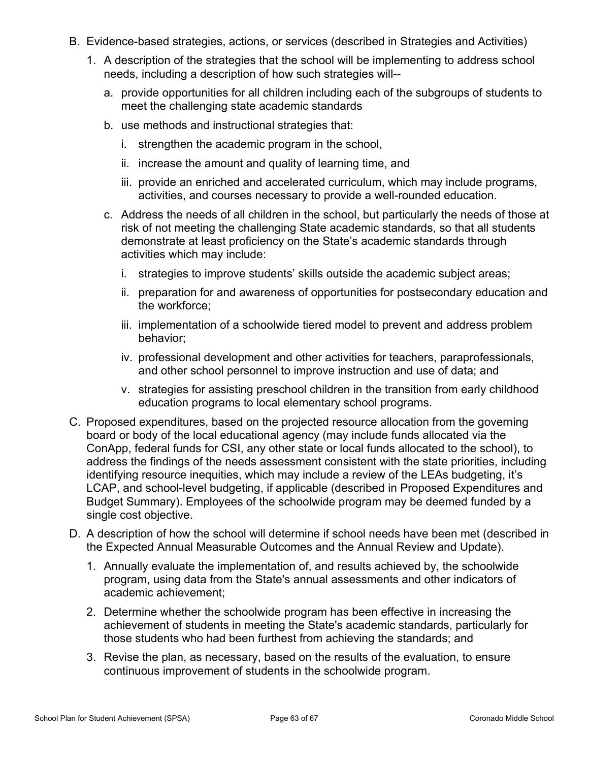- B. Evidence-based strategies, actions, or services (described in Strategies and Activities)
	- 1. A description of the strategies that the school will be implementing to address school needs, including a description of how such strategies will-
		- a. provide opportunities for all children including each of the subgroups of students to meet the challenging state academic standards
		- b. use methods and instructional strategies that:
			- i. strengthen the academic program in the school,
			- ii. increase the amount and quality of learning time, and
			- iii. provide an enriched and accelerated curriculum, which may include programs, activities, and courses necessary to provide a well-rounded education.
		- c. Address the needs of all children in the school, but particularly the needs of those at risk of not meeting the challenging State academic standards, so that all students demonstrate at least proficiency on the State's academic standards through activities which may include:
			- i. strategies to improve students' skills outside the academic subject areas;
			- ii. preparation for and awareness of opportunities for postsecondary education and the workforce;
			- iii. implementation of a schoolwide tiered model to prevent and address problem behavior;
			- iv. professional development and other activities for teachers, paraprofessionals, and other school personnel to improve instruction and use of data; and
			- v. strategies for assisting preschool children in the transition from early childhood education programs to local elementary school programs.
- C. Proposed expenditures, based on the projected resource allocation from the governing board or body of the local educational agency (may include funds allocated via the ConApp, federal funds for CSI, any other state or local funds allocated to the school), to address the findings of the needs assessment consistent with the state priorities, including identifying resource inequities, which may include a review of the LEAs budgeting, it's LCAP, and school-level budgeting, if applicable (described in Proposed Expenditures and Budget Summary). Employees of the schoolwide program may be deemed funded by a single cost objective.
- D. A description of how the school will determine if school needs have been met (described in the Expected Annual Measurable Outcomes and the Annual Review and Update).
	- 1. Annually evaluate the implementation of, and results achieved by, the schoolwide program, using data from the State's annual assessments and other indicators of academic achievement;
	- 2. Determine whether the schoolwide program has been effective in increasing the achievement of students in meeting the State's academic standards, particularly for those students who had been furthest from achieving the standards; and
	- 3. Revise the plan, as necessary, based on the results of the evaluation, to ensure continuous improvement of students in the schoolwide program.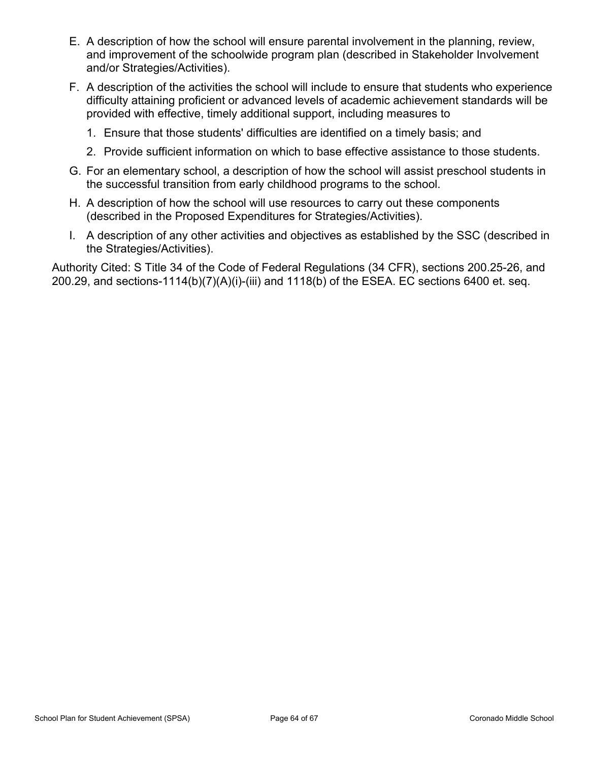- E. A description of how the school will ensure parental involvement in the planning, review, and improvement of the schoolwide program plan (described in Stakeholder Involvement and/or Strategies/Activities).
- F. A description of the activities the school will include to ensure that students who experience difficulty attaining proficient or advanced levels of academic achievement standards will be provided with effective, timely additional support, including measures to
	- 1. Ensure that those students' difficulties are identified on a timely basis; and
	- 2. Provide sufficient information on which to base effective assistance to those students.
- G. For an elementary school, a description of how the school will assist preschool students in the successful transition from early childhood programs to the school.
- H. A description of how the school will use resources to carry out these components (described in the Proposed Expenditures for Strategies/Activities).
- I. A description of any other activities and objectives as established by the SSC (described in the Strategies/Activities).

Authority Cited: S Title 34 of the Code of Federal Regulations (34 CFR), sections 200.25-26, and 200.29, and sections-1114(b)(7)(A)(i)-(iii) and 1118(b) of the ESEA. EC sections 6400 et. seq.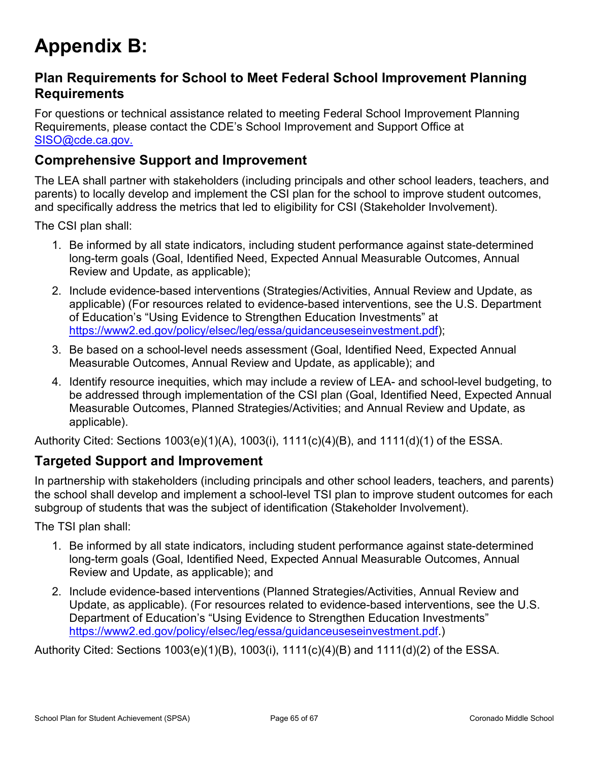# <span id="page-64-0"></span>**Appendix B:**

## **Plan Requirements for School to Meet Federal School Improvement Planning Requirements**

For questions or technical assistance related to meeting Federal School Improvement Planning Requirements, please contact the CDE's School Improvement and Support Office at [SISO@cde.ca.gov.](mailto:%20SISO@cde.ca.gov.)

## **Comprehensive Support and Improvement**

The LEA shall partner with stakeholders (including principals and other school leaders, teachers, and parents) to locally develop and implement the CSI plan for the school to improve student outcomes, and specifically address the metrics that led to eligibility for CSI (Stakeholder Involvement).

The CSI plan shall:

- 1. Be informed by all state indicators, including student performance against state-determined long-term goals (Goal, Identified Need, Expected Annual Measurable Outcomes, Annual Review and Update, as applicable);
- 2. Include evidence-based interventions (Strategies/Activities, Annual Review and Update, as applicable) (For resources related to evidence-based interventions, see the U.S. Department of Education's "Using Evidence to Strengthen Education Investments" at [https://www2.ed.gov/policy/elsec/leg/essa/guidanceuseseinvestment.pdf\)](https://www2.ed.gov/policy/elsec/leg/essa/guidanceuseseinvestment.pdf);
- 3. Be based on a school-level needs assessment (Goal, Identified Need, Expected Annual Measurable Outcomes, Annual Review and Update, as applicable); and
- 4. Identify resource inequities, which may include a review of LEA- and school-level budgeting, to be addressed through implementation of the CSI plan (Goal, Identified Need, Expected Annual Measurable Outcomes, Planned Strategies/Activities; and Annual Review and Update, as applicable).

Authority Cited: Sections 1003(e)(1)(A), 1003(i), 1111(c)(4)(B), and 1111(d)(1) of the ESSA.

### **Targeted Support and Improvement**

In partnership with stakeholders (including principals and other school leaders, teachers, and parents) the school shall develop and implement a school-level TSI plan to improve student outcomes for each subgroup of students that was the subject of identification (Stakeholder Involvement).

The TSI plan shall:

- 1. Be informed by all state indicators, including student performance against state-determined long-term goals (Goal, Identified Need, Expected Annual Measurable Outcomes, Annual Review and Update, as applicable); and
- 2. Include evidence-based interventions (Planned Strategies/Activities, Annual Review and Update, as applicable). (For resources related to evidence-based interventions, see the U.S. Department of Education's "Using Evidence to Strengthen Education Investments" <https://www2.ed.gov/policy/elsec/leg/essa/guidanceuseseinvestment.pdf.>)

Authority Cited: Sections 1003(e)(1)(B), 1003(i), 1111(c)(4)(B) and 1111(d)(2) of the ESSA.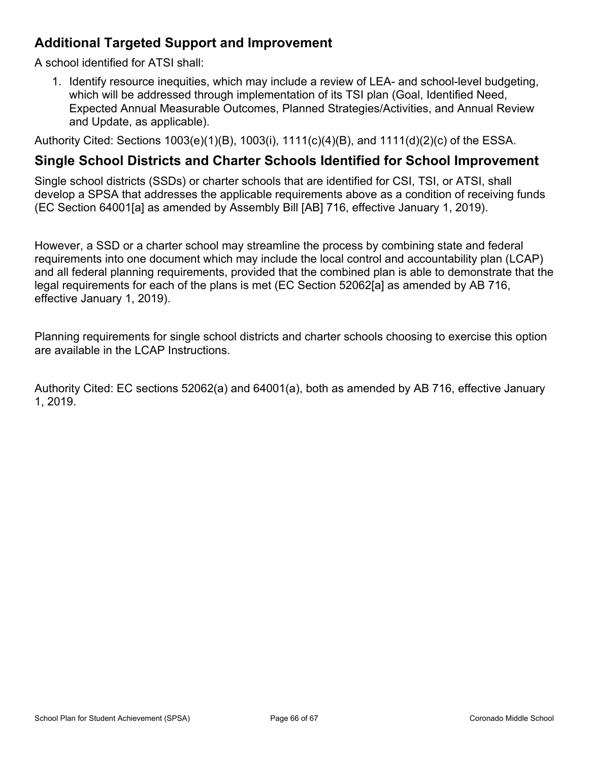## **Additional Targeted Support and Improvement**

A school identified for ATSI shall:

1. Identify resource inequities, which may include a review of LEA- and school-level budgeting, which will be addressed through implementation of its TSI plan (Goal, Identified Need, Expected Annual Measurable Outcomes, Planned Strategies/Activities, and Annual Review and Update, as applicable).

Authority Cited: Sections 1003(e)(1)(B), 1003(i), 1111(c)(4)(B), and 1111(d)(2)(c) of the ESSA.

### **Single School Districts and Charter Schools Identified for School Improvement**

Single school districts (SSDs) or charter schools that are identified for CSI, TSI, or ATSI, shall develop a SPSA that addresses the applicable requirements above as a condition of receiving funds (EC Section 64001[a] as amended by Assembly Bill [AB] 716, effective January 1, 2019).

However, a SSD or a charter school may streamline the process by combining state and federal requirements into one document which may include the local control and accountability plan (LCAP) and all federal planning requirements, provided that the combined plan is able to demonstrate that the legal requirements for each of the plans is met (EC Section 52062[a] as amended by AB 716, effective January 1, 2019).

Planning requirements for single school districts and charter schools choosing to exercise this option are available in the LCAP Instructions.

Authority Cited: EC sections 52062(a) and 64001(a), both as amended by AB 716, effective January 1, 2019.